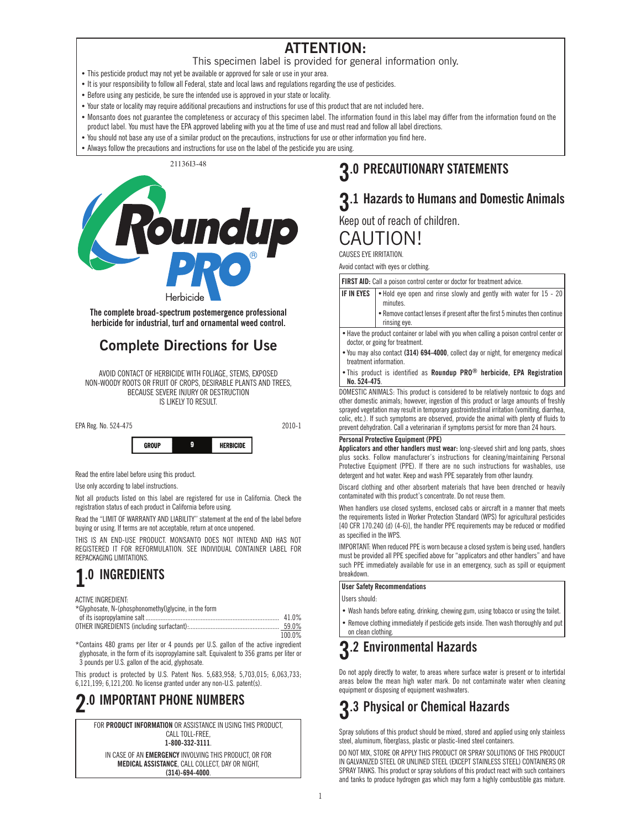### **ATTENTION:**

#### This specimen label is provided for general information only.

- This pesticide product may not yet be available or approved for sale or use in your area.
- It is your responsibility to follow all Federal, state and local laws and regulations regarding the use of pesticides.
- Before using any pesticide, be sure the intended use is approved in your state or locality.
- Your state or locality may require additional precautions and instructions for use of this product that are not included here.
- Monsanto does not guarantee the completeness or accuracy of this specimen label. The information found in this label may differ from the information found on the product label. You must have the EPA approved labeling with you at the time of use and must read and follow all label directions.
- You should not base any use of a similar product on the precautions, instructions for use or other information you find here.
- Always follow the precautions and instructions for use on the label of the pesticide you are using.

21136I3-48



**The complete broad-spectrum postemergence professional herbicide for industrial, turf and ornamental weed control.**

### **Complete Directions for Use**

AVOID CONTACT OF HERBICIDE WITH FOLIAGE, STEMS, EXPOSED NON-WOODY ROOTS OR FRUIT OF CROPS, DESIRABLE PLANTS AND TREES, BECAUSE SEVERE INJURY OR DESTRUCTION IS LIKELY TO RESULT.



Read the entire label before using this product.

Use only according to label instructions.

Not all products listed on this label are registered for use in California. Check the registration status of each product in California before using.

Read the "LIMIT OF WARRANTY AND LIABILITY'' statement at the end of the label before buying or using. If terms are not acceptable, return at once unopened.

THIS IS AN END-USE PRODUCT. MONSANTO DOES NOT INTEND AND HAS NOT REGISTERED IT FOR REFORMULATION. SEE INDIVIDUAL CONTAINER LABEL FOR REPACKAGING LIMITATIONS.

### **1.0 INGREDIENTS**

ACTIVE INGREDIENT:

| *Glyphosate, N-(phosphonomethyl)glycine, in the form |       |
|------------------------------------------------------|-------|
|                                                      | 41.0% |
| OTHER INCREDIENTS (including surfactant).            | 59.0% |

|                            |  |  |  |          |  | 59.0%  |  |
|----------------------------|--|--|--|----------|--|--------|--|
|                            |  |  |  |          |  | 100.0% |  |
| $\cdots$ $\cdots$ $\cdots$ |  |  |  | $\cdots$ |  |        |  |

\*Contains 480 grams per liter or 4 pounds per U.S. gallon of the active ingredient glyphosate, in the form of its isopropylamine salt. Equivalent to 356 grams per liter or 3 pounds per U.S. gallon of the acid, glyphosate.

This product is protected by U.S. Patent Nos. 5,683,958; 5,703,015; 6,063,733; 6,121,199; 6,121,200. No license granted under any non-U.S. patent(s).

### **2.0 IMPORTANT PHONE NUMBERS**

### **3.0 PRECAUTIONARY STATEMENTS**

### **3.1 Hazards to Humans and Domestic Animals**

Keep out of reach of children.

CALITION!

CAUSES EYE IRRITATION.

Avoid contact with eyes or clothing.

FIRST AID: Call a poison control center or doctor for treatment advice.

| <b>IF IN EYES</b> $\bullet$ Hold eye open and rinse slowly and gently with water for 15 - 20<br>minutes. |
|----------------------------------------------------------------------------------------------------------|
| Remove contact lenses if present after the first 5 minutes then continue<br>rinsing eye.                 |

• Have the product container or label with you when calling a poison control center or doctor, or going for treatment.

• You may also contact **(314) 694-4000**, collect day or night, for emergency medical treatment information.

• This product is identified as **Roundup PRO® herbicide, EPA Registration No. 524-475**.

DOMESTIC ANIMALS: This product is considered to be relatively nontoxic to dogs and other domestic animals; however, ingestion of this product or large amounts of freshly sprayed vegetation may result in temporary gastrointestinal irritation (vomiting, diarrhea, colic, etc.). If such symptoms are observed, provide the animal with plenty of fluids to prevent dehydration. Call a veterinarian if symptoms persist for more than 24 hours.

#### **Personal Protective Equipment (PPE)**

**Applicators and other handlers must wear:** long-sleeved shirt and long pants, shoes plus socks. Follow manufacturer's instructions for cleaning/maintaining Personal Protective Equipment (PPE). If there are no such instructions for washables, use detergent and hot water. Keep and wash PPE separately from other laundry.

Discard clothing and other absorbent materials that have been drenched or heavily contaminated with this product's concentrate. Do not reuse them.

When handlers use closed systems, enclosed cabs or aircraft in a manner that meets the requirements listed in Worker Protection Standard (WPS) for agricultural pesticides [40 CFR 170.240 (d) (4-6)], the handler PPE requirements may be reduced or modified as specified in the WPS.

IMPORTANT: When reduced PPE is worn because a closed system is being used, handlers must be provided all PPE specified above for "applicators and other handlers" and have such PPE immediately available for use in an emergency, such as spill or equipment breakdown.

#### **User Safety Recommendations**

Users should:

Wash hands before eating, drinking, chewing gum, using tobacco or using the toilet. Remove clothing immediately if pesticide gets inside. Then wash thoroughly and put

on clean clothing.

### **3.2 Environmental Hazards**

Do not apply directly to water, to areas where surface water is present or to intertidal areas below the mean high water mark. Do not contaminate water when cleaning equipment or disposing of equipment washwaters.

## **3.3 Physical or Chemical Hazards**

Spray solutions of this product should be mixed, stored and applied using only stainless steel, aluminum, fiberglass, plastic or plastic-lined steel containers.

DO NOT MIX, STORE OR APPLY THIS PRODUCT OR SPRAY SOLUTIONS OF THIS PRODUCT IN GALVANIZED STEEL OR UNLINED STEEL (EXCEPT STAINLESS STEEL) CONTAINERS OR SPRAY TANKS. This product or spray solutions of this product react with such containers and tanks to produce hydrogen gas which may form a highly combustible gas mixture.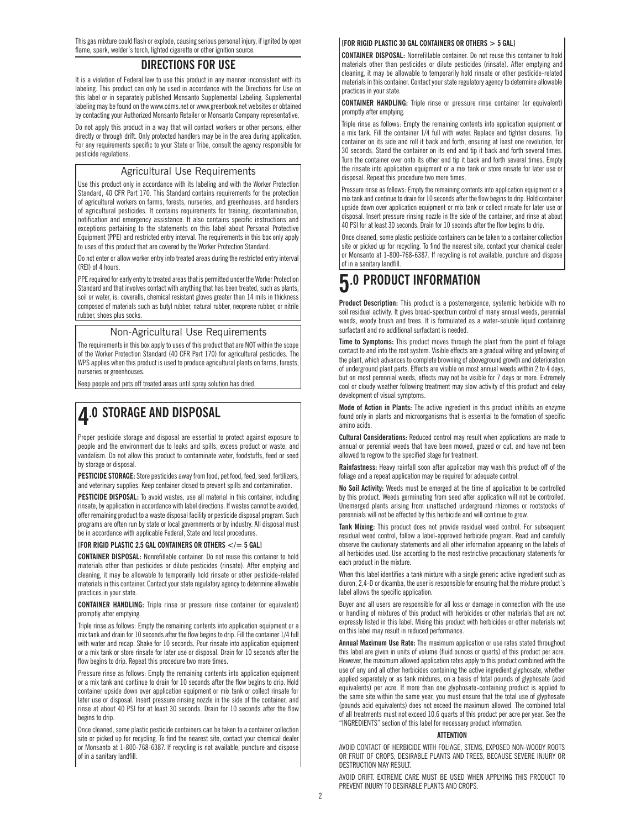This gas mixture could flash or explode, causing serious personal injury, if ignited by open flame, spark, welder's torch, lighted cigarette or other ignition source.

#### **DIRECTIONS FOR USE**

It is a violation of Federal law to use this product in any manner inconsistent with its labeling. This product can only be used in accordance with the Directions for Use on this label or in separately published Monsanto Supplemental Labeling. Supplemental labeling may be found on the www.cdms.net or www.greenbook.net websites or obtained by contacting your Authorized Monsanto Retailer or Monsanto Company representative.

Do not apply this product in a way that will contact workers or other persons, either directly or through drift. Only protected handlers may be in the area during application. For any requirements specific to your State or Tribe, consult the agency responsible for pesticide regulations.

#### Agricultural Use Requirements

Use this product only in accordance with its labeling and with the Worker Protection Standard, 40 CFR Part 170. This Standard contains requirements for the protection of agricultural workers on farms, forests, nurseries, and greenhouses, and handlers of agricultural pesticides. It contains requirements for training, decontamination, notification and emergency assistance. It also contains specific instructions and exceptions pertaining to the statements on this label about Personal Protective Equipment (PPE) and restricted entry interval. The requirements in this box only apply to uses of this product that are covered by the Worker Protection Standard.

Do not enter or allow worker entry into treated areas during the restricted entry interval (REI) of 4 hours.

PPE required for early entry to treated areas that is permitted under the Worker Protection Standard and that involves contact with anything that has been treated, such as plants, soil or water, is: coveralls, chemical resistant gloves greater than 14 mils in thickness composed of materials such as butyl rubber, natural rubber, neoprene rubber, or nitrile rubber, shoes plus socks.

#### Non-Agricultural Use Requirements

The requirements in this box apply to uses of this product that are NOT within the scope of the Worker Protection Standard (40 CFR Part 170) for agricultural pesticides. The WPS applies when this product is used to produce agricultural plants on farms, forests, nurseries or greenhouses.

Keep people and pets off treated areas until spray solution has dried.

### **4.0 STORAGE AND DISPOSAL**

Proper pesticide storage and disposal are essential to protect against exposure to people and the environment due to leaks and spills, excess product or waste, and vandalism. Do not allow this product to contaminate water, foodstuffs, feed or seed by storage or disposal.

**PESTICIDE STORAGE:** Store pesticides away from food, pet food, feed, seed, fertilizers, and veterinary supplies. Keep container closed to prevent spills and contamination.

**PESTICIDE DISPOSAL:** To avoid wastes, use all material in this container, including rinsate, by application in accordance with label directions. If wastes cannot be avoided, offer remaining product to a waste disposal facility or pesticide disposal program. Such programs are often run by state or local governments or by industry. All disposal must be in accordance with applicable Federal, State and local procedures.

#### **[FOR RIGID PLASTIC 2.5 GAL CONTAINERS OR OTHERS </= 5 GAL]**

**CONTAINER DISPOSAL:** Nonrefillable container. Do not reuse this container to hold materials other than pesticides or dilute pesticides (rinsate). After emptying and cleaning, it may be allowable to temporarily hold rinsate or other pesticide-related materials in this container. Contact your state regulatory agency to determine allowable practices in your state.

#### **CONTAINER HANDLING:** Triple rinse or pressure rinse container (or equivalent) promptly after emptying.

Triple rinse as follows: Empty the remaining contents into application equipment or a mix tank and drain for 10 seconds after the flow begins to drip. Fill the container 1/4 full with water and recap. Shake for 10 seconds. Pour rinsate into application equipment or a mix tank or store rinsate for later use or disposal. Drain for 10 seconds after the flow begins to drip. Repeat this procedure two more times.

Pressure rinse as follows: Empty the remaining contents into application equipment or a mix tank and continue to drain for 10 seconds after the flow begins to drip. Hold container upside down over application equipment or mix tank or collect rinsate for later use or disposal. Insert pressure rinsing nozzle in the side of the container, and rinse at about 40 PSI for at least 30 seconds. Drain for 10 seconds after the flow begins to drip.

Once cleaned, some plastic pesticide containers can be taken to a container collection site or picked up for recycling. To find the nearest site, contact your chemical dealer or Monsanto at 1-800-768-6387. If recycling is not available, puncture and dispose of in a sanitary landfill.

#### **[FOR RIGID PLASTIC 30 GAL CONTAINERS OR OTHERS > 5 GAL]**

**CONTAINER DISPOSAL:** Nonrefillable container. Do not reuse this container to hold materials other than pesticides or dilute pesticides (rinsate). After emptying and cleaning, it may be allowable to temporarily hold rinsate or other pesticide-related materials in this container. Contact your state regulatory agency to determine allowable practices in your state.

**CONTAINER HANDLING:** Triple rinse or pressure rinse container (or equivalent) promptly after emptying.

Triple rinse as follows: Empty the remaining contents into application equipment or a mix tank. Fill the container 1/4 full with water. Replace and tighten closures. Tip container on its side and roll it back and forth, ensuring at least one revolution, for 30 seconds. Stand the container on its end and tip it back and forth several times. Turn the container over onto its other end tip it back and forth several times. Empty the rinsate into application equipment or a mix tank or store rinsate for later use or disposal. Repeat this procedure two more times.

Pressure rinse as follows: Empty the remaining contents into application equipment or a mix tank and continue to drain for 10 seconds after the flow begins to drip. Hold container upside down over application equipment or mix tank or collect rinsate for later use or disposal. Insert pressure rinsing nozzle in the side of the container, and rinse at about 40 PSI for at least 30 seconds. Drain for 10 seconds after the flow begins to drip.

Once cleaned, some plastic pesticide containers can be taken to a container collection site or picked up for recycling. To find the nearest site, contact your chemical dealer or Monsanto at 1-800-768-6387. If recycling is not available, puncture and dispose of in a sanitary landfill.

### **5.0 PRODUCT INFORMATION**

**Product Description:** This product is a postemergence, systemic herbicide with no soil residual activity. It gives broad-spectrum control of many annual weeds, perennial weeds, woody brush and trees. It is formulated as a water-soluble liquid containing surfactant and no additional surfactant is needed.

**Time to Symptoms:** This product moves through the plant from the point of foliage contact to and into the root system. Visible effects are a gradual wilting and yellowing of the plant, which advances to complete browning of aboveground growth and deterioration of underground plant parts. Effects are visible on most annual weeds within 2 to 4 days, but on most perennial weeds, effects may not be visible for 7 days or more. Extremely cool or cloudy weather following treatment may slow activity of this product and delay development of visual symptoms.

**Mode of Action in Plants:** The active ingredient in this product inhibits an enzyme found only in plants and microorganisms that is essential to the formation of specific amino acids.

**Cultural Considerations:** Reduced control may result when applications are made to annual or perennial weeds that have been mowed, grazed or cut, and have not been allowed to regrow to the specified stage for treatment.

**Rainfastness:** Heavy rainfall soon after application may wash this product off of the foliage and a repeat application may be required for adequate control.

**No Soil Activity:** Weeds must be emerged at the time of application to be controlled by this product. Weeds germinating from seed after application will not be controlled. Unemerged plants arising from unattached underground rhizomes or rootstocks of perennials will not be affected by this herbicide and will continue to grow.

**Tank Mixing:** This product does not provide residual weed control. For subsequent residual weed control, follow a label-approved herbicide program. Read and carefully observe the cautionary statements and all other information appearing on the labels of all herbicides used. Use according to the most restrictive precautionary statements for each product in the mixture.

When this label identifies a tank mixture with a single generic active ingredient such as diuron, 2,4-D or dicamba, the user is responsible for ensuring that the mixture product's label allows the specific application.

Buyer and all users are responsible for all loss or damage in connection with the use or handling of mixtures of this product with herbicides or other materials that are not expressly listed in this label. Mixing this product with herbicides or other materials not on this label may result in reduced performance.

**Annual Maximum Use Rate:** The maximum application or use rates stated throughout this label are given in units of volume (fluid ounces or quarts) of this product per acre. However, the maximum allowed application rates apply to this product combined with the use of any and all other herbicides containing the active ingredient glyphosate, whether applied separately or as tank mixtures, on a basis of total pounds of glyphosate (acid equivalents) per acre. If more than one glyphosate-containing product is applied to the same site within the same year, you must ensure that the total use of glyphosate (pounds acid equivalents) does not exceed the maximum allowed. The combined total of all treatments must not exceed 10.6 quarts of this product per acre per year. See the "INGREDIENTS" section of this label for necessary product information.

#### **ATTENTION**

AVOID CONTACT OF HERBICIDE WITH FOLIAGE, STEMS, EXPOSED NON-WOODY ROOTS OR FRUIT OF CROPS, DESIRABLE PLANTS AND TREES, BECAUSE SEVERE INJURY OR DESTRUCTION MAY RESULT.

AVOID DRIFT. EXTREME CARE MUST BE USED WHEN APPLYING THIS PRODUCT TO PREVENT INJURY TO DESIRABLE PLANTS AND CROPS.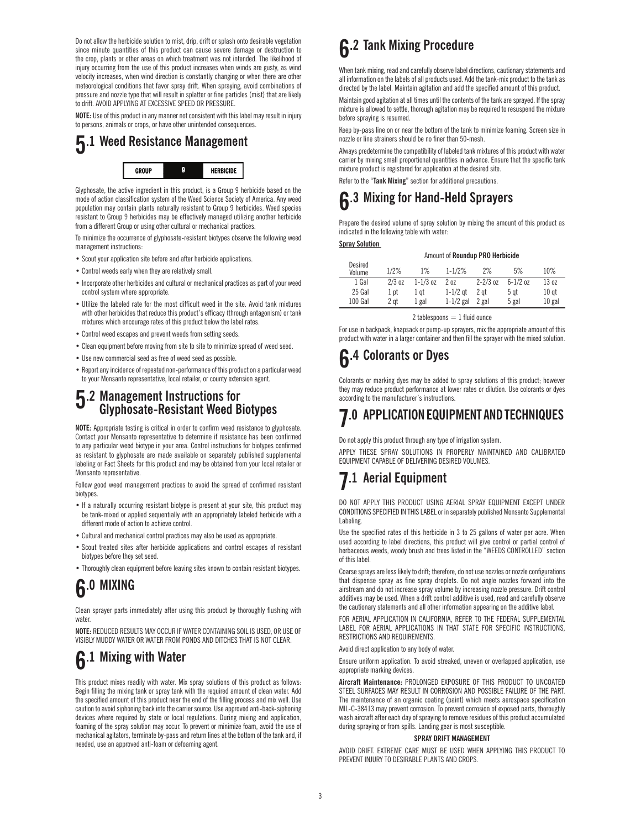Do not allow the herbicide solution to mist, drip, drift or splash onto desirable vegetation since minute quantities of this product can cause severe damage or destruction to the crop, plants or other areas on which treatment was not intended. The likelihood of injury occurring from the use of this product increases when winds are gusty, as wind velocity increases, when wind direction is constantly changing or when there are other meteorological conditions that favor spray drift. When spraying, avoid combinations of pressure and nozzle type that will result in splatter or fine particles (mist) that are likely to drift. AVOID APPLYING AT EXCESSIVE SPEED OR PRESSURE.

**NOTE:** Use of this product in any manner not consistent with this label may result in injury to persons, animals or crops, or have other unintended consequences.

#### **5.1 Weed Resistance Management GROUP** 9 **HERBICIDE**

Glyphosate, the active ingredient in this product, is a Group 9 herbicide based on the mode of action classification system of the Weed Science Society of America. Any weed population may contain plants naturally resistant to Group 9 herbicides. Weed species resistant to Group 9 herbicides may be effectively managed utilizing another herbicide from a different Group or using other cultural or mechanical practices.

To minimize the occurrence of glyphosate-resistant biotypes observe the following weed management instructions:

- Scout your application site before and after herbicide applications.
- Control weeds early when they are relatively small.
- Incorporate other herbicides and cultural or mechanical practices as part of your weed control system where appropriate.
- Utilize the labeled rate for the most difficult weed in the site. Avoid tank mixtures with other herbicides that reduce this product's efficacy (through antagonism) or tank mixtures which encourage rates of this product below the label rates.
- Control weed escapes and prevent weeds from setting seeds.
- Clean equipment before moving from site to site to minimize spread of weed seed.
- Use new commercial seed as free of weed seed as possible.
- Report any incidence of repeated non-performance of this product on a particular weed to your Monsanto representative, local retailer, or county extension agent.

### **5.2 Management Instructions for Glyphosate-Resistant Weed Biotypes**

**NOTE:** Appropriate testing is critical in order to confirm weed resistance to glyphosate. Contact your Monsanto representative to determine if resistance has been confirmed to any particular weed biotype in your area. Control instructions for biotypes confirmed as resistant to glyphosate are made available on separately published supplemental labeling or Fact Sheets for this product and may be obtained from your local retailer or Monsanto representative.

Follow good weed management practices to avoid the spread of confirmed resistant biotypes.

- If a naturally occurring resistant biotype is present at your site, this product may be tank-mixed or applied sequentially with an appropriately labeled herbicide with a different mode of action to achieve control.
- Cultural and mechanical control practices may also be used as appropriate.
- Scout treated sites after herbicide applications and control escapes of resistant biotypes before they set seed.
- Thoroughly clean equipment before leaving sites known to contain resistant biotypes.

## **6.0 MIXING**

Clean sprayer parts immediately after using this product by thoroughly flushing with water.

**NOTE:** REDUCED RESULTS MAY OCCUR IF WATER CONTAINING SOIL IS USED, OR USE OF VISIBLY MUDDY WATER OR WATER FROM PONDS AND DITCHES THAT IS NOT CLEAR.

## **6.1 Mixing with Water**

This product mixes readily with water. Mix spray solutions of this product as follows: Begin filling the mixing tank or spray tank with the required amount of clean water. Add the specified amount of this product near the end of the filling process and mix well. Use caution to avoid siphoning back into the carrier source. Use approved anti-back-siphoning devices where required by state or local regulations. During mixing and application, foaming of the spray solution may occur. To prevent or minimize foam, avoid the use of mechanical agitators, terminate by-pass and return lines at the bottom of the tank and, if needed, use an approved anti-foam or defoaming agent.

### **6.2 Tank Mixing Procedure**

When tank mixing, read and carefully observe label directions, cautionary statements and all information on the labels of all products used. Add the tank-mix product to the tank as directed by the label. Maintain agitation and add the specified amount of this product.

Maintain good agitation at all times until the contents of the tank are sprayed. If the spray mixture is allowed to settle, thorough agitation may be required to resuspend the mixture before spraying is resumed.

Keep by-pass line on or near the bottom of the tank to minimize foaming. Screen size in nozzle or line strainers should be no finer than 50-mesh.

Always predetermine the compatibility of labeled tank mixtures of this product with water carrier by mixing small proportional quantities in advance. Ensure that the specific tank mixture product is registered for application at the desired site.

Refer to the "**Tank Mixing**" section for additional precautions.

## **6.3 Mixing for Hand-Held Sprayers**

Prepare the desired volume of spray solution by mixing the amount of this product as indicated in the following table with water:

#### **Spray Solution**

| Desired<br>Volume | 1/2%     | $1\%$        | $1 - 1/2%$      | 2%           | 5%           | 10%              |
|-------------------|----------|--------------|-----------------|--------------|--------------|------------------|
| 1 Gal             | $2/3$ oz | $1 - 1/3$ oz | 20 <sub>z</sub> | $2 - 2/3$ oz | $6 - 1/2$ oz | 13 oz            |
| 25 Gal            | 1 pt     | 1 at         | $1-1/2$ at      | $2$ at       | 5 at         | 10 <sub>at</sub> |
| 100 Gal           | 2 at     | 1 gal        | $1-1/2$ gal     | 2 gal        | 5 gal        | $10$ gal         |

Amount of **Roundup PRO Herbicide**

2 tablespoons  $= 1$  fluid ounce

For use in backpack, knapsack or pump-up sprayers, mix the appropriate amount of this product with water in a larger container and then fill the sprayer with the mixed solution.

### **6.4 Colorants or Dyes**

Colorants or marking dyes may be added to spray solutions of this product; however they may reduce product performance at lower rates or dilution. Use colorants or dyes according to the manufacturer's instructions.

## **7.0 APPLICATION EQUIPMENT AND TECHNIQUES**

Do not apply this product through any type of irrigation system.

APPLY THESE SPRAY SOLUTIONS IN PROPERLY MAINTAINED AND CALIBRATED EQUIPMENT CAPABLE OF DELIVERING DESIRED VOLUMES.

### **7.1 Aerial Equipment**

DO NOT APPLY THIS PRODUCT USING AERIAL SPRAY EQUIPMENT EXCEPT UNDER CONDITIONS SPECIFIED IN THIS LABEL or in separately published Monsanto Supplemental Labeling.

Use the specified rates of this herbicide in 3 to 25 gallons of water per acre. When used according to label directions, this product will give control or partial control of herbaceous weeds, woody brush and trees listed in the "WEEDS CONTROLLED" section of this label.

Coarse sprays are less likely to drift; therefore, do not use nozzles or nozzle configurations that dispense spray as fine spray droplets. Do not angle nozzles forward into the airstream and do not increase spray volume by increasing nozzle pressure. Drift control additives may be used. When a drift control additive is used, read and carefully observe the cautionary statements and all other information appearing on the additive label.

FOR AERIAL APPLICATION IN CALIFORNIA, REFER TO THE FEDERAL SUPPLEMENTAL LABEL FOR AERIAL APPLICATIONS IN THAT STATE FOR SPECIFIC INSTRUCTIONS, RESTRICTIONS AND REQUIREMENTS.

Avoid direct application to any body of water.

Ensure uniform application. To avoid streaked, uneven or overlapped application, use appropriate marking devices.

**Aircraft Maintenance:** PROLONGED EXPOSURE OF THIS PRODUCT TO UNCOATED STEEL SURFACES MAY RESULT IN CORROSION AND POSSIBLE FAILURE OF THE PART. The maintenance of an organic coating (paint) which meets aerospace specification MIL-C-38413 may prevent corrosion. To prevent corrosion of exposed parts, thoroughly wash aircraft after each day of spraying to remove residues of this product accumulated during spraying or from spills. Landing gear is most susceptible.

#### **SPRAY DRIFT MANAGEMENT**

AVOID DRIFT. EXTREME CARE MUST BE USED WHEN APPLYING THIS PRODUCT TO PREVENT INJURY TO DESIRABLE PLANTS AND CROPS.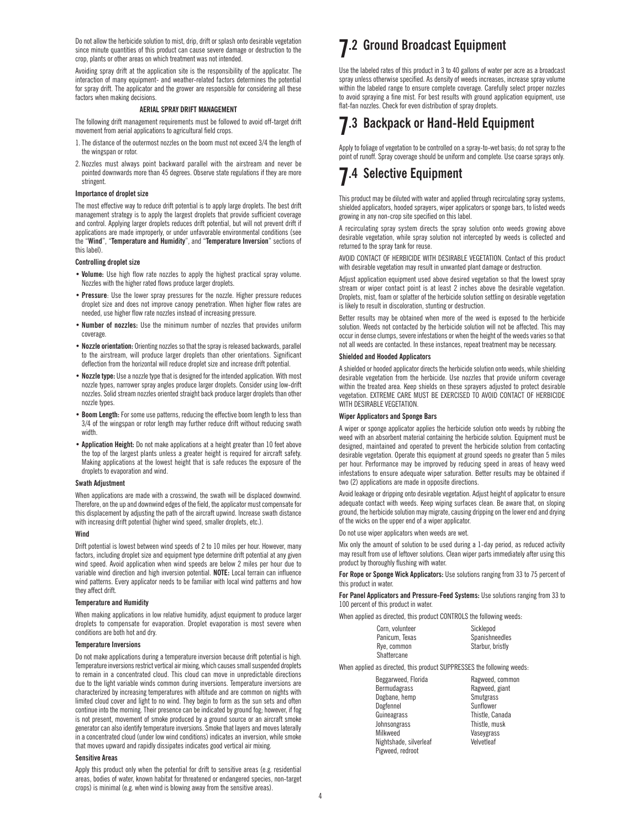Do not allow the herbicide solution to mist, drip, drift or splash onto desirable vegetation since minute quantities of this product can cause severe damage or destruction to the crop, plants or other areas on which treatment was not intended.

Avoiding spray drift at the application site is the responsibility of the applicator. The interaction of many equipment- and weather-related factors determines the potential for spray drift. The applicator and the grower are responsible for considering all these factors when making decisions.

#### **AERIAL SPRAY DRIFT MANAGEMENT**

The following drift management requirements must be followed to avoid off-target drift movement from aerial applications to agricultural field crops.

- 1.The distance of the outermost nozzles on the boom must not exceed 3/4 the length of the wingspan or rotor.
- 2. Nozzles must always point backward parallel with the airstream and never be pointed downwards more than 45 degrees. Observe state regulations if they are more stringent.

#### **Importance of droplet size**

The most effective way to reduce drift potential is to apply large droplets. The best drift management strategy is to apply the largest droplets that provide sufficient coverage and control. Applying larger droplets reduces drift potential, but will not prevent drift if applications are made improperly, or under unfavorable environmental conditions (see the "**Wind**", "**Temperature and Humidity**", and "**Temperature Inversion**" sections of this label).

#### **Controlling droplet size**

- **Volume:** Use high flow rate nozzles to apply the highest practical spray volume. Nozzles with the higher rated flows produce larger droplets.
- **Pressure**: Use the lower spray pressures for the nozzle. Higher pressure reduces droplet size and does not improve canopy penetration. When higher flow rates are needed, use higher flow rate nozzles instead of increasing pressure.
- **�Number of nozzles:** Use the minimum number of nozzles that provides uniform coverage.
- **�Nozzle orientation:** Orienting nozzles so that the spray is released backwards, parallel to the airstream, will produce larger droplets than other orientations. Significant deflection from the horizontal will reduce droplet size and increase drift potential.
- **�Nozzle type:** Use a nozzle type that is designed for the intended application. With most nozzle types, narrower spray angles produce larger droplets. Consider using low-drift nozzles. Solid stream nozzles oriented straight back produce larger droplets than other nozzle types.
- **Boom Length:** For some use patterns, reducing the effective boom length to less than 3/4 of the wingspan or rotor length may further reduce drift without reducing swath width.
- **�Application Height:** Do not make applications at a height greater than 10 feet above the top of the largest plants unless a greater height is required for aircraft safety. Making applications at the lowest height that is safe reduces the exposure of the droplets to evaporation and wind.

#### **Swath Adjustment**

When applications are made with a crosswind, the swath will be displaced downwind. Therefore, on the up and downwind edges of the field, the applicator must compensate for this displacement by adjusting the path of the aircraft upwind. Increase swath distance with increasing drift potential (higher wind speed, smaller droplets, etc.).

#### **Wind**

Drift potential is lowest between wind speeds of 2 to 10 miles per hour. However, many factors, including droplet size and equipment type determine drift potential at any given wind speed. Avoid application when wind speeds are below 2 miles per hour due to variable wind direction and high inversion potential. **NOTE:** Local terrain can influence wind patterns. Every applicator needs to be familiar with local wind patterns and how they affect drift.

#### **Temperature and Humidity**

When making applications in low relative humidity, adjust equipment to produce larger droplets to compensate for evaporation. Droplet evaporation is most severe when conditions are both hot and dry.

#### **Temperature Inversions**

Do not make applications during a temperature inversion because drift potential is high. Temperature inversions restrict vertical air mixing, which causes small suspended droplets to remain in a concentrated cloud. This cloud can move in unpredictable directions due to the light variable winds common during inversions. Temperature inversions are characterized by increasing temperatures with altitude and are common on nights with limited cloud cover and light to no wind. They begin to form as the sun sets and often continue into the morning. Their presence can be indicated by ground fog; however, if fog is not present, movement of smoke produced by a ground source or an aircraft smoke generator can also identify temperature inversions. Smoke that layers and moves laterally in a concentrated cloud (under low wind conditions) indicates an inversion, while smoke that moves upward and rapidly dissipates indicates good vertical air mixing.

#### **Sensitive Areas**

Apply this product only when the potential for drift to sensitive areas (e.g. residential areas, bodies of water, known habitat for threatened or endangered species, non-target crops) is minimal (e.g. when wind is blowing away from the sensitive areas).

### **7.2 Ground Broadcast Equipment**

Use the labeled rates of this product in 3 to 40 gallons of water per acre as a broadcast spray unless otherwise specified. As density of weeds increases, increase spray volume within the labeled range to ensure complete coverage. Carefully select proper nozzles to avoid spraying a fine mist. For best results with ground application equipment, use flat-fan nozzles. Check for even distribution of spray droplets.

### **7.3 Backpack or Hand-Held Equipment**

Apply to foliage of vegetation to be controlled on a spray-to-wet basis; do not spray to the point of runoff. Spray coverage should be uniform and complete. Use coarse sprays only.

### **7.4 Selective Equipment**

This product may be diluted with water and applied through recirculating spray systems, shielded applicators, hooded sprayers, wiper applicators or sponge bars, to listed weeds growing in any non-crop site specified on this label.

A recirculating spray system directs the spray solution onto weeds growing above desirable vegetation, while spray solution not intercepted by weeds is collected and returned to the spray tank for reuse.

AVOID CONTACT OF HERBICIDE WITH DESIRABLE VEGETATION. Contact of this product with desirable vegetation may result in unwanted plant damage or destruction.

Adjust application equipment used above desired vegetation so that the lowest spray stream or wiper contact point is at least 2 inches above the desirable vegetation. Droplets, mist, foam or splatter of the herbicide solution settling on desirable vegetation is likely to result in discoloration, stunting or destruction.

Better results may be obtained when more of the weed is exposed to the herbicide solution. Weeds not contacted by the herbicide solution will not be affected. This may occur in dense clumps, severe infestations or when the height of the weeds varies so that not all weeds are contacted. In these instances, repeat treatment may be necessary.

#### **Shielded and Hooded Applicators**

A shielded or hooded applicator directs the herbicide solution onto weeds, while shielding desirable vegetation from the herbicide. Use nozzles that provide uniform coverage within the treated area. Keep shields on these sprayers adjusted to protect desirable vegetation. EXTREME CARE MUST BE EXERCISED TO AVOID CONTACT OF HERBICIDE WITH DESIRABLE VEGETATION.

#### **Wiper Applicators and Sponge Bars**

A wiper or sponge applicator applies the herbicide solution onto weeds by rubbing the weed with an absorbent material containing the herbicide solution. Equipment must be designed, maintained and operated to prevent the herbicide solution from contacting desirable vegetation. Operate this equipment at ground speeds no greater than 5 miles per hour. Performance may be improved by reducing speed in areas of heavy weed infestations to ensure adequate wiper saturation. Better results may be obtained if two (2) applications are made in opposite directions.

Avoid leakage or dripping onto desirable vegetation. Adjust height of applicator to ensure adequate contact with weeds. Keep wiping surfaces clean. Be aware that, on sloping ground, the herbicide solution may migrate, causing dripping on the lower end and drying of the wicks on the upper end of a wiper applicator.

#### Do not use wiper applicators when weeds are wet.

Mix only the amount of solution to be used during a 1-day period, as reduced activity may result from use of leftover solutions. Clean wiper parts immediately after using this product by thoroughly flushing with water.

**For Rope or Sponge Wick Applicators:** Use solutions ranging from 33 to 75 percent of this product in water.

**For Panel Applicators and Pressure-Feed Systems:** Use solutions ranging from 33 to 100 percent of this product in water.

When applied as directed, this product CONTROLS the following weeds:

| Corn. volunteer<br>Panicum. Texas | Sicklepod<br>Spanishneedles |
|-----------------------------------|-----------------------------|
| Rye, common                       | Starbur, bristly            |
| Shattercane                       |                             |

When applied as directed, this product SUPPRESSES the following weeds:

| Beggarweed, Florida    | Ragweed, common |
|------------------------|-----------------|
| <b>Bermudagrass</b>    | Ragweed, giant  |
| Dogbane, hemp          | Smutgrass       |
| Dogfennel              | Sunflower       |
| Guineagrass            | Thistle, Canada |
| Johnsongrass           | Thistle, musk   |
| Milkweed               | Vaseygrass      |
| Nightshade, silverleaf | Velvetleaf      |
| Pigweed, redroot       |                 |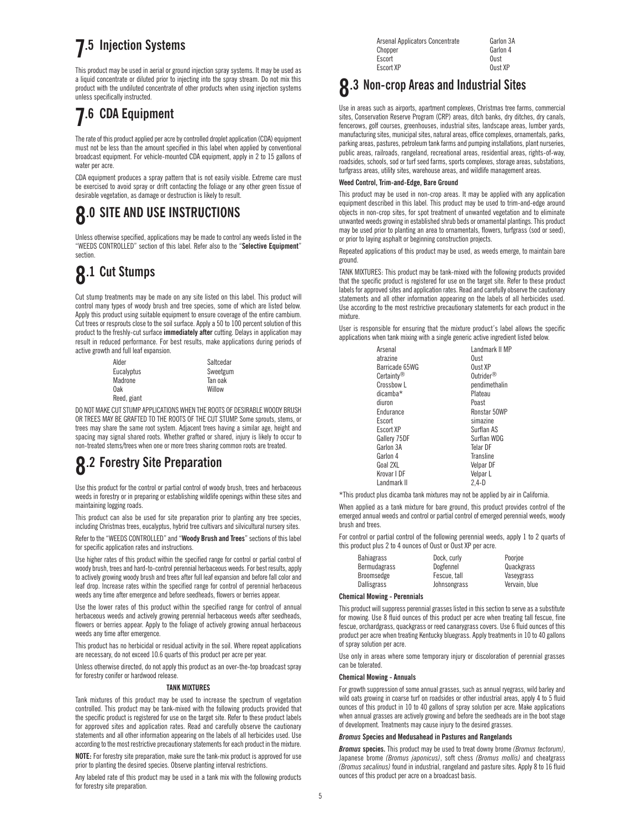### **7.5 Injection Systems**

This product may be used in aerial or ground injection spray systems. It may be used as a liquid concentrate or diluted prior to injecting into the spray stream. Do not mix this product with the undiluted concentrate of other products when using injection systems unless specifically instructed.

### **7.6 CDA Equipment**

The rate of this product applied per acre by controlled droplet application (CDA) equipment must not be less than the amount specified in this label when applied by conventional broadcast equipment. For vehicle-mounted CDA equipment, apply in 2 to 15 gallons of water per acre.

CDA equipment produces a spray pattern that is not easily visible. Extreme care must be exercised to avoid spray or drift contacting the foliage or any other green tissue of desirable vegetation, as damage or destruction is likely to result.

### **8.0 SITE AND USE INSTRUCTIONS**

Unless otherwise specified, applications may be made to control any weeds listed in the "WEEDS CONTROLLED" section of this label. Refer also to the "**Selective Equipment**" section.

## **8.1 Cut Stumps**

Cut stump treatments may be made on any site listed on this label. This product will control many types of woody brush and tree species, some of which are listed below. Apply this product using suitable equipment to ensure coverage of the entire cambium. Cut trees or resprouts close to the soil surface. Apply a 50 to 100 percent solution of this product to the freshly-cut surface **immediately after** cutting. Delays in application may result in reduced performance. For best results, make applications during periods of active growth and full leaf expansion.

| Alder       | Saltcedar |
|-------------|-----------|
| Eucalyptus  | Sweetgum  |
| Madrone     | Tan oak   |
| 0ak         | Willow    |
| Reed, giant |           |

DO NOT MAKE CUT STUMP APPLICATIONS WHEN THE ROOTS OF DESIRABLE WOODY BRUSH OR TREES MAY BE GRAFTED TO THE ROOTS OF THE CUT STUMP. Some sprouts, stems, or trees may share the same root system. Adjacent trees having a similar age, height and spacing may signal shared roots. Whether grafted or shared, injury is likely to occur to non-treated stems/trees when one or more trees sharing common roots are treated.

### **8.2 Forestry Site Preparation**

Use this product for the control or partial control of woody brush, trees and herbaceous weeds in forestry or in preparing or establishing wildlife openings within these sites and maintaining logging roads.

This product can also be used for site preparation prior to planting any tree species, including Christmas trees, eucalyptus, hybrid tree cultivars and silvicultural nursery sites.

Refer to the "WEEDS CONTROLLED" and "**Woody Brush and Trees**" sections of this label for specific application rates and instructions.

Use higher rates of this product within the specified range for control or partial control of woody brush, trees and hard-to-control perennial herbaceous weeds. For best results, apply to actively growing woody brush and trees after full leaf expansion and before fall color and leaf drop. Increase rates within the specified range for control of perennial herbaceous weeds any time after emergence and before seedheads, flowers or berries appear.

Use the lower rates of this product within the specified range for control of annual herbaceous weeds and actively growing perennial herbaceous weeds after seedheads, flowers or berries appear. Apply to the foliage of actively growing annual herbaceous weeds any time after emergence.

This product has no herbicidal or residual activity in the soil. Where repeat applications are necessary, do not exceed 10.6 quarts of this product per acre per year.

Unless otherwise directed, do not apply this product as an over-the-top broadcast spray for forestry conifer or hardwood release.

#### **TANK MIXTURES**

Tank mixtures of this product may be used to increase the spectrum of vegetation controlled. This product may be tank-mixed with the following products provided that the specific product is registered for use on the target site. Refer to these product labels for approved sites and application rates. Read and carefully observe the cautionary statements and all other information appearing on the labels of all herbicides used. Use according to the most restrictive precautionary statements for each product in the mixture.

**NOTE:** For forestry site preparation, make sure the tank-mix product is approved for use prior to planting the desired species. Observe planting interval restrictions.

Any labeled rate of this product may be used in a tank mix with the following products for forestry site preparation.

| Arsenal Applicators Concentrate | Garlon 3A |
|---------------------------------|-----------|
| Chopper                         | Garlon 4  |
| Escort                          | Oust      |
| Escort XP                       | Oust XP   |
|                                 |           |

### **8.3 Non-crop Areas and Industrial Sites**

Use in areas such as airports, apartment complexes, Christmas tree farms, commercial sites, Conservation Reserve Program (CRP) areas, ditch banks, dry ditches, dry canals, fencerows, golf courses, greenhouses, industrial sites, landscape areas, lumber yards, manufacturing sites, municipal sites, natural areas, office complexes, ornamentals, parks, parking areas, pastures, petroleum tank farms and pumping installations, plant nurseries, public areas, railroads, rangeland, recreational areas, residential areas, rights-of-way, roadsides, schools, sod or turf seed farms, sports complexes, storage areas, substations, turfgrass areas, utility sites, warehouse areas, and wildlife management areas.

#### **Weed Control, Trim-and-Edge, Bare Ground**

This product may be used in non-crop areas. It may be applied with any application equipment described in this label. This product may be used to trim-and-edge around objects in non-crop sites, for spot treatment of unwanted vegetation and to eliminate unwanted weeds growing in established shrub beds or ornamental plantings. This product may be used prior to planting an area to ornamentals, flowers, turfgrass (sod or seed), or prior to laying asphalt or beginning construction projects.

Repeated applications of this product may be used, as weeds emerge, to maintain bare ground.

TANK MIXTURES: This product may be tank-mixed with the following products provided that the specific product is registered for use on the target site. Refer to these product labels for approved sites and application rates. Read and carefully observe the cautionary statements and all other information appearing on the labels of all herbicides used. Use according to the most restrictive precautionary statements for each product in the mixture.

User is responsible for ensuring that the mixture product's label allows the specific applications when tank mixing with a single generic active ingredient listed below.

| Arsenal                | Landmark II MP        |
|------------------------|-----------------------|
| atrazine               | Oust                  |
| Barricade 65WG         | Oust XP               |
| Certainty <sup>®</sup> | Outrider <sup>®</sup> |
| Crossbow L             | pendimethalin         |
| dicamba*               | Plateau               |
| diuron                 | Poast                 |
| Endurance              | Ronstar 50WP          |
| Escort                 | simazine              |
| Escort XP              | Surflan AS            |
| Gallery 75DF           | Surflan WDG           |
| Garlon 3A              | Telar DF              |
| Garlon 4               | Transline             |
| Goal 2XL               | Velpar DF             |
| Krovar I DF            | Velpar L              |
| Landmark II            | 2.4-D                 |

\*This product plus dicamba tank mixtures may not be applied by air in California.

When applied as a tank mixture for bare ground, this product provides control of the emerged annual weeds and control or partial control of emerged perennial weeds, woody brush and trees.

For control or partial control of the following perennial weeds, apply 1 to 2 quarts of this product plus 2 to 4 ounces of Oust or Oust XP per acre.

| Dock, curly  | Poorioe       |
|--------------|---------------|
| Dogfennel    | Quackgrass    |
| Fescue, tall | Vaseygrass    |
| Johnsongrass | Vervain, blue |
|              |               |

#### **Chemical Mowing - Perennials**

This product will suppress perennial grasses listed in this section to serve as a substitute for mowing. Use 8 fluid ounces of this product per acre when treating tall fescue, fine fescue, orchardgrass, quackgrass or reed canarygrass covers. Use 6 fluid ounces of this product per acre when treating Kentucky bluegrass. Apply treatments in 10 to 40 gallons of spray solution per acre.

Use only in areas where some temporary injury or discoloration of perennial grasses can be tolerated.

#### **Chemical Mowing - Annuals**

For growth suppression of some annual grasses, such as annual ryegrass, wild barley and wild oats growing in coarse turf on roadsides or other industrial areas, apply 4 to 5 fluid ounces of this product in 10 to 40 gallons of spray solution per acre. Make applications when annual grasses are actively growing and before the seedheads are in the boot stage of development. Treatments may cause injury to the desired grasses.

#### *Bromus* **Species and Medusahead in Pastures and Rangelands**

*Bromus* **species.** This product may be used to treat downy brome *(Bromus tectorum)*, Japanese brome *(Bromus japonicus)*, soft chess *(Bromus mollis)* and cheatgrass *(Bromus secalinus)* found in industrial, rangeland and pasture sites. Apply 8 to 16 fluid ounces of this product per acre on a broadcast basis.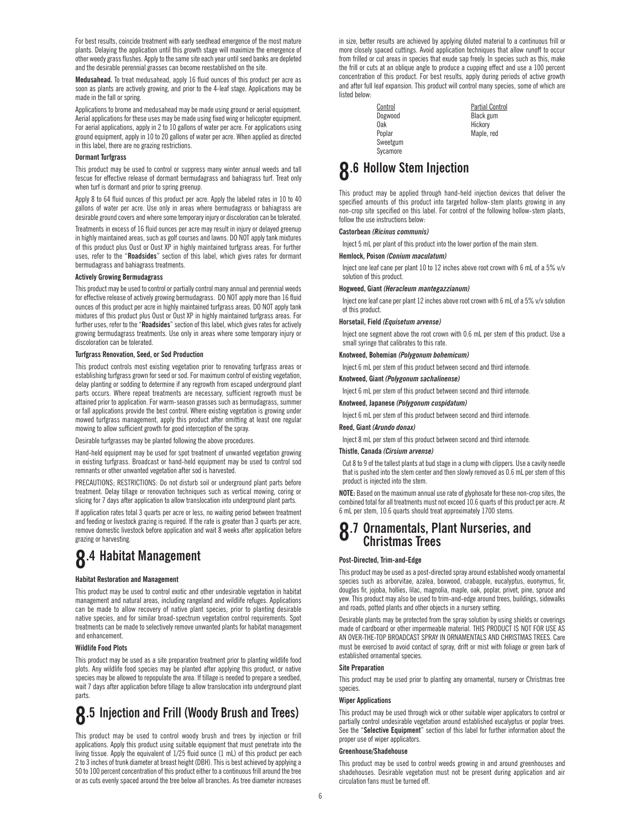For best results, coincide treatment with early seedhead emergence of the most mature plants. Delaying the application until this growth stage will maximize the emergence of other weedy grass flushes. Apply to the same site each year until seed banks are depleted and the desirable perennial grasses can become reestablished on the site.

**Medusahead.** To treat medusahead, apply 16 fluid ounces of this product per acre as soon as plants are actively growing, and prior to the 4-leaf stage. Applications may be made in the fall or spring.

Applications to brome and medusahead may be made using ground or aerial equipment. Aerial applications for these uses may be made using fixed wing or helicopter equipment. For aerial applications, apply in 2 to 10 gallons of water per acre. For applications using ground equipment, apply in 10 to 20 gallons of water per acre. When applied as directed in this label, there are no grazing restrictions.

#### **Dormant Turfgrass**

This product may be used to control or suppress many winter annual weeds and tall fescue for effective release of dormant bermudagrass and bahiagrass turf. Treat only when turf is dormant and prior to spring greenup.

Apply 8 to 64 fluid ounces of this product per acre. Apply the labeled rates in 10 to 40 gallons of water per acre. Use only in areas where bermudagrass or bahiagrass are desirable ground covers and where some temporary injury or discoloration can be tolerated.

Treatments in excess of 16 fluid ounces per acre may result in injury or delayed greenup in highly maintained areas, such as golf courses and lawns. DO NOT apply tank mixtures of this product plus Oust or Oust XP in highly maintained turfgrass areas. For further uses, refer to the "**Roadsides**" section of this label, which gives rates for dormant bermudagrass and bahiagrass treatments.

#### **Actively Growing Bermudagrass**

This product may be used to control or partially control many annual and perennial weeds for effective release of actively growing bermudagrass. DO NOT apply more than 16 fluid ounces of this product per acre in highly maintained turfgrass areas. DO NOT apply tank mixtures of this product plus Oust or Oust XP in highly maintained turfgrass areas. For further uses, refer to the "**Roadsides**" section of this label, which gives rates for actively growing bermudagrass treatments. Use only in areas where some temporary injury or discoloration can be tolerated.

#### **Turfgrass Renovation, Seed, or Sod Production**

This product controls most existing vegetation prior to renovating turfgrass areas or establishing turfgrass grown for seed or sod. For maximum control of existing vegetation, delay planting or sodding to determine if any regrowth from escaped underground plant parts occurs. Where repeat treatments are necessary, sufficient regrowth must be attained prior to application. For warm-season grasses such as bermudagrass, summer or fall applications provide the best control. Where existing vegetation is growing under mowed turfgrass management, apply this product after omitting at least one regular mowing to allow sufficient growth for good interception of the spray.

Desirable turfgrasses may be planted following the above procedures.

Hand-held equipment may be used for spot treatment of unwanted vegetation growing in existing turfgrass. Broadcast or hand-held equipment may be used to control sod remnants or other unwanted vegetation after sod is harvested.

PRECAUTIONS; RESTRICTIONS: Do not disturb soil or underground plant parts before treatment. Delay tillage or renovation techniques such as vertical mowing, coring or slicing for 7 days after application to allow translocation into underground plant parts.

If application rates total 3 quarts per acre or less, no waiting period between treatment and feeding or livestock grazing is required. If the rate is greater than 3 quarts per acre, remove domestic livestock before application and wait 8 weeks after application before grazing or harvesting.

### **8.4 Habitat Management**

#### **Habitat Restoration and Management**

This product may be used to control exotic and other undesirable vegetation in habitat management and natural areas, including rangeland and wildlife refuges. Applications can be made to allow recovery of native plant species, prior to planting desirable native species, and for similar broad-spectrum vegetation control requirements. Spot treatments can be made to selectively remove unwanted plants for habitat management and enhancement.

#### **Wildlife Food Plots**

This product may be used as a site preparation treatment prior to planting wildlife food plots. Any wildlife food species may be planted after applying this product, or native species may be allowed to repopulate the area. If tillage is needed to prepare a seedbed, wait 7 days after application before tillage to allow translocation into underground plant parts.

### **8.5 Injection and Frill (Woody Brush and Trees)**

This product may be used to control woody brush and trees by injection or frill applications. Apply this product using suitable equipment that must penetrate into the living tissue. Apply the equivalent of 1/25 fluid ounce (1 mL) of this product per each 2 to 3 inches of trunk diameter at breast height (DBH). This is best achieved by applying a 50 to 100 percent concentration of this product either to a continuous frill around the tree or as cuts evenly spaced around the tree below all branches. As tree diameter increases

in size, better results are achieved by applying diluted material to a continuous frill or more closely spaced cuttings. Avoid application techniques that allow runoff to occur from frilled or cut areas in species that exude sap freely. In species such as this, make the frill or cuts at an oblique angle to produce a cupping effect and use a 100 percent concentration of this product. For best results, apply during periods of active growth and after full leaf expansion. This product will control many species, some of which are listed below:

> Sweetgum Sycamore

Control **Partial Control** Dogwood Black gum Oak Hickory<br>Poplar Maple, r Maple, red

### **8.6 Hollow Stem Injection**

This product may be applied through hand-held injection devices that deliver the specified amounts of this product into targeted hollow-stem plants growing in any non-crop site specified on this label. For control of the following hollow-stem plants, follow the use instructions below-

#### **Castorbean** *(Ricinus communis)*

Inject 5 mL per plant of this product into the lower portion of the main stem.

#### **Hemlock, Poison** *(Conium maculatum)*

Inject one leaf cane per plant 10 to 12 inches above root crown with 6 mL of a 5% v/v solution of this product.

#### **Hogweed, Giant** *(Heracleum mantegazzianum)*

Inject one leaf cane per plant 12 inches above root crown with 6 mL of a 5% v/v solution of this product.

#### **Horsetail, Field** *(Equisetum arvense)*

Inject one segment above the root crown with 0.6 mL per stem of this product. Use a small syringe that calibrates to this rate.

#### **Knotweed, Bohemian** *(Polygonum bohemicum)*

Inject 6 mL per stem of this product between second and third internode.

#### **Knotweed, Giant** *(Polygonum sachalinense)*

Inject 6 mL per stem of this product between second and third internode.

#### **Knotweed, Japanese** *(Polygonum cuspidatum)*

Inject 6 mL per stem of this product between second and third internode.

#### **Reed, Giant** *(Arundo donax)*

Inject 8 mL per stem of this product between second and third internode.

#### **Thistle, Canada** *(Cirsium arvense)*

Cut 8 to 9 of the tallest plants at bud stage in a clump with clippers. Use a cavity needle that is pushed into the stem center and then slowly removed as 0.6 mL per stem of this product is injected into the stem.

**NOTE:** Based on the maximum annual use rate of glyphosate for these non-crop sites, the combined total for all treatments must not exceed 10.6 quarts of this product per acre. At 6 mL per stem, 10.6 quarts should treat approximately 1700 stems.

# **8.7 Ornamentals, Plant Nurseries, and Christmas Trees**

#### **Post-Directed, Trim-and-Edge**

This product may be used as a post-directed spray around established woody ornamental species such as arborvitae, azalea, boxwood, crabapple, eucalyptus, euonymus, fir, douglas fir, jojoba, hollies, lilac, magnolia, maple, oak, poplar, privet, pine, spruce and yew. This product may also be used to trim-and-edge around trees, buildings, sidewalks and roads, potted plants and other objects in a nursery setting.

Desirable plants may be protected from the spray solution by using shields or coverings made of cardboard or other impermeable material. THIS PRODUCT IS NOT FOR USE AS AN OVER-THE-TOP BROADCAST SPRAY IN ORNAMENTALS AND CHRISTMAS TREES. Care must be exercised to avoid contact of spray, drift or mist with foliage or green bark of established ornamental species.

#### **Site Preparation**

This product may be used prior to planting any ornamental, nursery or Christmas tree species.

#### **Wiper Applications**

This product may be used through wick or other suitable wiper applicators to control or partially control undesirable vegetation around established eucalyptus or poplar trees. See the "**Selective Equipment**" section of this label for further information about the proper use of wiper applicators.

#### **Greenhouse/Shadehouse**

This product may be used to control weeds growing in and around greenhouses and shadehouses. Desirable vegetation must not be present during application and air circulation fans must be turned off.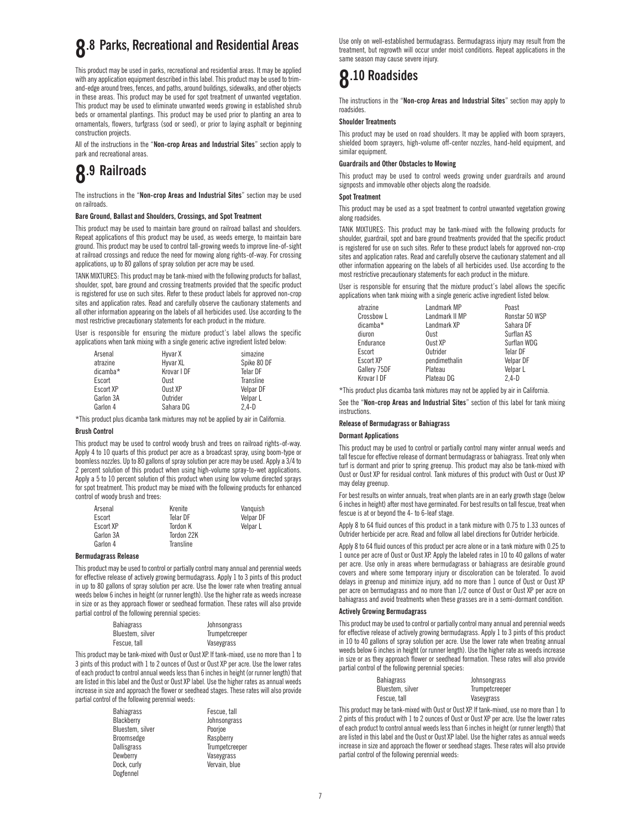# **8.8 Parks, Recreational and Residential Areas**

This product may be used in parks, recreational and residential areas. It may be applied with any application equipment described in this label. This product may be used to trimand-edge around trees, fences, and paths, around buildings, sidewalks, and other objects in these areas. This product may be used for spot treatment of unwanted vegetation. This product may be used to eliminate unwanted weeds growing in established shrub beds or ornamental plantings. This product may be used prior to planting an area to ornamentals, flowers, turfgrass (sod or seed), or prior to laying asphalt or beginning construction projects.

All of the instructions in the "**Non-crop Areas and Industrial Sites**" section apply to park and recreational areas.

### **8.9 Railroads**

The instructions in the "**Non-crop Areas and Industrial Sites**" section may be used on railroads.

#### **Bare Ground, Ballast and Shoulders, Crossings, and Spot Treatment**

This product may be used to maintain bare ground on railroad ballast and shoulders. Repeat applications of this product may be used, as weeds emerge, to maintain bare ground. This product may be used to control tall-growing weeds to improve line-of-sight at railroad crossings and reduce the need for mowing along rights-of-way. For crossing applications, up to 80 gallons of spray solution per acre may be used.

TANK MIXTURES: This product may be tank-mixed with the following products for ballast, shoulder, spot, bare ground and crossing treatments provided that the specific product is registered for use on such sites. Refer to these product labels for approved non-crop sites and application rates. Read and carefully observe the cautionary statements and all other information appearing on the labels of all herbicides used. Use according to the most restrictive precautionary statements for each product in the mixture.

User is responsible for ensuring the mixture product's label allows the specific applications when tank mixing with a single generic active ingredient listed below:

| Arsenal   | Hyvar X     | simazine    |
|-----------|-------------|-------------|
| atrazine  | Hyvar XL    | Spike 80 DF |
| dicamba*  | Krovar I DF | Telar DF    |
| Escort    | Oust        | Transline   |
| Escort XP | Oust XP     | Velpar DF   |
| Garlon 3A | Outrider    | Velpar L    |
| Garlon 4  | Sahara DG   | $2.4-D$     |

\*This product plus dicamba tank mixtures may not be applied by air in California.

#### **Brush Control**

This product may be used to control woody brush and trees on railroad rights-of-way. Apply 4 to 10 quarts of this product per acre as a broadcast spray, using boom-type or boomless nozzles. Up to 80 gallons of spray solution per acre may be used. Apply a 3/4 to 2 percent solution of this product when using high-volume spray-to-wet applications. Apply a 5 to 10 percent solution of this product when using low volume directed sprays for spot treatment. This product may be mixed with the following products for enhanced control of woody brush and trees:

| Arsenal   | Krenite    | Vanguish  |
|-----------|------------|-----------|
| Escort    | Telar DF   | Velpar DF |
| Escort XP | Tordon K   | Velpar L  |
| Garlon 3A | Tordon 22K |           |
| Garlon 4  | Transline  |           |

#### **Bermudagrass Release**

This product may be used to control or partially control many annual and perennial weeds for effective release of actively growing bermudagrass. Apply 1 to 3 pints of this product in up to 80 gallons of spray solution per acre. Use the lower rate when treating annual weeds below 6 inches in height (or runner length). Use the higher rate as weeds increase in size or as they approach flower or seedhead formation. These rates will also provide partial control of the following perennial species:

| <b>Bahiagrass</b> | Johnsongrass   |
|-------------------|----------------|
| Bluestem, silver  | Trumpetcreeper |
| Fescue, tall      | Vaseygrass     |

This product may be tank-mixed with Oust or Oust XP. If tank-mixed, use no more than 1 to 3 pints of this product with 1 to 2 ounces of Oust or Oust XP per acre. Use the lower rates of each product to control annual weeds less than 6 inches in height (or runner length) that are listed in this label and the Oust or Oust XP label. Use the higher rates as annual weeds increase in size and approach the flower or seedhead stages. These rates will also provide partial control of the following perennial weeds:

> Fescue, tall Johnsongrass Poorjoe Raspberry **Trumpetcreeper** Vaseygrass Vervain, blue

| <b>Bahiagrass</b>  |
|--------------------|
| Blackberry         |
| Bluestem, silver   |
| Broomsedge         |
| <b>Dallisgrass</b> |
| Dewberry           |
| Dock, curly        |
| Dogfennel          |

Use only on well-established bermudagrass. Bermudagrass injury may result from the treatment, but regrowth will occur under moist conditions. Repeat applications in the same season may cause severe injury.

### **8.10 Roadsides**

The instructions in the "**Non-crop Areas and Industrial Sites**" section may apply to roadsides.

#### **Shoulder Treatments**

This product may be used on road shoulders. It may be applied with boom sprayers, shielded boom sprayers, high-volume off-center nozzles, hand-held equipment, and similar equipment.

#### **Guardrails and Other Obstacles to Mowing**

This product may be used to control weeds growing under guardrails and around signposts and immovable other objects along the roadside.

#### **Spot Treatment**

This product may be used as a spot treatment to control unwanted vegetation growing along roadsides.

TANK MIXTURES: This product may be tank-mixed with the following products for shoulder, guardrail, spot and bare ground treatments provided that the specific product is registered for use on such sites. Refer to these product labels for approved non-crop sites and application rates. Read and carefully observe the cautionary statement and all other information appearing on the labels of all herbicides used. Use according to the most restrictive precautionary statements for each product in the mixture.

User is responsible for ensuring that the mixture product's label allows the specific applications when tank mixing with a single generic active ingredient listed below.

| atrazine     | Landmark MP    | Poast          |
|--------------|----------------|----------------|
| Crossbow L   | Landmark II MP | Ronstar 50 WSP |
| dicamba*     | Landmark XP    | Sahara DF      |
| diuron       | Oust           | Surflan AS     |
| Endurance    | Oust XP        | Surflan WDG    |
| Escort       | Outrider       | Telar DF       |
| Escort XP    | pendimethalin  | Velpar DF      |
| Gallery 75DF | Plateau        | Velpar L       |
| Krovar I DF  | Plateau DG     | $2.4-D$        |

\*This product plus dicamba tank mixtures may not be applied by air in California.

See the "**Non-crop Areas and Industrial Sites**" section of this label for tank mixing instructions.

#### **Release of Bermudagrass or Bahiagrass**

#### **Dormant Applications**

This product may be used to control or partially control many winter annual weeds and tall fescue for effective release of dormant bermudagrass or bahiagrass. Treat only when turf is dormant and prior to spring greenup. This product may also be tank-mixed with Oust or Oust XP for residual control. Tank mixtures of this product with Oust or Oust XP may delay greenup.

For best results on winter annuals, treat when plants are in an early growth stage (below 6 inches in height) after most have germinated. For best results on tall fescue, treat when fescue is at or beyond the 4- to 6-leaf stage.

Apply 8 to 64 fluid ounces of this product in a tank mixture with 0.75 to 1.33 ounces of Outrider herbicide per acre. Read and follow all label directions for Outrider herbicide.

Apply 8 to 64 fluid ounces of this product per acre alone or in a tank mixture with 0.25 to 1 ounce per acre of Oust or Oust XP. Apply the labeled rates in 10 to 40 gallons of water per acre. Use only in areas where bermudagrass or bahiagrass are desirable ground covers and where some temporary injury or discoloration can be tolerated. To avoid delays in greenup and minimize injury, add no more than 1 ounce of Oust or Oust XP per acre on bermudagrass and no more than 1/2 ounce of Oust or Oust XP per acre on bahiagrass and avoid treatments when these grasses are in a semi-dormant condition.

#### **Actively Growing Bermudagrass**

This product may be used to control or partially control many annual and perennial weeds for effective release of actively growing bermudagrass. Apply 1 to 3 pints of this product in 10 to 40 gallons of spray solution per acre. Use the lower rate when treating annual weeds below 6 inches in height (or runner length). Use the higher rate as weeds increase in size or as they approach flower or seedhead formation. These rates will also provide partial control of the following perennial species:

| <b>Bahiagrass</b> | Johnsongrass   |
|-------------------|----------------|
| Bluestem, silver  | Trumpetcreeper |
| Fescue, tall      | Vaseygrass     |

This product may be tank-mixed with Oust or Oust XP. If tank-mixed, use no more than 1 to 2 pints of this product with 1 to 2 ounces of Oust or Oust XP per acre. Use the lower rates of each product to control annual weeds less than 6 inches in height (or runner length) that are listed in this label and the Oust or Oust XP label. Use the higher rates as annual weeds increase in size and approach the flower or seedhead stages. These rates will also provide partial control of the following perennial weeds: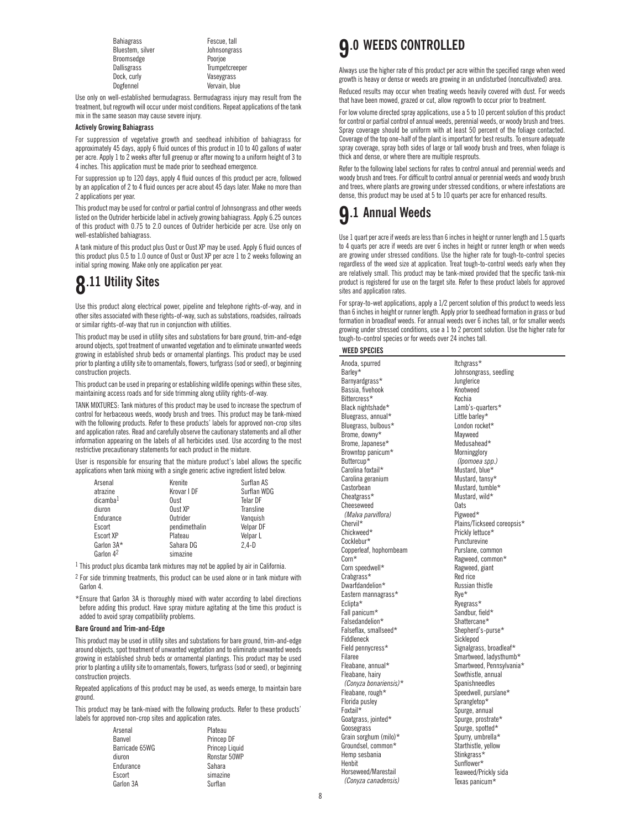Bahiagrass<br>
Bluestem silver<br>
Rluestem silver<br> **Rluestem silver** Broomsedge Poorjoe Dallisgrass Trumpetcreeper Dock, curly Vaseygrass<br>
Dogfennel Vervain, blu

**Johnsongrass** Vervain, blue

Use only on well-established bermudagrass. Bermudagrass injury may result from the treatment, but regrowth will occur under moist conditions. Repeat applications of the tank mix in the same season may cause severe injury.

#### **Actively Growing Bahiagrass**

For suppression of vegetative growth and seedhead inhibition of bahiagrass for approximately 45 days, apply 6 fluid ounces of this product in 10 to 40 gallons of water per acre. Apply 1 to 2 weeks after full greenup or after mowing to a uniform height of 3 to 4 inches. This application must be made prior to seedhead emergence.

For suppression up to 120 days, apply 4 fluid ounces of this product per acre, followed by an application of 2 to 4 fluid ounces per acre about 45 days later. Make no more than 2 applications per year.

This product may be used for control or partial control of Johnsongrass and other weeds listed on the Outrider herbicide label in actively growing bahiagrass. Apply 6.25 ounces of this product with 0.75 to 2.0 ounces of Outrider herbicide per acre. Use only on well-established bahiagrass.

A tank mixture of this product plus Oust or Oust XP may be used. Apply 6 fluid ounces of this product plus 0.5 to 1.0 ounce of Oust or Oust XP per acre 1 to 2 weeks following an initial spring mowing. Make only one application per year.

## **8.11 Utility Sites**

Use this product along electrical power, pipeline and telephone rights-of-way, and in other sites associated with these rights-of-way, such as substations, roadsides, railroads or similar rights-of-way that run in conjunction with utilities.

This product may be used in utility sites and substations for bare ground, trim-and-edge around objects, spot treatment of unwanted vegetation and to eliminate unwanted weeds growing in established shrub beds or ornamental plantings. This product may be used prior to planting a utility site to ornamentals, flowers, turfgrass (sod or seed), or beginning construction projects.

This product can be used in preparing or establishing wildlife openings within these sites, maintaining access roads and for side trimming along utility rights-of-way.

TANK MIXTURES: Tank mixtures of this product may be used to increase the spectrum of control for herbaceous weeds, woody brush and trees. This product may be tank-mixed with the following products. Refer to these products' labels for approved non-crop sites and application rates. Read and carefully observe the cautionary statements and all other information appearing on the labels of all herbicides used. Use according to the most restrictive precautionary statements for each product in the mixture.

User is responsible for ensuring that the mixture product's label allows the specific applications when tank mixing with a single generic active ingredient listed below.

| Arsenal              | Krenite       | Surflan AS  |
|----------------------|---------------|-------------|
| atrazine             | Krovar I DF   | Surflan WDG |
| dicamba <sup>1</sup> | Oust          | Telar DF    |
| diuron               | Oust XP       | Transline   |
| Endurance            | Outrider      | Vanguish    |
| Escort               | pendimethalin | Velpar DF   |
| <b>Escort XP</b>     | Plateau       | Velpar L    |
| Garlon 3A*           | Sahara DG     | $2.4-D$     |
| Garlon 42            | simazine      |             |

<sup>1</sup> This product plus dicamba tank mixtures may not be applied by air in California.

 $2$  For side trimming treatments, this product can be used alone or in tank mixture with Garlon 4.

\*Ensure that Garlon 3A is thoroughly mixed with water according to label directions before adding this product. Have spray mixture agitating at the time this product is added to avoid spray compatibility problems.

#### **Bare Ground and Trim-and-Edge**

This product may be used in utility sites and substations for bare ground, trim-and-edge around objects, spot treatment of unwanted vegetation and to eliminate unwanted weeds growing in established shrub beds or ornamental plantings. This product may be used prior to planting a utility site to ornamentals, flowers, turfgrass (sod or seed), or beginning construction projects.

Repeated applications of this product may be used, as weeds emerge, to maintain bare ground.

This product may be tank-mixed with the following products. Refer to these products' labels for approved non-crop sites and application rates.

| Arsenal        | Plateau        |
|----------------|----------------|
| Banvel         | Princep DF     |
| Barricade 65WG | Princep Liquid |
| diuron         | Ronstar 50WP   |
| Endurance      | Sahara         |
| Escort         | simazine       |
| Garlon 3A      | Surflan        |

### **9.0 WEEDS CONTROLLED**

Always use the higher rate of this product per acre within the specified range when weed growth is heavy or dense or weeds are growing in an undisturbed (noncultivated) area.

Reduced results may occur when treating weeds heavily covered with dust. For weeds that have been mowed, grazed or cut, allow regrowth to occur prior to treatment.

For low volume directed spray applications, use a 5 to 10 percent solution of this product for control or partial control of annual weeds, perennial weeds, or woody brush and trees. Spray coverage should be uniform with at least 50 percent of the foliage contacted. Coverage of the top one-half of the plant is important for best results. To ensure adequate spray coverage, spray both sides of large or tall woody brush and trees, when foliage is thick and dense, or where there are multiple resprouts.

Refer to the following label sections for rates to control annual and perennial weeds and woody brush and trees. For difficult to control annual or perennial weeds and woody brush and trees, where plants are growing under stressed conditions, or where infestations are dense, this product may be used at 5 to 10 quarts per acre for enhanced results.

### **9.1 Annual Weeds**

Use 1 quart per acre if weeds are less than 6 inches in height or runner length and 1.5 quarts to 4 quarts per acre if weeds are over 6 inches in height or runner length or when weeds are growing under stressed conditions. Use the higher rate for tough-to-control species regardless of the weed size at application. Treat tough-to-control weeds early when they are relatively small. This product may be tank-mixed provided that the specific tank-mix product is registered for use on the target site. Refer to these product labels for approved sites and application rates.

For spray-to-wet applications, apply a 1/2 percent solution of this product to weeds less than 6 inches in height or runner length. Apply prior to seedhead formation in grass or bud formation in broadleaf weeds. For annual weeds over 6 inches tall, or for smaller weeds growing under stressed conditions, use a 1 to 2 percent solution. Use the higher rate for tough-to-control species or for weeds over 24 inches tall.

#### **WEED SPECIES**

Anoda, spurred Barley\* Barnyardgrass\* Bassia, fivehook Bittercress\* Black nightshade\* Bluegrass, annual\* Bluegrass, bulbous\* Brome, downy\* Brome, Japanese\* Browntop panicum\* Buttercup\* Carolina foxtail\* Carolina geranium **Castorbean** Cheatgrass\* Cheeseweed *(Malva parviflora)* Chervil\* Chickweed\* Cocklebur\* Copperleaf, hophornbeam Corn\* Corn speedwell\* Crabgrass\* Dwarfdandelion\* Eastern mannagrass\* Eclipta\* Fall panicum\* Falsedandelion\* Falseflax, smallseed\* Fiddleneck Field pennycress\* Filaree Fleabane, annual\* Fleabane, hairy *(Conyza bonariensis)*\* Fleabane, rough\* Florida pusley Foxtail\* Goatgrass, jointed\* Goosegrass Grain sorghum (milo)\* Groundsel, common\* Hemp sesbania Henbit Horseweed/Marestail *(Conyza canadensis)*

Itchgrass\* Johnsongrass, seedling Junglerice Knotweed Kochia Lamb's-quarters\* Little barley\* London rocket\* Mayweed Medusahead\* Morningglory *(Ipomoea spp.)* Mustard, blue\* Mustard, tansy\* Mustard, tumble\* Mustard, wild\* Oats Pigweed\* Plains/Tickseed coreopsis\* Prickly lettuce\* Puncturevine Purslane, common Ragweed, common\* Ragweed, giant Red rice Russian thistle Rye\* Ryegrass\* Sandbur, field\* Shattercane\* Shepherd's-purse\* Sicklepod Signalgrass, broadleaf\* Smartweed, ladysthumb\* Smartweed, Pennsylvania\* Sowthistle, annual Spanishneedles Speedwell, purslane\* Sprangletop\* Spurge, annual Spurge, prostrate\* Spurge, spotted\* Spurry, umbrella\* Starthistle, yellow Stinkgrass\* Sunflower\* Teaweed/Prickly sida Texas panicum\*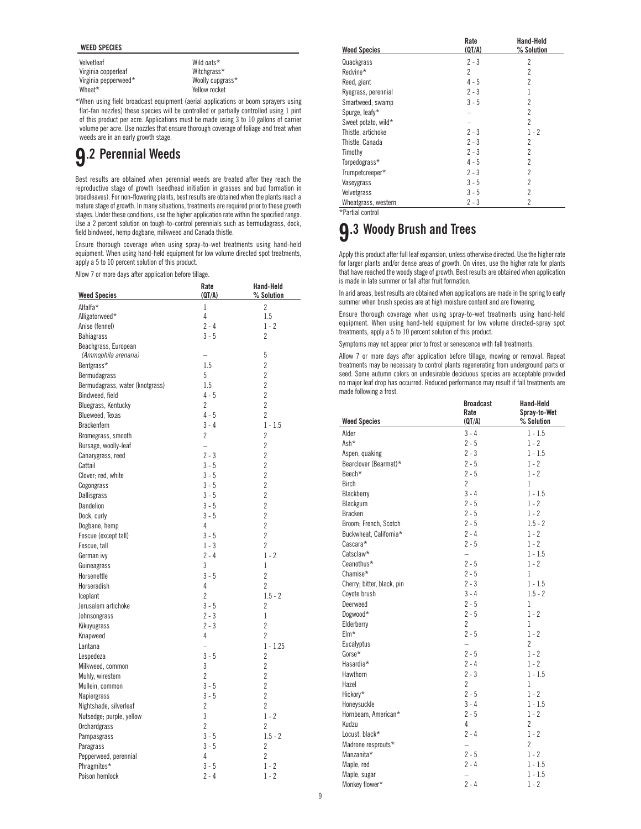#### **WEED SPECIES**

Velvetleaf Virginia copperleaf Virginia pepperweed\* Wheat\*

Wild oats\* Witchgrass\* Woolly cupgrass\* Yellow rocket

\*When using field broadcast equipment (aerial applications or boom sprayers using flat-fan nozzles) these species will be controlled or partially controlled using 1 pint of this product per acre. Applications must be made using 3 to 10 gallons of carrier volume per acre. Use nozzles that ensure thorough coverage of foliage and treat when weeds are in an early growth stage.

## **9.2 Perennial Weeds**

Best results are obtained when perennial weeds are treated after they reach the reproductive stage of growth (seedhead initiation in grasses and bud formation in broadleaves). For non-flowering plants, best results are obtained when the plants reach a mature stage of growth. In many situations, treatments are required prior to these growth stages. Under these conditions, use the higher application rate within the specified range. Use a 2 percent solution on tough-to-control perennials such as bermudagrass, dock, field bindweed, hemp dogbane, milkweed and Canada thistle.

Ensure thorough coverage when using spray-to-wet treatments using hand-held equipment. When using hand-held equipment for low volume directed spot treatments, apply a 5 to 10 percent solution of this product.

Allow 7 or more days after application before tillage.

|                                 | Rate                     | <b>Hand-Held</b> |
|---------------------------------|--------------------------|------------------|
| <b>Weed Species</b>             | (QT/A)                   | % Solution       |
| Alfalfa*                        | 1                        | $\overline{2}$   |
| Alligatorweed*                  | 4                        | 1.5              |
| Anise (fennel)                  | $2 - 4$                  | $1 - 2$          |
| <b>Bahiagrass</b>               | $3 - 5$                  | $\overline{2}$   |
| Beachgrass, European            |                          |                  |
| (Ammophila arenaria)            | $\overline{\phantom{0}}$ | 5                |
| Bentgrass*                      | 1.5                      | $\overline{2}$   |
| Bermudagrass                    | 5                        | $\overline{2}$   |
| Bermudagrass, water (knotgrass) | 1.5                      | $\overline{2}$   |
| Bindweed, field                 | $4 - 5$                  | $\overline{2}$   |
| Bluegrass, Kentucky             | 2                        | $\overline{2}$   |
| <b>Blueweed. Texas</b>          | $4 - 5$                  | $\overline{2}$   |
| <b>Brackenfern</b>              | $3 - 4$                  | $1 - 1.5$        |
| Bromegrass, smooth              | 2                        | $\overline{2}$   |
| Bursage, woolly-leaf            | $\equiv$                 | $\overline{2}$   |
| Canarygrass, reed               | $2 - 3$                  | $\overline{2}$   |
| Cattail                         | $3 - 5$                  | $\overline{2}$   |
| Clover; red, white              | $3 - 5$                  | $\overline{2}$   |
| Cogongrass                      | $3 - 5$                  | $\overline{2}$   |
| Dallisgrass                     | $3 - 5$                  | $\overline{2}$   |
| Dandelion                       | $3 - 5$                  | $\overline{2}$   |
| Dock, curly                     | $3 - 5$                  | $\overline{2}$   |
| Dogbane, hemp                   | 4                        | $\overline{2}$   |
| Fescue (except tall)            | $3 - 5$                  | $\overline{2}$   |
|                                 | $1 - 3$                  | $\overline{2}$   |
| Fescue, tall                    | $2 - 4$                  | $1 - 2$          |
| German ivy                      |                          |                  |
| Guineagrass                     | 3<br>$3 - 5$             | 1                |
| Horsenettle                     |                          | $\overline{2}$   |
| Horseradish                     | 4                        | $\overline{2}$   |
| Iceplant                        | $\overline{2}$           | $1.5 - 2$        |
| Jerusalem artichoke             | $3 - 5$                  | $\overline{2}$   |
| Johnsongrass                    | $2 - 3$                  | 1                |
| Kikuyugrass                     | $2 - 3$                  | $\overline{2}$   |
| Knapweed                        | 4                        | $\overline{2}$   |
| Lantana                         | $\equiv$                 | $1 - 1.25$       |
| Lespedeza                       | $3 - 5$                  | 2                |
| Milkweed, common                | 3                        | $\overline{2}$   |
| Muhly, wirestem                 | $\overline{2}$           | $\overline{2}$   |
| Mullein, common                 | $3 - 5$                  | $\overline{2}$   |
| Napiergrass                     | $3 - 5$                  | $\overline{2}$   |
| Nightshade, silverleaf          | $\overline{2}$           | $\overline{2}$   |
| Nutsedge; purple, yellow        | 3                        | $1 - 2$          |
| Orchardgrass                    | $\overline{2}$           | $\overline{c}$   |
| Pampasgrass                     | $3 - 5$                  | $1.5 - 2$        |
| Paragrass                       | $3 - 5$                  | $\overline{2}$   |
| Pepperweed, perennial           | 4                        | $\overline{2}$   |
| Phragmites*                     | $3 - 5$                  | $1 - 2$          |
| Poison hemlock                  | $2 - 4$                  | $1 - 2$          |

| <b>Weed Species</b> | Rate<br>(QT/A) | Hand-Held<br>% Solution |
|---------------------|----------------|-------------------------|
| Quackgrass          | $2 - 3$        | 2                       |
| Redvine*            | 2              | $\overline{2}$          |
| Reed, giant         | $4 - 5$        | $\overline{2}$          |
| Ryegrass, perennial | $2 - 3$        |                         |
| Smartweed, swamp    | $3 - 5$        | $\overline{2}$          |
| Spurge, leafy*      |                | $\overline{2}$          |
| Sweet potato, wild* |                | $\overline{2}$          |
| Thistle, artichoke  | $2 - 3$        | $1 - 2$                 |
| Thistle, Canada     | $2 - 3$        | $\overline{2}$          |
| Timothy             | $2 - 3$        | $\overline{2}$          |
| Torpedograss*       | $4 - 5$        | $\overline{2}$          |
| Trumpetcreeper*     | $2 - 3$        | $\overline{2}$          |
| Vaseygrass          | $3 - 5$        | $\overline{2}$          |
| Velvetgrass         | $3 - 5$        | $\overline{2}$          |
| Wheatgrass, western | $2 - 3$        | 2                       |

\*Partial control

### **9.3 Woody Brush and Trees**

Apply this product after full leaf expansion, unless otherwise directed. Use the higher rate for larger plants and/or dense areas of growth. On vines, use the higher rate for plants that have reached the woody stage of growth. Best results are obtained when application is made in late summer or fall after fruit formation.

In arid areas, best results are obtained when applications are made in the spring to early summer when brush species are at high moisture content and are flowering.

Ensure thorough coverage when using spray-to-wet treatments using hand-held equipment. When using hand-held equipment for low volume directed-spray spot treatments, apply a 5 to 10 percent solution of this product.

Symptoms may not appear prior to frost or senescence with fall treatments.

Allow 7 or more days after application before tillage, mowing or removal. Repeat treatments may be necessary to control plants regenerating from underground parts or seed. Some autumn colors on undesirable deciduous species are acceptable provided no major leaf drop has occurred. Reduced performance may result if fall treatments are made following a frost.

|                            | <b>Broadcast</b><br>Rate | <b>Hand-Held</b><br>Spray-to-Wet |
|----------------------------|--------------------------|----------------------------------|
| <b>Weed Species</b>        | (QT/A)                   | % Solution                       |
| Alder                      | $3 - 4$                  | $1 - 1.5$                        |
| Ash*                       | $2 - 5$                  | $1 - 2$                          |
| Aspen, quaking             | $2 - 3$                  | $1 - 1.5$                        |
| Bearclover (Bearmat)*      | $2 - 5$                  | $1 - 2$                          |
| Beech*                     | $2 - 5$                  | $1 - 2$                          |
| Birch                      | $\overline{2}$           | $\mathbf{1}$                     |
| Blackberry                 | $3 - 4$                  | $1 - 1.5$                        |
| Blackgum                   | $2 - 5$                  | $1 - 2$                          |
| <b>Bracken</b>             | $2 - 5$                  | $1 - 2$                          |
| Broom; French, Scotch      | $2 - 5$                  | $1.5 - 2$                        |
| Buckwheat, California*     | $2 - 4$                  | $1 - 2$                          |
| Cascara*                   | $2 - 5$                  | $1 - 2$                          |
| Catsclaw*                  | $\qquad \qquad -$        | $1 - 1.5$                        |
| Ceanothus*                 | $2 - 5$                  | $1 - 2$                          |
| Chamise*                   | $2 - 5$                  | 1                                |
| Cherry; bitter, black, pin | $2 - 3$                  | $1 - 1.5$                        |
| Coyote brush               | $3 - 4$                  | $1.5 - 2$                        |
| Deerweed                   | $2 - 5$                  | 1                                |
| Dogwood*                   | $2 - 5$                  | $1 - 2$                          |
| Elderberry                 | $\overline{2}$           | $\mathbf{1}$                     |
| Elm*                       | $2 - 5$                  | $1 - 2$                          |
| Eucalyptus                 | $\equiv$                 | $\overline{2}$                   |
| $Gorse*$                   | $2 - 5$                  | $1 - 2$                          |
| Hasardia*                  | $2 - 4$                  | $1 - 2$                          |
| Hawthorn                   | $2 - 3$                  | $1 - 1.5$                        |
| Hazel                      | $\overline{2}$           | 1                                |
| Hickory*                   | $2 - 5$                  | $1 - 2$                          |
| Honeysuckle                | $3 - 4$                  | $1 - 1.5$                        |
| Hornbeam, American*        | $2 - 5$                  | $1 - 2$                          |
| Kudzu                      | 4                        | $\overline{c}$                   |
| Locust, black*             | $2 - 4$                  | $1 - 2$                          |
| Madrone resprouts*         | $\equiv$                 | $\overline{2}$                   |
| Manzanita*                 | $2 - 5$                  | $1 - 2$                          |
| Maple, red                 | $2 - 4$                  | $1 - 1.5$                        |
| Maple, sugar               | $\qquad \qquad -$        | $1 - 1.5$                        |
| Monkey flower*             | $2 - 4$                  | $1 - 2$                          |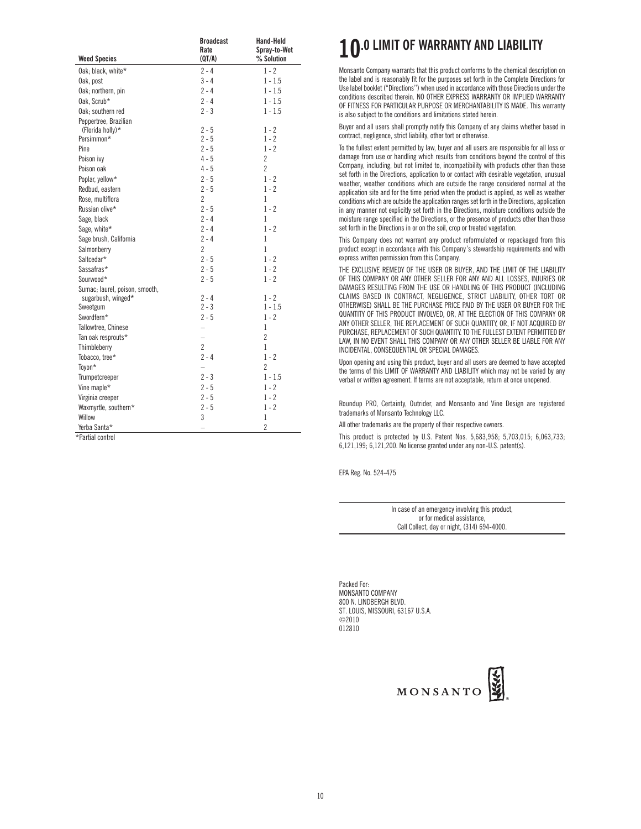|                                           | <b>Broadcast</b>         | Hand-Held                  |
|-------------------------------------------|--------------------------|----------------------------|
| <b>Weed Species</b>                       | Rate<br>(QT/A)           | Spray-to-Wet<br>% Solution |
| Oak: black. white*                        | $2 - 4$                  | $1 - 2$                    |
| Oak, post                                 | $3 - 4$                  | $1 - 1.5$                  |
| Oak; northern, pin                        | $2 - 4$                  | $1 - 1.5$                  |
| Oak. Scrub*                               | $2 - 4$                  | $1 - 1.5$                  |
|                                           | $2 - 3$                  | $1 - 1.5$                  |
| Oak; southern red                         |                          |                            |
| Peppertree, Brazilian<br>(Florida holly)* | $2 - 5$                  | 1 - 2                      |
| Persimmon*                                | $2 - 5$                  | $1 - 2$                    |
| Pine                                      | $2 - 5$                  | $1 - 2$                    |
| Poison ivy                                | $4 - 5$                  | $\overline{c}$             |
| Poison oak                                | $4 - 5$                  | $\overline{2}$             |
| Poplar, yellow*                           | $2 - 5$                  | $1 - 2$                    |
| Redbud, eastern                           | $2 - 5$                  | $1 - 2$                    |
| Rose, multiflora                          | $\overline{2}$           | 1                          |
| Russian olive*                            | $2 - 5$                  | $1 - 2$                    |
| Sage, black                               | $2 - 4$                  | 1                          |
| Sage, white*                              | $2 - 4$                  | $1 - 2$                    |
| Sage brush, California                    | $2 - 4$                  | 1                          |
| Salmonberry                               | $\overline{2}$           | 1                          |
| Saltcedar*                                | $2 - 5$                  |                            |
| Sassafras*                                | $2 - 5$                  | $1 - 2$<br>$1 - 2$         |
| Sourwood*                                 | $2 - 5$                  | $1 - 2$                    |
| Sumac; laurel, poison, smooth,            |                          |                            |
| sugarbush, winged*                        | $2 - 4$                  | $1 - 2$                    |
| Sweetgum                                  | $2 - 3$                  | $1 - 1.5$                  |
| Swordfern*                                | $2 - 5$                  | $1 - 2$                    |
| Tallowtree, Chinese                       | $\overline{\phantom{0}}$ | 1                          |
| Tan oak resprouts*                        | $\overline{\phantom{0}}$ | $\overline{2}$             |
| Thimbleberry                              | $\overline{2}$           | 1                          |
| Tobacco, tree*                            | $2 - 4$                  | $1 - 2$                    |
| Toyon*                                    | $\overline{\phantom{0}}$ | $\overline{2}$             |
| Trumpetcreeper                            | $2 - 3$                  | $1 - 1.5$                  |
| Vine maple*                               | $2 - 5$                  | $1 - 2$                    |
| Virginia creeper                          | $2 - 5$                  | $1 - 2$                    |
| Waxmyrtle, southern*                      | $2 - 5$                  | $1 - 2$                    |
| Willow                                    | 3                        | $\mathbf{1}$               |
| Yerba Santa*                              |                          | $\overline{2}$             |
| *Partial control                          |                          |                            |

### **10.0 LIMIT OF WARRANTY AND LIABILITY**

Monsanto Company warrants that this product conforms to the chemical description on the label and is reasonably fit for the purposes set forth in the Complete Directions for Use label booklet ("Directions'') when used in accordance with those Directions under the conditions described therein. NO OTHER EXPRESS WARRANTY OR IMPLIED WARRANTY OF FITNESS FOR PARTICULAR PURPOSE OR MERCHANTABILITY IS MADE. This warranty is also subject to the conditions and limitations stated herein.

Buyer and all users shall promptly notify this Company of any claims whether based in contract, negligence, strict liability, other tort or otherwise.

To the fullest extent permitted by law, buyer and all users are responsible for all loss or damage from use or handling which results from conditions beyond the control of this Company, including, but not limited to, incompatibility with products other than those set forth in the Directions, application to or contact with desirable vegetation, unusual weather, weather conditions which are outside the range considered normal at the application site and for the time period when the product is applied, as well as weather conditions which are outside the application ranges set forth in the Directions, application in any manner not explicitly set forth in the Directions, moisture conditions outside the moisture range specified in the Directions, or the presence of products other than those set forth in the Directions in or on the soil, crop or treated vegetation.

This Company does not warrant any product reformulated or repackaged from this product except in accordance with this Company's stewardship requirements and with express written permission from this Company.

THE EXCLUSIVE REMEDY OF THE USER OR BUYER, AND THE LIMIT OF THE LIABILITY OF THIS COMPANY OR ANY OTHER SELLER FOR ANY AND ALL LOSSES, INJURIES OR DAMAGES RESULTING FROM THE USE OR HANDLING OF THIS PRODUCT (INCLUDING CLAIMS BASED IN CONTRACT, NEGLIGENCE, STRICT LIABILITY, OTHER TORT OR OTHERWISE) SHALL BE THE PURCHASE PRICE PAID BY THE USER OR BUYER FOR THE QUANTITY OF THIS PRODUCT INVOLVED, OR, AT THE ELECTION OF THIS COMPANY OR ANY OTHER SELLER, THE REPLACEMENT OF SUCH QUANTITY, OR, IF NOT ACQUIRED BY PURCHASE, REPLACEMENT OF SUCH QUANTITY. TO THE FULLEST EXTENT PERMITTED BY LAW, IN NO EVENT SHALL THIS COMPANY OR ANY OTHER SELLER BE LIABLE FOR ANY INCIDENTAL, CONSEQUENTIAL OR SPECIAL DAMAGES.

Upon opening and using this product, buyer and all users are deemed to have accepted the terms of this LIMIT OF WARRANTY AND LIABILITY which may not be varied by any verbal or written agreement. If terms are not acceptable, return at once unopened.

Roundup PRO, Certainty, Outrider, and Monsanto and Vine Design are registered trademarks of Monsanto Technology LLC.

All other trademarks are the property of their respective owners.

This product is protected by U.S. Patent Nos. 5,683,958; 5,703,015; 6,063,733; 6,121,199; 6,121,200. No license granted under any non-U.S. patent(s).

EPA Reg. No. 524-475

In case of an emergency involving this product, or for medical assistance, Call Collect, day or night, (314) 694-4000.

Packed For: MONSANTO COMPANY 800 N. LINDBERGH BLVD. ST. LOUIS, MISSOURI, 63167 U.S.A. ©2010 012810

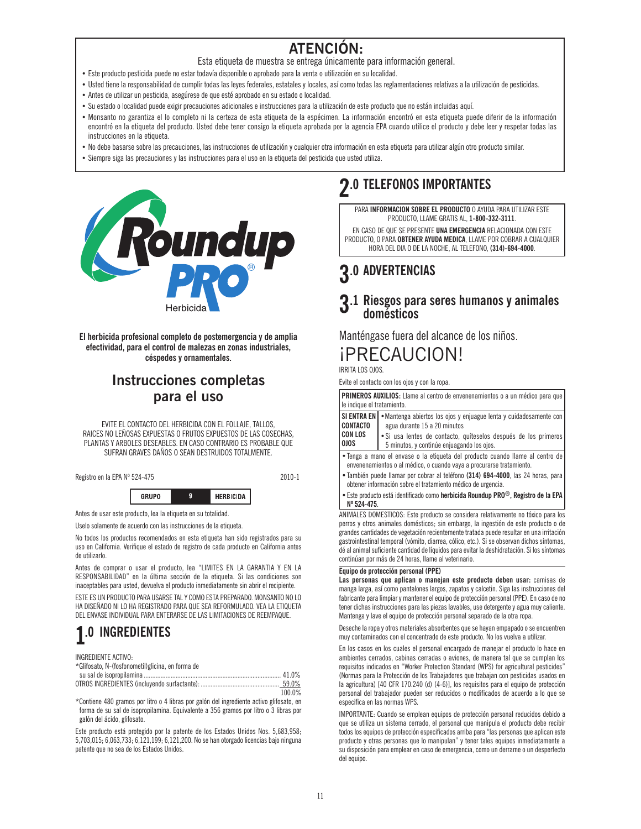### **ATENCIÓN:**

Esta etiqueta de muestra se entrega únicamente para información general.

- Este producto pesticida puede no estar todavía disponible o aprobado para la venta o utilización en su localidad.
- Usted tiene la responsabilidad de cumplir todas las leyes federales, estatales y locales, así como todas las reglamentaciones relativas a la utilización de pesticidas.
- Antes de utilizar un pesticida, asegúrese de que esté aprobado en su estado o localidad.
- Su estado o localidad puede exigir precauciones adicionales e instrucciones para la utilización de este producto que no están incluidas aquí.
- Monsanto no garantiza el lo completo ni la certeza de esta etiqueta de la espécimen. La información encontró en esta etiqueta puede diferir de la información encontró en la etiqueta del producto. Usted debe tener consigo la etiqueta aprobada por la agencia EPA cuando utilice el producto y debe leer y respetar todas las instrucciones en la etiqueta.
- No debe basarse sobre las precauciones, las instrucciones de utilización y cualquier otra información en esta etiqueta para utilizar algún otro producto similar.
- Siempre siga las precauciones y las instrucciones para el uso en la etiqueta del pesticida que usted utiliza.



**El herbicida profesional completo de postemergencia y de amplia efectividad, para el control de malezas en zonas industriales, céspedes y ornamentales.**

### **Instrucciones completas para el uso**

EVITE EL CONTACTO DEL HERBICIDA CON EL FOLLAJE, TALLOS, RAICES NO LEÑOSAS EXPUESTAS O FRUTOS EXPUESTOS DE LAS COSECHAS, PLANTAS Y ARBOLES DESEABLES. EN CASO CONTRARIO ES PROBABLE QUE SUFRAN GRAVES DAÑOS O SEAN DESTRUIDOS TOTALMENTE.

Registro en la EPA Nº 524-475 2010-1



Antes de usar este producto, lea la etiqueta en su totalidad.

Uselo solamente de acuerdo con las instrucciones de la etiqueta.

No todos los productos recomendados en esta etiqueta han sido registrados para su uso en California. Verifique el estado de registro de cada producto en California antes de utilizarlo.

Antes de comprar o usar el producto, lea "LIMITES EN LA GARANTIA Y EN LA RESPONSABILIDAD" en la última sección de la etiqueta. Si las condiciones son inaceptables para usted, devuelva el producto inmediatamente sin abrir el recipiente.

ESTE ES UN PRODUCTO PARA USARSE TAL Y COMO ESTA PREPARADO. MONSANTO NO LO HA DISEÑADO NI LO HA REGISTRADO PARA QUE SEA REFORMULADO. VEA LA ETIQUETA DEL ENVASE INDIVIDUAL PARA ENTERARSE DE LAS LIMITACIONES DE REEMPAQUE.

### **1.0 INGREDIENTES**

INGREDIENTE ACTIVO:

\*Glifosato, N-(fosfonometil)glicina, en forma de su sal de isopropilamina .................................................................................. 41.0%

|                                                                                          | 59.0%  |  |
|------------------------------------------------------------------------------------------|--------|--|
|                                                                                          | 100.0% |  |
| *Contigna 100 gramas nor litro a 1 libros nor galán del ingradiente estiva glifaeste, en |        |  |

Contiene 480 gramos por litro o 4 libras por galón del ingrediente activo gli forma de su sal de isopropilamina. Equivalente a 356 gramos por litro o 3 libras por galón del ácido, glifosato.

Este producto está protegido por la patente de los Estados Unidos Nos. 5,683,958; 5,703,015; 6,063,733; 6,121,199; 6,121,200. No se han otorgado licencias bajo ninguna patente que no sea de los Estados Unidos.

### **2.0 TELEFONOS IMPORTANTES**

PARA **INFORMACION SOBRE EL PRODUCTO** O AYUDA PARA UTILIZAR ESTE PRODUCTO, LLAME GRATIS AL, **1-800-332-3111**.

EN CASO DE QUE SE PRESENTE **UNA EMERGENCIA** RELACIONADA CON ESTE PRODUCTO, O PARA **OBTENER AYUDA MEDICA**, LLAME POR COBRAR A CUALQUIER HORA DEL DIA O DE LA NOCHE, AL TELEFONO, **(314)-694-4000**.

### **3.0 ADVERTENCIAS**

# **3**.1 Riesgos para seres humanos y animales<br>**d**omésticos

Manténgase fuera del alcance de los niños.

### ¡PRECAUCION!

IRRITA LOS OJOS.

Evite el contacto con los ojos y con la ropa.

| PRIMEROS AUXILIOS: Llame al centro de envenenamientos o a un médico para que<br>le indique el tratamiento.                                                              |                                                                                                               |  |
|-------------------------------------------------------------------------------------------------------------------------------------------------------------------------|---------------------------------------------------------------------------------------------------------------|--|
| <b>SI ENTRA EN</b><br><b>CONTACTO</b>                                                                                                                                   | • Mantenga abiertos los ojos y enjuague lenta y cuidadosamente con<br>agua durante 15 a 20 minutos            |  |
| <b>CON LOS</b><br>010S                                                                                                                                                  | • Si usa lentes de contacto, quíteselos después de los primeros<br>5 minutos, y continúe enjuagando los ojos. |  |
| • Tenga a mano el envase o la etiqueta del producto cuando llame al centro de<br>envenenamientos o al médico, o cuando vaya a procurarse tratamiento.                   |                                                                                                               |  |
| • También puede llamar por cobrar al teléfono (314) 694-4000, las 24 horas, para<br>obtener información sobre el tratamiento médico de urgencia.                        |                                                                                                               |  |
| • Este producto está identificado como herbicida Roundup PRO <sup>®</sup> , Registro de la EPA<br>$N^{\circ}$ 524-475.                                                  |                                                                                                               |  |
| ANIMALES DOMESTICOS: Este producto se considera relativamente no tóxico para los<br>perros y otros animales domésticos; sin embargo, la ingestión de este producto o de |                                                                                                               |  |

perros y otros animales domésticos; sin embargo, la ingestión de este producto o de grandes cantidades de vegetación recientemente tratada puede resultar en una irritación gastrointestinal temporal (vómito, diarrea, cólico, etc.). Si se observan dichos síntomas, dé al animal suficiente cantidad de líquidos para evitar la deshidratación. Si los síntomas continúan por más de 24 horas, llame al veterinario.

#### **Equipo de protección personal (PPE)**

**Las personas que aplican o manejan este producto deben usar:** camisas de manga larga, así como pantalones largos, zapatos y calcetin. Siga las instrucciones del fabricante para limpiar y mantener el equipo de protección personal (PPE). En caso de no tener dichas instrucciones para las piezas lavables, use detergente y agua muy caliente. Mantenga y lave el equipo de protección personal separado de la otra ropa.

Deseche la ropa y otros materiales absorbentes que se hayan empapado o se encuentren muy contaminados con el concentrado de este producto. No los vuelva a utilizar.

En los casos en los cuales el personal encargado de manejar el producto lo hace en ambientes cerrados, cabinas cerradas o aviones, de manera tal que se cumplan los requisitos indicados en "Worker Protection Standard (WPS) for agricultural pesticides" (Normas para la Protección de los Trabajadores que trabajan con pesticidas usados en la agricultura) [40 CFR 170.240 (d) (4-6)], los requisitos para el equipo de protección personal del trabajador pueden ser reducidos o modificados de acuerdo a lo que se especifica en las normas WPS.

IMPORTANTE: Cuando se emplean equipos de protección personal reducidos debido a que se utiliza un sistema cerrado, el personal que manipula el producto debe recibir todos los equipos de protección especificados arriba para "las personas que aplican este producto y otras personas que lo manipulan" y tener tales equipos inmediatamente a su disposición para emplear en caso de emergencia, como un derrame o un desperfecto del equipo.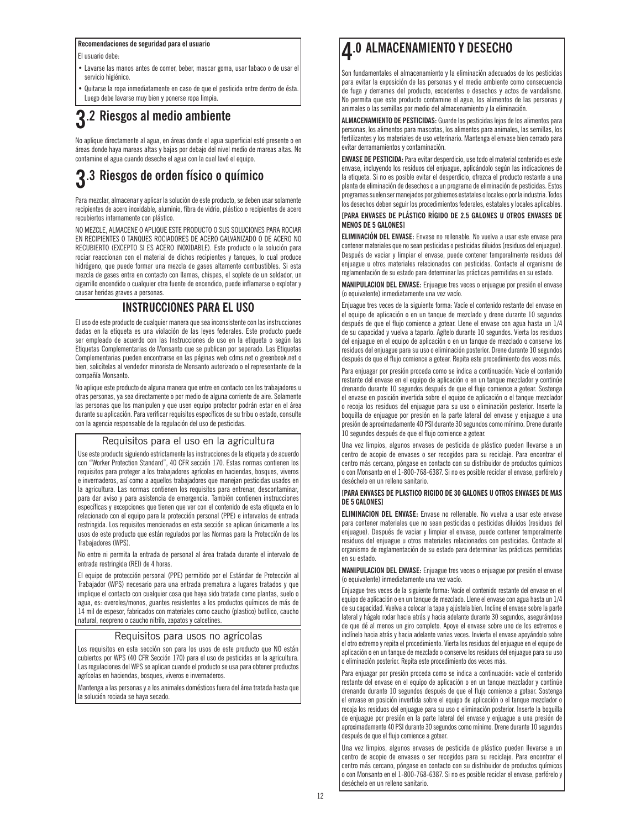#### **Recomendaciones de seguridad para el usuario**

El usuario debe:

Lavarse las manos antes de comer, beber, mascar goma, usar tabaco o de usar el servicio higiénico.

Quitarse la ropa inmediatamente en caso de que el pesticida entre dentro de ésta. Luego debe lavarse muy bien y ponerse ropa limpia.

### **3.2 Riesgos al medio ambiente**

No aplique directamente al agua, en áreas donde el agua superficial esté presente o en áreas donde haya mareas altas y bajas por debajo del nivel medio de mareas altas. No contamine el agua cuando deseche el agua con la cual lavó el equipo.

# **3.3 Riesgos de orden físico o químico**

Para mezclar, almacenar y aplicar la solución de este producto, se deben usar solamente recipientes de acero inoxidable, aluminio, fibra de vidrio, plástico o recipientes de acero recubiertos internamente con plástico.

NO MEZCLE, ALMACENE O APLIQUE ESTE PRODUCTO O SUS SOLUCIONES PARA ROCIAR EN RECIPIENTES O TANQUES ROCIADORES DE ACERO GALVANIZADO O DE ACERO NO RECUBIERTO (EXCEPTO SI ES ACERO INOXIDABLE). Este producto o la solución para rociar reaccionan con el material de dichos recipientes y tanques, lo cual produce hidrógeno, que puede formar una mezcla de gases altamente combustibles. Si esta mezcla de gases entra en contacto con llamas, chispas, el soplete de un soldador, un cigarrillo encendido o cualquier otra fuente de encendido, puede inflamarse o explotar y causar heridas graves a personas.

#### **INSTRUCCIONES PARA EL USO**

El uso de este producto de cualquier manera que sea inconsistente con las instrucciones dadas en la etiqueta es una violación de las leyes federales. Este producto puede ser empleado de acuerdo con las Instrucciones de uso en la etiqueta o según las Etiquetas Complementarias de Monsanto que se publican por separado. Las Etiquetas Complementarias pueden encontrarse en las páginas web cdms.net o greenbook.net o bien, solicítelas al vendedor minorista de Monsanto autorizado o el representante de la compañía Monsanto.

No aplique este producto de alguna manera que entre en contacto con los trabajadores u otras personas, ya sea directamente o por medio de alguna corriente de aire. Solamente las personas que los manipulen y que usen equipo protector podrán estar en el área durante su aplicación. Para verificar requisitos específicos de su tribu o estado, consulte con la agencia responsable de la regulación del uso de pesticidas.

#### Requisitos para el uso en la agricultura

Use este producto siguiendo estrictamente las instrucciones de la etiqueta y de acuerdo con "Worker Protection Standard", 40 CFR sección 170. Estas normas contienen los requisitos para proteger a los trabajadores agrícolas en haciendas, bosques, viveros e invernaderos, así como a aquellos trabajadores que manejan pesticidas usados en la agricultura. Las normas contienen los requisitos para entrenar, descontaminar, para dar aviso y para asistencia de emergencia. También contienen instrucciones específicas y excepciones que tienen que ver con el contenido de esta etiqueta en lo relacionado con el equipo para la protección personal (PPE) e intervalos de entrada restringida. Los requisitos mencionados en esta sección se aplican únicamente a los usos de este producto que están regulados por las Normas para la Protección de los Trabajadores (WPS).

No entre ni permita la entrada de personal al área tratada durante el intervalo de entrada restringida (REI) de 4 horas.

El equipo de protección personal (PPE) permitido por el Estándar de Protección al Trabajador (WPS) necesario para una entrada prematura a lugares tratados y que implique el contacto con cualquier cosa que haya sido tratada como plantas, suelo o agua, es: overoles/monos, guantes resistentes a los productos químicos de más de 14 mil de espesor, fabricados con materiales como caucho (plastico) butílico, caucho natural, neopreno o caucho nitrilo, zapatos y calcetines.

#### Requisitos para usos no agrícolas

Los requisitos en esta sección son para los usos de este producto que NO están cubiertos por WPS (40 CFR Sección 170) para el uso de pesticidas en la agricultura. Las regulaciones del WPS se aplican cuando el producto se usa para obtener productos agrícolas en haciendas, bosques, viveros e invernaderos.

Mantenga a las personas y a los animales domésticos fuera del área tratada hasta que la solución rociada se haya secado.

### **4.0 ALMACENAMIENTO Y DESECHO**

Son fundamentales el almacenamiento y la eliminación adecuados de los pesticidas para evitar la exposición de las personas y el medio ambiente como consecuencia de fuga y derrames del producto, excedentes o desechos y actos de vandalismo. No permita que este producto contamine el agua, los alimentos de las personas y animales o las semillas por medio del almacenamiento y la eliminación.

**ALMACENAMIENTO DE PESTICIDAS:** Guarde los pesticidas lejos de los alimentos para personas, los alimentos para mascotas, los alimentos para animales, las semillas, los fertilizantes y los materiales de uso veterinario. Mantenga el envase bien cerrado para evitar derramamientos y contaminación.

**ENVASE DE PESTICIDA:** Para evitar desperdicio, use todo el material contenido es este envase, incluyendo los residuos del enjuague, aplicándolo según las indicaciones de la etiqueta. Si no es posible evitar el desperdicio, ofrezca el producto restante a una planta de eliminación de desechos o a un programa de eliminación de pesticidas. Estos programas suelen ser manejados por gobiernos estatales o locales o por la industria. Todos los desechos deben seguir los procedimientos federales, estatales y locales aplicables.

#### **[PARA ENVASES DE PLÁSTICO RÍGIDO DE 2.5 GALONES U OTROS ENVASES DE MENOS DE 5 GALONES]**

**ELIMINACIÓN DEL ENVASE:** Envase no rellenable. No vuelva a usar este envase para contener materiales que no sean pesticidas o pesticidas diluidos (residuos del enjuague). Después de vaciar y limpiar el envase, puede contener temporalmente residuos del enjuague u otros materiales relacionados con pesticidas. Contacte al organismo de reglamentación de su estado para determinar las prácticas permitidas en su estado.

**MANIPULACION DEL ENVASE:** Enjuague tres veces o enjuague por presión el envase (o equivalente) inmediatamente una vez vacío.

Enjuague tres veces de la siguiente forma: Vacíe el contenido restante del envase en el equipo de aplicación o en un tanque de mezclado y drene durante 10 segundos después de que el flujo comience a gotear. Llene el envase con agua hasta un 1/4 de su capacidad y vuelva a taparlo. Agítelo durante 10 segundos. Vierta los residuos del enjuague en el equipo de aplicación o en un tanque de mezclado o conserve los residuos del enjuague para su uso o eliminación posterior. Drene durante 10 segundos después de que el flujo comience a gotear. Repita este procedimiento dos veces más.

Para enjuagar por presión proceda como se indica a continuación: Vacíe el contenido restante del envase en el equipo de aplicación o en un tanque mezclador y continúe drenando durante 10 segundos después de que el flujo comience a gotear. Sostenga el envase en posición invertida sobre el equipo de aplicación o el tanque mezclador o recoja los residuos del enjuague para su uso o eliminación posterior. Inserte la boquilla de enjuague por presión en la parte lateral del envase y enjuague a una presión de aproximadamente 40 PSI durante 30 segundos como mínimo. Drene durante 10 segundos después de que el flujo comience a gotear.

Una vez limpios, algunos envases de pesticida de plástico pueden llevarse a un centro de acopio de envases o ser recogidos para su reciclaje. Para encontrar el centro más cercano, póngase en contacto con su distribuidor de productos químicos o con Monsanto en el 1-800-768-6387. Si no es posible reciclar el envase, perfórelo y deséchelo en un relleno sanitario.

#### **[PARA ENVASES DE PLASTICO RIGIDO DE 30 GALONES U OTROS ENVASES DE MAS DE 5 GALONES]**

**ELIMINACION DEL ENVASE:** Envase no rellenable. No vuelva a usar este envase para contener materiales que no sean pesticidas o pesticidas diluidos (residuos del enjuague). Después de vaciar y limpiar el envase, puede contener temporalmente residuos del enjuague u otros materiales relacionados con pesticidas. Contacte al organismo de reglamentación de su estado para determinar las prácticas permitidas en su estado.

**MANIPULACION DEL ENVASE:** Enjuague tres veces o enjuague por presión el envase (o equivalente) inmediatamente una vez vacío.

Enjuague tres veces de la siguiente forma: Vacíe el contenido restante del envase en el equipo de aplicación o en un tanque de mezclado. Llene el envase con agua hasta un 1/4 de su capacidad. Vuelva a colocar la tapa y ajústela bien. Incline el envase sobre la parte lateral y hágalo rodar hacia atrás y hacia adelante durante 30 segundos, asegurándose de que dé al menos un giro completo. Apoye el envase sobre uno de los extremos e inclínelo hacia atrás y hacia adelante varias veces. Invierta el envase apoyándolo sobre el otro extremo y repita el procedimiento. Vierta los residuos del enjuague en el equipo de aplicación o en un tanque de mezclado o conserve los residuos del enjuague para su uso o eliminación posterior. Repita este procedimiento dos veces más.

Para enjuagar por presión proceda como se indica a continuación: vacíe el contenido restante del envase en el equipo de aplicación o en un tanque mezclador y continúe drenando durante 10 segundos después de que el flujo comience a gotear. Sostenga el envase en posición invertida sobre el equipo de aplicación o el tanque mezclador o recoja los residuos del enjuague para su uso o eliminación posterior. Inserte la boquilla de enjuague por presión en la parte lateral del envase y enjuague a una presión de aproximadamente 40 PSI durante 30 segundos como mínimo. Drene durante 10 segundos después de que el flujo comience a gotear.

Una vez limpios, algunos envases de pesticida de plástico pueden llevarse a un centro de acopio de envases o ser recogidos para su reciclaje. Para encontrar el centro más cercano, póngase en contacto con su distribuidor de productos químicos o con Monsanto en el 1-800-768-6387. Si no es posible reciclar el envase, perfórelo y deséchelo en un relleno sanitario.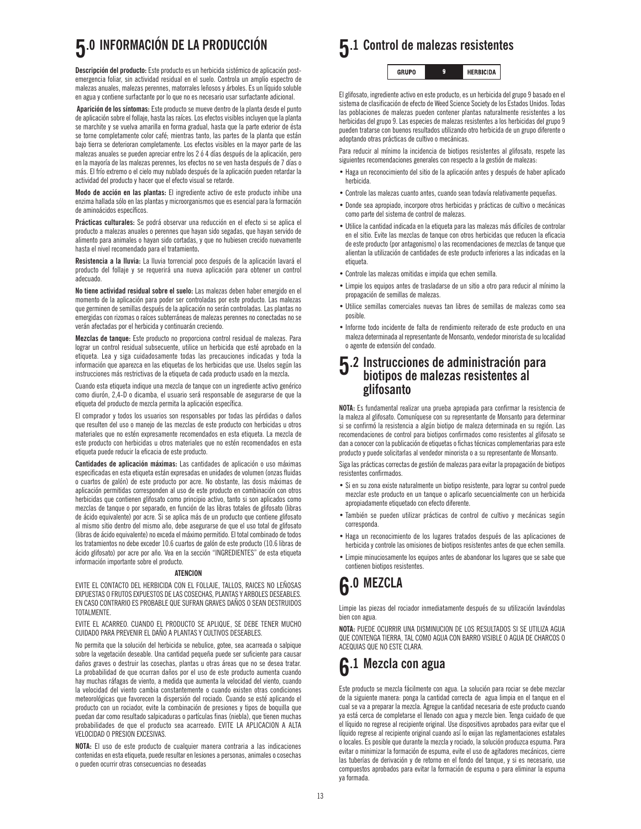# **5.0 INFORMACIÓN DE LA PRODUCCIÓN**

**Descripción del producto:** Este producto es un herbicida sistémico de aplicación postemergencia foliar, sin actividad residual en el suelo. Controla un amplio espectro de malezas anuales, malezas perennes, matorrales leñosos y árboles. Es un líquido soluble en agua y contiene surfactante por lo que no es necesario usar surfactante adicional.

**Aparición de los síntomas:** Este producto se mueve dentro de la planta desde el punto de aplicación sobre el follaje, hasta las raíces. Los efectos visibles incluyen que la planta se marchite y se vuelva amarilla en forma gradual, hasta que la parte exterior de ésta se torne completamente color café; mientras tanto, las partes de la planta que están bajo tierra se deterioran completamente. Los efectos visibles en la mayor parte de las malezas anuales se pueden apreciar entre los 2 ó 4 días después de la aplicación, pero en la mayoría de las malezas perennes, los efectos no se ven hasta después de 7 días o más. El frío extremo o el cielo muy nublado después de la aplicación pueden retardar la actividad del producto y hacer que el efecto visual se retarde.

**Modo de acción en las plantas:** El ingrediente activo de este producto inhibe una enzima hallada sólo en las plantas y microorganismos que es esencial para la formación de aminoácidos específicos.

**Prácticas culturales:** Se podrá observar una reducción en el efecto si se aplica el producto a malezas anuales o perennes que hayan sido segadas, que hayan servido de alimento para animales o hayan sido cortadas, y que no hubiesen crecido nuevamente hasta el nivel recomendado para el tratamiento**.**

**Resistencia a la lluvia:** La lluvia torrencial poco después de la aplicación lavará el producto del follaje y se requerirá una nueva aplicación para obtener un control adecuado.

**No tiene actividad residual sobre el suelo:** Las malezas deben haber emergido en el momento de la aplicación para poder ser controladas por este producto. Las malezas que germinen de semillas después de la aplicación no serán controladas. Las plantas no emergidas con rizomas o raíces subterráneas de malezas perennes no conectadas no se verán afectadas por el herbicida y continuarán creciendo.

**Mezclas de tanque:** Este producto no proporciona control residual de malezas. Para lograr un control residual subsecuente, utilice un herbicida que esté aprobado en la etiqueta. Lea y siga cuidadosamente todas las precauciones indicadas y toda la información que aparezca en las etiquetas de los herbicidas que use. Uselos según las instrucciones más restrictivas de la etiqueta de cada producto usado en la mezcla**.**

Cuando esta etiqueta indique una mezcla de tanque con un ingrediente activo genérico como diurón, 2,4-D o dicamba, el usuario será responsable de asegurarse de que la etiqueta del producto de mezcla permita la aplicación específica.

El comprador y todos los usuarios son responsables por todas las pérdidas o daños que resulten del uso o manejo de las mezclas de este producto con herbicidas u otros materiales que no estén expresamente recomendados en esta etiqueta. La mezcla de este producto con herbicidas u otros materiales que no estén recomendados en esta etiqueta puede reducir la eficacia de este producto.

**Cantidades de aplicación máximas:** Las cantidades de aplicación o uso máximas especificadas en esta etiqueta están expresadas en unidades de volumen (onzas fluidas o cuartos de galón) de este producto por acre. No obstante, las dosis máximas de aplicación permitidas corresponden al uso de este producto en combinación con otros herbicidas que contienen glifosato como principio activo, tanto si son aplicados como mezclas de tanque o por separado, en función de las libras totales de glifosato (libras de ácido equivalente) por acre. Si se aplica más de un producto que contiene glifosato al mismo sitio dentro del mismo año, debe asegurarse de que el uso total de glifosato (libras de ácido equivalente) no exceda el máximo permitido. El total combinado de todos los tratamientos no debe exceder 10.6 cuartos de galón de este producto (10.6 libras de ácido glifosato) por acre por año. Vea en la sección "INGREDIENTES" de esta etiqueta información importante sobre el producto.

#### **ATENCION**

EVITE EL CONTACTO DEL HERBICIDA CON EL FOLLAJE, TALLOS, RAICES NO LEÑOSAS EXPUESTAS O FRUTOS EXPUESTOS DE LAS COSECHAS, PLANTAS Y ARBOLES DESEABLES. EN CASO CONTRARIO ES PROBABLE QUE SUFRAN GRAVES DAÑOS O SEAN DESTRUIDOS **TOTAL MENTE** 

EVITE EL ACARREO. CUANDO EL PRODUCTO SE APLIQUE, SE DEBE TENER MUCHO CUIDADO PARA PREVENIR EL DAÑO A PLANTAS Y CULTIVOS DESEABLES.

No permita que la solución del herbicida se nebulice, gotee, sea acarreada o salpique sobre la vegetación deseable. Una cantidad pequeña puede ser suficiente para causar daños graves o destruir las cosechas, plantas u otras áreas que no se desea tratar. La probabilidad de que ocurran daños por el uso de este producto aumenta cuando hay muchas ráfagas de viento, a medida que aumenta la velocidad del viento, cuando la velocidad del viento cambia constantemente o cuando existen otras condiciones meteorológicas que favorecen la dispersión del rociado. Cuando se esté aplicando el producto con un rociador, evite la combinación de presiones y tipos de boquilla que puedan dar como resultado salpicaduras o partículas finas (niebla), que tienen muchas probabilidades de que el producto sea acarreado. EVITE LA APLICACION A ALTA VELOCIDAD O PRESION EXCESIVAS.

**NOTA:** El uso de este producto de cualquier manera contraria a las indicaciones contenidas en esta etiqueta, puede resultar en lesiones a personas, animales o cosechas o pueden ocurrir otras consecuencias no deseadas

### **5.1 Control de malezas resistentes**

**GRUPO HERBICIDA**  $\pmb{9}$ 

El glifosato, ingrediente activo en este producto, es un herbicida del grupo 9 basado en el sistema de clasificación de efecto de Weed Science Society de los Estados Unidos. Todas las poblaciones de malezas pueden contener plantas naturalmente resistentes a los herbicidas del grupo 9. Las especies de malezas resistentes a los herbicidas del grupo 9 pueden tratarse con buenos resultados utilizando otro herbicida de un grupo diferente o adoptando otras prácticas de cultivo o mecánicas.

Para reducir al mínimo la incidencia de biotipos resistentes al glifosato, respete las siguientes recomendaciones generales con respecto a la gestión de malezas:

- Haga un reconocimiento del sitio de la aplicación antes y después de haber aplicado herbicida.
- Controle las malezas cuanto antes, cuando sean todavía relativamente pequeñas.
- Donde sea apropiado, incorpore otros herbicidas y prácticas de cultivo o mecánicas como parte del sistema de control de malezas.
- Utilice la cantidad indicada en la etiqueta para las malezas más difíciles de controlar en el sitio. Evite las mezclas de tanque con otros herbicidas que reducen la eficacia de este producto (por antagonismo) o las recomendaciones de mezclas de tanque que alientan la utilización de cantidades de este producto inferiores a las indicadas en la etiqueta
- Controle las malezas omitidas e impida que echen semilla.
- Limpie los equipos antes de trasladarse de un sitio a otro para reducir al mínimo la propagación de semillas de malezas.
- Utilice semillas comerciales nuevas tan libres de semillas de malezas como sea posible.
- Informe todo incidente de falta de rendimiento reiterado de este producto en una maleza determinada al representante de Monsanto, vendedor minorista de su localidad o agente de extensión del condado.

### **5.2 Instrucciones de administración para biotipos de malezas resistentes al glifosanto**

**NOTA:** Es fundamental realizar una prueba apropiada para confirmar la resistencia de la maleza al glifosato. Comuníquese con su representante de Monsanto para determinar si se confirmó la resistencia a algún biotipo de maleza determinada en su región. Las recomendaciones de control para biotipos confirmados como resistentes al glifosato se dan a conocer con la publicación de etiquetas o fichas técnicas complementarias para este producto y puede solicitarlas al vendedor minorista o a su representante de Monsanto.

Siga las prácticas correctas de gestión de malezas para evitar la propagación de biotipos resistentes confirmados.

- Si en su zona existe naturalmente un biotipo resistente, para lograr su control puede mezclar este producto en un tanque o aplicarlo secuencialmente con un herbicida apropiadamente etiquetado con efecto diferente.
- También se pueden utilizar prácticas de control de cultivo y mecánicas según corresponda.
- Haga un reconocimiento de los lugares tratados después de las aplicaciones de herbicida y controle las omisiones de biotipos resistentes antes de que echen semilla.
- Limpie minuciosamente los equipos antes de abandonar los lugares que se sabe que contienen biotipos resistentes.

### **6.0 MEZCLA**

Limpie las piezas del rociador inmediatamente después de su utilización lavándolas bien con agua.

**NOTA:** PUEDE OCURRIR UNA DISMINUCION DE LOS RESULTADOS SI SE UTILIZA AGUA QUE CONTENGA TIERRA, TAL COMO AGUA CON BARRO VISIBLE O AGUA DE CHARCOS O ACEQUIAS QUE NO ESTE CLARA.

### **6.1 Mezcla con agua**

Este producto se mezcla fácilmente con agua. La solución para rociar se debe mezclar de la siguiente manera: ponga la cantidad correcta de agua limpia en el tanque en el cual se va a preparar la mezcla. Agregue la cantidad necesaria de este producto cuando ya está cerca de completarse el llenado con agua y mezcle bien. Tenga cuidado de que el líquido no regrese al recipiente original. Use dispositivos aprobados para evitar que el líquido regrese al recipiente original cuando así lo exijan las reglamentaciones estatales o locales. Es posible que durante la mezcla y rociado, la solución produzca espuma. Para evitar o minimizar la formación de espuma, evite el uso de agitadores mecánicos, cierre las tuberías de derivación y de retorno en el fondo del tanque, y si es necesario, use compuestos aprobados para evitar la formación de espuma o para eliminar la espuma ya formada.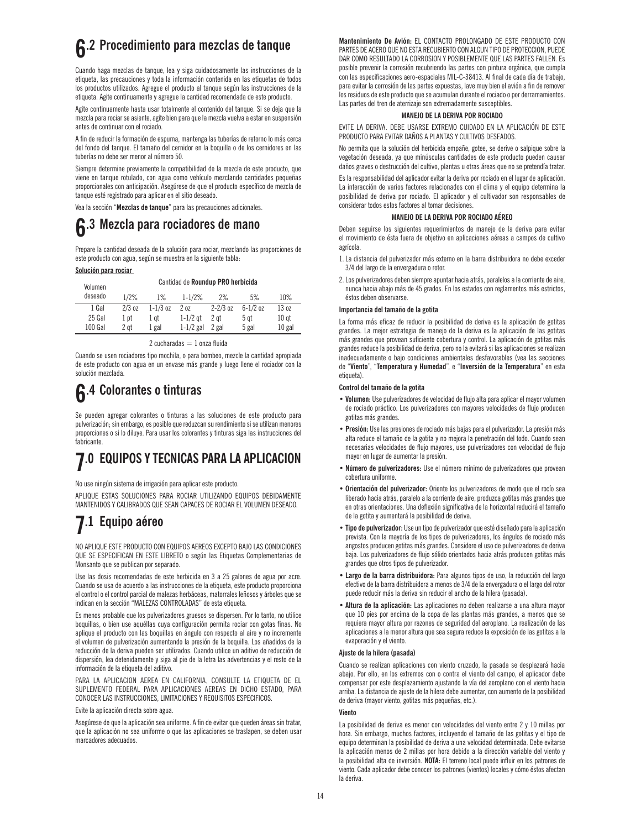## **6.2 Procedimiento para mezclas de tanque**

Cuando haga mezclas de tanque, lea y siga cuidadosamente las instrucciones de la etiqueta, las precauciones y toda la información contenida en las etiquetas de todos los productos utilizados. Agregue el producto al tanque según las instrucciones de la etiqueta. Agite continuamente y agregue la cantidad recomendada de este producto.

Agite continuamente hasta usar totalmente el contenido del tanque. Si se deja que la mezcla para rociar se asiente, agite bien para que la mezcla vuelva a estar en suspensión antes de continuar con el rociado.

A fin de reducir la formación de espuma, mantenga las tuberías de retorno lo más cerca del fondo del tanque. El tamaño del cernidor en la boquilla o de los cernidores en las tuberías no debe ser menor al número 50.

Siempre determine previamente la compatibilidad de la mezcla de este producto, que viene en tanque rotulado, con agua como vehículo mezclando cantidades pequeñas proporcionales con anticipación. Asegúrese de que el producto específico de mezcla de tanque esté registrado para aplicar en el sitio deseado.

Vea la sección "**Mezclas de tanque**" para las precauciones adicionales.

## **6.3 Mezcla para rociadores de mano**

Prepare la cantidad deseada de la solución para rociar, mezclando las proporciones de este producto con agua, según se muestra en la siguiente tabla:

#### **Solución para rociar**

| Volumen |          |              | Cantidad de Roundup PRO herbicida |              |              |                  |
|---------|----------|--------------|-----------------------------------|--------------|--------------|------------------|
| deseado | 1/2%     | $1\%$        | $1 - 1/2%$                        | $2\%$        | 5%           | 10%              |
| 1 Gal   | $2/3$ oz | $1 - 1/3$ oz | 20z                               | $2 - 2/3$ oz | $6 - 1/2$ oz | 13 oz            |
| 25 Gal  | 1 pt     | 1 at         | $1-1/2$ at                        | 2 at         | 5 at         | 10 <sub>gt</sub> |
| 100 Gal | 2 at     | 1 gal        | $1-1/2$ gal                       | 2 gal        | 5 gal        | $10$ gal         |

 $2$  cucharadas  $= 1$  onza fluida

Cuando se usen rociadores tipo mochila, o para bombeo, mezcle la cantidad apropiada de este producto con agua en un envase más grande y luego llene el rociador con la solución mezclada.

### **6.4 Colorantes o tinturas**

Se pueden agregar colorantes o tinturas a las soluciones de este producto para pulverización; sin embargo, es posible que reduzcan su rendimiento si se utilizan menores proporciones o si lo diluye. Para usar los colorantes y tinturas siga las instrucciones del fabricante.

## **7.0 EQUIPOS Y TECNICAS PARA LA APLICACION**

No use ningún sistema de irrigación para aplicar este producto.

APLIQUE ESTAS SOLUCIONES PARA ROCIAR UTILIZANDO EQUIPOS DEBIDAMENTE MANTENIDOS Y CALIBRADOS QUE SEAN CAPACES DE ROCIAR EL VOLUMEN DESEADO.

### **7.1 Equipo aéreo**

NO APLIQUE ESTE PRODUCTO CON EQUIPOS AEREOS EXCEPTO BAJO LAS CONDICIONES QUE SE ESPECIFICAN EN ESTE LIBRETO o según las Etiquetas Complementarias de Monsanto que se publican por separado.

Use las dosis recomendadas de este herbicida en 3 a 25 galones de agua por acre. Cuando se usa de acuerdo a las instrucciones de la etiqueta, este producto proporciona el control o el control parcial de malezas herbáceas, matorrales leñosos y árboles que se indican en la sección "MALEZAS CONTROLADAS" de esta etiqueta.

Es menos probable que los pulverizadores gruesos se dispersen. Por lo tanto, no utilice boquillas, o bien use aquéllas cuya configuración permita rociar con gotas finas. No aplique el producto con las boquillas en ángulo con respecto al aire y no incremente el volumen de pulverización aumentando la presión de la boquilla. Los añadidos de la reducción de la deriva pueden ser utilizados. Cuando utilice un aditivo de reducción de dispersión, lea detenidamente y siga al pie de la letra las advertencias y el resto de la información de la etiqueta del aditivo.

PARA LA APLICACION AEREA EN CALIFORNIA, CONSULTE LA ETIQUETA DE EL SUPLEMENTO FEDERAL PARA APLICACIONES AFREAS EN DICHO ESTADO, PARA CONOCER LAS INSTRUCCIONES, LIMITACIONES Y REQUISITOS ESPECIFICOS.

Evite la aplicación directa sobre agua.

Asegúrese de que la aplicación sea uniforme. A fin de evitar que queden áreas sin tratar, que la aplicación no sea uniforme o que las aplicaciones se traslapen, se deben usar marcadores adecuados.

**Mantenimiento De Avión:** EL CONTACTO PROLONGADO DE ESTE PRODUCTO CON PARTES DE ACERO QUE NO ESTA RECUBIERTO CON ALGUN TIPO DE PROTECCION, PUEDE DAR COMO RESULTADO LA CORROSION Y POSIBLEMENTE QUE LAS PARTES FALLEN. Es posible prevenir la corrosión recubriendo las partes con pintura orgánica, que cumpla con las especificaciones aero-espaciales MIL-C-38413. Al final de cada día de trabajo, para evitar la corrosión de las partes expuestas, lave muy bien el avión a fin de remover los residuos de este producto que se acumulan durante el rociado o por derramamientos. Las partes del tren de aterrizaje son extremadamente susceptibles.

#### **MANEJO DE LA DERIVA POR ROCIADO**

EVITE LA DERIVA. DEBE USARSE EXTREMO CUIDADO EN LA APLICACIÓN DE ESTE PRODUCTO PARA EVITAR DAÑOS A PLANTAS Y CULTIVOS DESEADOS.

No permita que la solución del herbicida empañe, gotee, se derive o salpique sobre la vegetación deseada, ya que minúsculas cantidades de este producto pueden causar daños graves o destrucción del cultivo, plantas u otras áreas que no se pretendía tratar.

Es la responsabilidad del aplicador evitar la deriva por rociado en el lugar de aplicación. La interacción de varios factores relacionados con el clima y el equipo determina la posibilidad de deriva por rociado. El aplicador y el cultivador son responsables de considerar todos estos factores al tomar decisiones.

#### **MANEJO DE LA DERIVA POR ROCIADO AÉREO**

Deben seguirse los siguientes requerimientos de manejo de la deriva para evitar el movimiento de ésta fuera de objetivo en aplicaciones aéreas a campos de cultivo agrícola.

- 1.La distancia del pulverizador más externo en la barra distribuidora no debe exceder 3/4 del largo de la envergadura o rotor.
- 2.Los pulverizadores deben siempre apuntar hacia atrás, paralelos a la corriente de aire, nunca hacia abajo más de 45 grados. En los estados con reglamentos más estrictos, éstos deben observarse.

#### **Importancia del tamaño de la gotita**

La forma más eficaz de reducir la posibilidad de deriva es la aplicación de gotitas grandes. La mejor estrategia de manejo de la deriva es la aplicación de las gotitas más grandes que provean suficiente cobertura y control. La aplicación de gotitas más grandes reduce la posibilidad de deriva, pero no la evitará si las aplicaciones se realizan inadecuadamente o bajo condiciones ambientales desfavorables (vea las secciones de "**Viento**", "**Temperatura y Humedad**", e "**Inversión de la Temperatura**" en esta etiqueta)

#### **Control del tamaño de la gotita**

- **Volumen:** Use pulverizadores de velocidad de flujo alta para aplicar el mayor volumen de rociado práctico. Los pulverizadores con mayores velocidades de flujo producen gotitas más grandes.
- **Presión:** Use las presiones de rociado más bajas para el pulverizador. La presión más alta reduce el tamaño de la gotita y no mejora la penetración del todo. Cuando sean necesarias velocidades de flujo mayores, use pulverizadores con velocidad de flujo mayor en lugar de aumentar la presión.
- **�Número de pulverizadores:** Use el número mínimo de pulverizadores que provean cobertura uniforme.
- **�Orientación del pulverizador:** Oriente los pulverizadores de modo que el rocío sea liberado hacia atrás, paralelo a la corriente de aire, produzca gotitas más grandes que en otras orientaciones. Una deflexión significativa de la horizontal reducirá el tamaño de la gotita y aumentará la posibilidad de deriva.
- **�Tipo de pulverizador:** Use un tipo de pulverizador que esté diseñado para la aplicación prevista. Con la mayoría de los tipos de pulverizadores, los ángulos de rociado más angostos producen gotitas más grandes. Considere el uso de pulverizadores de deriva baja. Los pulverizadores de flujo sólido orientados hacia atrás producen gotitas más grandes que otros tipos de pulverizador.
- **�Largo de la barra distribuidora:** Para algunos tipos de uso, la reducción del largo efectivo de la barra distribuidora a menos de 3/4 de la envergadura o el largo del rotor puede reducir más la deriva sin reducir el ancho de la hilera (pasada).
- **�Altura de la aplicación:** Las aplicaciones no deben realizarse a una altura mayor que 10 pies por encima de la copa de las plantas más grandes, a menos que se requiera mayor altura por razones de seguridad del aeroplano. La realización de las aplicaciones a la menor altura que sea segura reduce la exposición de las gotitas a la evaporación y el viento.

#### **Ajuste de la hilera (pasada)**

Cuando se realizan aplicaciones con viento cruzado, la pasada se desplazará hacia abajo. Por ello, en los extremos con o contra el viento del campo, el aplicador debe compensar por este desplazamiento ajustando la vía del aeroplano con el viento hacia arriba. La distancia de ajuste de la hilera debe aumentar, con aumento de la posibilidad de deriva (mayor viento, gotitas más pequeñas, etc.).

#### **Viento**

La posibilidad de deriva es menor con velocidades del viento entre 2 y 10 millas por hora. Sin embargo, muchos factores, incluyendo el tamaño de las gotitas y el tipo de equipo determinan la posibilidad de deriva a una velocidad determinada. Debe evitarse la aplicación menos de 2 millas por hora debido a la dirección variable del viento y la posibilidad alta de inversión. **NOTA:** El terreno local puede influir en los patrones de viento. Cada aplicador debe conocer los patrones (vientos) locales y cómo éstos afectan la deriva.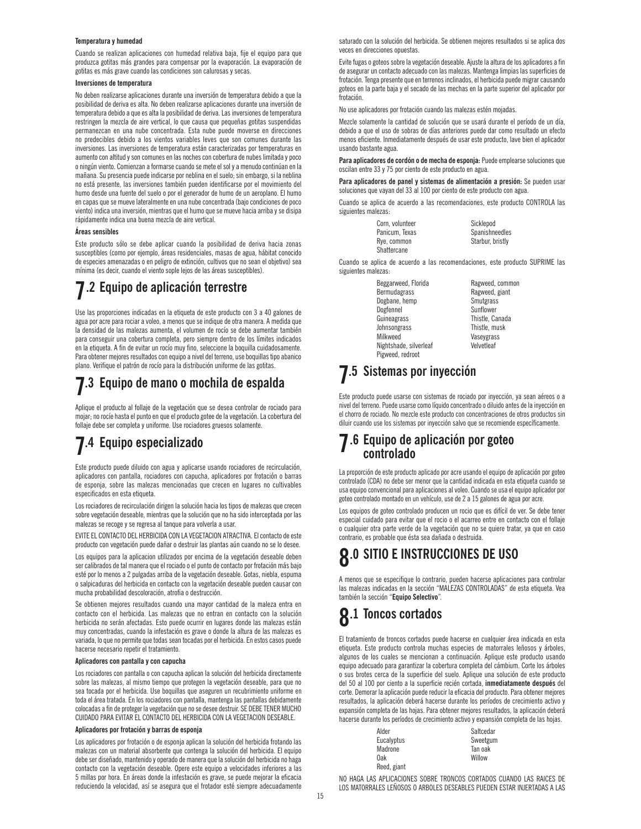#### **Temperatura y humedad**

Cuando se realizan aplicaciones con humedad relativa baja, fije el equipo para que produzca gotitas más grandes para compensar por la evaporación. La evaporación de gotitas es más grave cuando las condiciones son calurosas y secas.

#### **Inversiones de temperatura**

No deben realizarse aplicaciones durante una inversión de temperatura debido a que la posibilidad de deriva es alta. No deben realizarse aplicaciones durante una inversión de temperatura debido a que es alta la posibilidad de deriva. Las inversiones de temperatura restringen la mezcla de aire vertical, lo que causa que pequeñas gotitas suspendidas permanezcan en una nube concentrada. Esta nube puede moverse en direcciones no predecibles debido a los vientos variables leves que son comunes durante las inversiones. Las inversiones de temperatura están caracterizadas por temperaturas en aumento con altitud y son comunes en las noches con cobertura de nubes limitada y poco o ningún viento. Comienzan a formarse cuando se mete el sol y a menudo continúan en la mañana. Su presencia puede indicarse por neblina en el suelo; sin embargo, si la neblina no está presente, las inversiones también pueden identificarse por el movimiento del humo desde una fuente del suelo o por el generador de humo de un aeroplano. El humo en capas que se mueve lateralmente en una nube concentrada (bajo condiciones de poco viento) indica una inversión, mientras que el humo que se mueve hacia arriba y se disipa rápidamente indica una buena mezcla de aire vertical.

#### **Áreas sensibles**

Este producto sólo se debe aplicar cuando la posibilidad de deriva hacia zonas susceptibles (como por ejemplo, áreas residenciales, masas de agua, hábitat conocido de especies amenazadas o en peligro de extinción, cultivos que no sean el objetivo) sea mínima (es decir, cuando el viento sople lejos de las áreas susceptibles).

### **7.2 Equipo de aplicación terrestre**

Use las proporciones indicadas en la etiqueta de este producto con 3 a 40 galones de agua por acre para rociar a voleo, a menos que se indique de otra manera. A medida que la densidad de las malezas aumenta, el volumen de rocío se debe aumentar también para conseguir una cobertura completa, pero siempre dentro de los límites indicados en la etiqueta. A fin de evitar un rocío muy fino, seleccione la boquilla cuidadosamente. Para obtener mejores resultados con equipo a nivel del terreno, use boquillas tipo abanico plano. Verifique el patrón de rocío para la distribución uniforme de las gotitas.

### **7.3 Equipo de mano o mochila de espalda**

Aplique el producto al follaje de la vegetación que se desea controlar de rociado para mojar; no rocíe hasta el punto en que el producto gotee de la vegetación. La cobertura del follaje debe ser completa y uniforme. Use rociadores gruesos solamente.

### **7.4 Equipo especializado**

Este producto puede diluido con agua y aplicarse usando rociadores de recirculación, aplicadores con pantalla, rociadores con capucha, aplicadores por frotación o barras de esponja, sobre las malezas mencionadas que crecen en lugares no cultivables especificados en esta etiqueta.

Los rociadores de recirculación dirigen la solución hacia los tipos de malezas que crecen sobre vegetación deseable, mientras que la solución que no ha sido interceptada por las malezas se recoge y se regresa al tanque para volverla a usar.

EVITE EL CONTACTO DEL HERBICIDA CON LA VEGETACION ATRACTIVA. El contacto de este producto con vegetación puede dañar o destruir las plantas aún cuando no se lo desee.

Los equipos para la aplicacion utilizados por encima de la vegetación deseable deben ser calibrados de tal manera que el rociado o el punto de contacto por frotación más bajo esté por lo menos a 2 pulgadas arriba de la vegetación deseable. Gotas, niebla, espuma o salpicaduras del herbicida en contacto con la vegetación deseable pueden causar con mucha probabilidad descoloración, atrofia o destrucción.

Se obtienen mejores resultados cuando una mayor cantidad de la maleza entra en contacto con el herbicida. Las malezas que no entran en contacto con la solución herbicida no serán afectadas. Esto puede ocurrir en lugares donde las malezas están muy concentradas, cuando la infestación es grave o donde la altura de las malezas es variada, lo que no permite que todas sean tocadas por el herbicida. En estos casos puede hacerse necesario repetir el tratamiento.

#### **Aplicadores con pantalla y con capucha**

Los rociadores con pantalla o con capucha aplican la solución del herbicida directamente sobre las malezas, al mismo tiempo que protegen la vegetación deseable, para que no sea tocada por el herbicida. Use boquillas que aseguren un recubrimiento uniforme en toda el área tratada. En los rociadores con pantalla, mantenga las pantallas debidamente colocadas a fin de proteger la vegetación que no se desee destruir. SE DEBE TENER MUCHO CUIDADO PARA EVITAR EL CONTACTO DEL HERBICIDA CON LA VEGETACION DESEABLE.

#### **Aplicadores por frotación y barras de esponja**

Los aplicadores por frotación o de esponja aplican la solución del herbicida frotando las malezas con un material absorbente que contenga la solución del herbicida. El equipo debe ser diseñado, mantenido y operado de manera que la solución del herbicida no haga contacto con la vegetación deseable. Opere este equipo a velocidades inferiores a las 5 millas por hora. En áreas donde la infestación es grave, se puede mejorar la eficacia reduciendo la velocidad, así se asegura que el frotador esté siempre adecuadamente

saturado con la solución del herbicida. Se obtienen mejores resultados si se aplica dos veces en direcciones opuestas.

Evite fugas o goteos sobre la vegetación deseable. Ajuste la altura de los aplicadores a fin de asegurar un contacto adecuado con las malezas. Mantenga limpias las superficies de frotación. Tenga presente que en terrenos inclinados, el herbicida puede migrar causando goteos en la parte baja y el secado de las mechas en la parte superior del aplicador por frotación.

No use aplicadores por frotación cuando las malezas estén mojadas.

Mezcle solamente la cantidad de solución que se usará durante el período de un día, debido a que el uso de sobras de días anteriores puede dar como resultado un efecto menos eficiente. Inmediatamente después de usar este producto, lave bien el aplicador usando bastante agua.

Para aplicadores de cordón o de mecha de esponja: Puede emplearse soluciones que oscilan entre 33 y 75 por ciento de este producto en agua.

**Para aplicadores de panel y sistemas de alimentación a presión:** Se pueden usar soluciones que vayan del 33 al 100 por ciento de este producto con agua.

Cuando se aplica de acuerdo a las recomendaciones, este producto CONTROLA las siguientes malezas:

| Corn. volunteer | Sicklepod        |
|-----------------|------------------|
| Panicum. Texas  | Spanishneedles   |
| Rye, common     | Starbur, bristly |
| Shattercane     |                  |

Cuando se aplica de acuerdo a las recomendaciones, este producto SUPRIME las siguientes malezas:

> Beggarweed, Florida Ragweed, common<br>Ragweed, giant Dogbane, hemp Smutgrass<br>
> Dogfennel Sunflower Dogfennel Guineagrass Thistle, Canada Johnsongrass Thistle, musk Milkweed Vaseygrass<br>Nightshade silverleaf Velvetleaf Nightshade, silverleaf Pigweed, redroot

Ragweed, giant

### **7.5 Sistemas por inyección**

Este producto puede usarse con sistemas de rociado por inyección, ya sean aéreos o a nivel del terreno. Puede usarse como líquido concentrado o diluido antes de la inyección en el chorro de rociado. No mezcle este producto con concentraciones de otros productos sin diluir cuando use los sistemas por inyección salvo que se recomiende específicamente.

# **7.6 Equipo de aplicación por goteo controlado**

La proporción de este producto aplicado por acre usando el equipo de aplicación por goteo controlado (CDA) no debe ser menor que la cantidad indicada en esta etiqueta cuando se usa equipo convencional para aplicaciones al voleo. Cuando se usa el equipo aplicador por goteo controlado montado en un vehículo, use de 2 a 15 galones de agua por acre.

Los equipos de goteo controlado producen un rocio que es difícil de ver. Se debe tener especial cuidado para evitar que el rocio o el acarreo entre en contacto con el follaje o cualquier otra parte verde de la vegetación que no se quiere tratar, ya que en caso contrario, es probable que ésta sea dañada o destruida.

## **8.0 SITIO E INSTRUCCIONES DE USO**

A menos que se especifique lo contrario, pueden hacerse aplicaciones para controlar las malezas indicadas en la sección "MALEZAS CONTROLADAS" de esta etiqueta. Vea también la sección "**Equipo Selectivo**".

### **8.1 Toncos cortados**

El tratamiento de troncos cortados puede hacerse en cualquier área indicada en esta etiqueta. Este producto controla muchas especies de matorrales leñosos y árboles, algunos de los cuales se mencionan a continuación. Aplique este producto usando equipo adecuado para garantizar la cobertura completa del cámbium. Corte los árboles o sus brotes cerca de la superficie del suelo. Aplique una solución de este producto del 50 al 100 por ciento a la superficie recién cortada, **inmediatamente después** del corte. Demorar la aplicación puede reducir la eficacia del producto. Para obtener mejores resultados, la aplicación deberá hacerse durante los períodos de crecimiento activo y expansión completa de las hojas. Para obtener mejores resultados, la aplicación deberá hacerse durante los períodos de crecimiento activo y expansión completa de las hojas.

| Alder       | Saltcedar |
|-------------|-----------|
| Eucalyptus  | Sweetgum  |
| Madrone     | Tan oak   |
| 0ak         | Willow    |
| Reed, giant |           |

NO HAGA LAS APLICACIONES SOBRE TRONCOS CORTADOS CUANDO LAS RAICES DE LOS MATORRALES LEÑOSOS O ARBOLES DESEABLES PUEDEN ESTAR INJERTADAS A LAS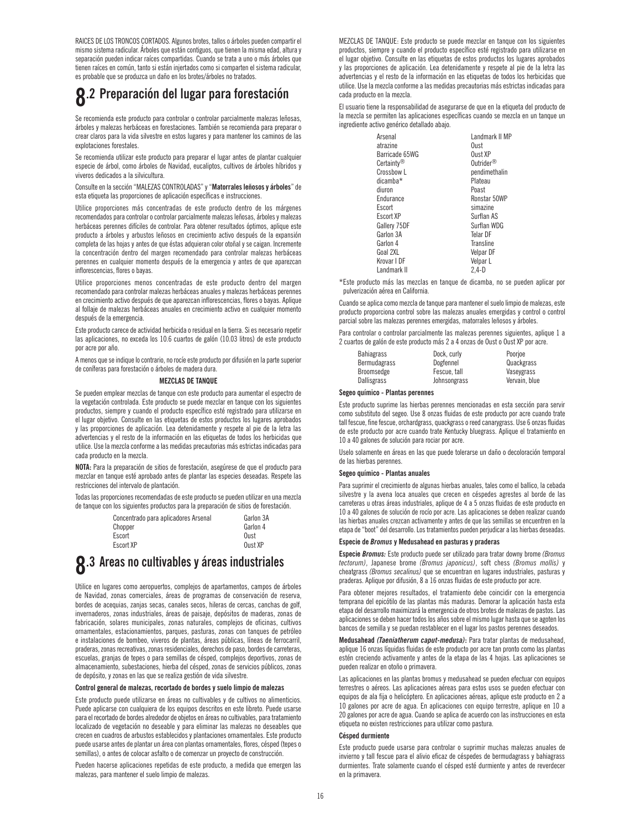RAICES DE LOS TRONCOS CORTADOS. Algunos brotes, tallos o árboles pueden compartir el mismo sistema radicular. Árboles que están contiguos, que tienen la misma edad, altura y separación pueden indicar raíces compartidas. Cuando se trata a uno o más árboles que tienen raíces en común, tanto si están injertados como si comparten el sistema radicular, es probable que se produzca un daño en los brotes/árboles no tratados.

### **8.2 Preparación del lugar para forestación**

Se recomienda este producto para controlar o controlar parcialmente malezas leñosas, árboles y malezas herbáceas en forestaciones. También se recomienda para preparar o crear claros para la vida silvestre en estos lugares y para mantener los caminos de las explotaciones forestales.

Se recomienda utilizar este producto para preparar el lugar antes de plantar cualquier especie de árbol, como árboles de Navidad, eucaliptos, cultivos de árboles híbridos y viveros dedicados a la silvicultura.

Consulte en la sección "MALEZAS CONTROLADAS" y "**Matorrales leñosos y árboles**" de esta etiqueta las proporciones de aplicación específicas e instrucciones.

Utilice proporciones más concentradas de este producto dentro de los márgenes recomendados para controlar o controlar parcialmente malezas leñosas, árboles y malezas herbáceas perennes difíciles de controlar. Para obtener resultados óptimos, aplique este producto a árboles y arbustos leñosos en crecimiento activo después de la expansión completa de las hojas y antes de que éstas adquieran color otoñal y se caigan. Incremente la concentración dentro del margen recomendado para controlar malezas herbáceas perennes en cualquier momento después de la emergencia y antes de que aparezcan inflorescencias, flores o bayas.

Utilice proporciones menos concentradas de este producto dentro del margen recomendado para controlar malezas herbáceas anuales y malezas herbáceas perennes en crecimiento activo después de que aparezcan inflorescencias, flores o bayas. Aplique al follaje de malezas herbáceas anuales en crecimiento activo en cualquier momento después de la emergencia.

Este producto carece de actividad herbicida o residual en la tierra. Si es necesario repetir las aplicaciones, no exceda los 10.6 cuartos de galón (10.03 litros) de este producto por acre por año.

A menos que se indique lo contrario, no rocíe este producto por difusión en la parte superior de coníferas para forestación o árboles de madera dura.

#### **MEZCLAS DE TANQUE**

Se pueden emplear mezclas de tanque con este producto para aumentar el espectro de la vegetación controlada. Este producto se puede mezclar en tanque con los siguientes productos, siempre y cuando el producto específico esté registrado para utilizarse en el lugar objetivo. Consulte en las etiquetas de estos productos los lugares aprobados y las proporciones de aplicación. Lea detenidamente y respete al pie de la letra las advertencias y el resto de la información en las etiquetas de todos los herbicidas que utilice. Use la mezcla conforme a las medidas precautorias más estrictas indicadas para cada producto en la mezcla.

**NOTA:** Para la preparación de sitios de forestación, asegúrese de que el producto para mezclar en tanque esté aprobado antes de plantar las especies deseadas. Respete las restricciones del intervalo de plantación.

Todas las proporciones recomendadas de este producto se pueden utilizar en una mezcla de tanque con los siguientes productos para la preparación de sitios de forestación.

| Concentrado para aplicadores Arsenal | Garlon 3A |
|--------------------------------------|-----------|
| Chopper                              | Garlon 4  |
| Escort                               | Oust      |
| Escort XP                            | Oust XP   |
|                                      |           |

## **8.3 Areas no cultivables y áreas industriales**

Utilice en lugares como aeropuertos, complejos de apartamentos, campos de árboles de Navidad, zonas comerciales, áreas de programas de conservación de reserva, bordes de acequias, zanjas secas, canales secos, hileras de cercas, canchas de golf, invernaderos, zonas industriales, áreas de paisaje, depósitos de maderas, zonas de fabricación, solares municipales, zonas naturales, complejos de oficinas, cultivos ornamentales, estacionamientos, parques, pasturas, zonas con tanques de petróleo e instalaciones de bombeo, viveros de plantas, áreas públicas, líneas de ferrocarril, praderas, zonas recreativas, zonas residenciales, derechos de paso, bordes de carreteras, escuelas, granjas de tepes o para semillas de césped, complejos deportivos, zonas de almacenamiento, subestaciones, hierba del césped, zonas de servicios públicos, zonas de depósito, y zonas en las que se realiza gestión de vida silvestre.

#### **Control general de malezas, recortado de bordes y suelo limpio de malezas**

Este producto puede utilizarse en áreas no cultivables y de cultivos no alimenticios. Puede aplicarse con cualquiera de los equipos descritos en este libreto. Puede usarse para el recortado de bordes alrededor de objetos en áreas no cultivables, para tratamiento localizado de vegetación no deseable y para eliminar las malezas no deseables que crecen en cuadros de arbustos establecidos y plantaciones ornamentales. Este producto puede usarse antes de plantar un área con plantas ornamentales, flores, césped (tepes o semillas), o antes de colocar asfalto o de comenzar un proyecto de construcción.

Pueden hacerse aplicaciones repetidas de este producto, a medida que emergen las malezas, para mantener el suelo limpio de malezas.

MEZCLAS DE TANQUE: Este producto se puede mezclar en tanque con los siguientes productos, siempre y cuando el producto específico esté registrado para utilizarse en el lugar objetivo. Consulte en las etiquetas de estos productos los lugares aprobados y las proporciones de aplicación. Lea detenidamente y respete al pie de la letra las advertencias y el resto de la información en las etiquetas de todos los herbicidas que utilice. Use la mezcla conforme a las medidas precautorias más estrictas indicadas para cada producto en la mezcla.

El usuario tiene la responsabilidad de asegurarse de que en la etiqueta del producto de la mezcla se permiten las aplicaciones específicas cuando se mezcla en un tanque un ingrediente activo genérico detallado abajo.

| Arsenal                | Landmark II MP        |
|------------------------|-----------------------|
| atrazine               | Oust                  |
| Barricade 65WG         | Oust XP               |
| Certainty <sup>®</sup> | Outrider <sup>®</sup> |
| Crossbow L             | pendimethalin         |
| dicamba*               | Plateau               |
| diuron                 | Poast                 |
| Endurance              | Ronstar 50WP          |
| Escort                 | simazine              |
| Escort XP              | Surflan AS            |
| Gallery 75DF           | Surflan WDG           |
| Garlon 3A              | Telar DF              |
| Garlon 4               | Transline             |
| Goal 2XL               | Velpar DF             |
| Krovar I DF            | Velpar L              |
| Landmark II            | 2.4-D                 |

\*Este producto más las mezclas en tanque de dicamba, no se pueden aplicar por pulverización aérea en California.

Cuando se aplica como mezcla de tanque para mantener el suelo limpio de malezas, este producto proporciona control sobre las malezas anuales emergidas y control o control parcial sobre las malezas perennes emergidas, matorrales leñosos y árboles.

Para controlar o controlar parcialmente las malezas perennes siguientes, aplique 1 a 2 cuartos de galón de este producto más 2 a 4 onzas de Oust o Oust XP por acre.

| <b>Bahiagrass</b>  | Dock, curly  | Poorioe       |
|--------------------|--------------|---------------|
| Bermudagrass       | Dogfennel    | Quackgrass    |
| Broomsedge         | Fescue, tall | Vaseygrass    |
| <b>Dallisgrass</b> | Johnsongrass | Vervain, blue |

#### **Segeo químico - Plantas perennes**

Este producto suprime las hierbas perennes mencionadas en esta sección para servir como substituto del segeo. Use 8 onzas fluidas de este producto por acre cuando trate tall fescue, fine fescue, orchardgrass, quackgrass o reed canarygrass. Use 6 onzas fluidas de este producto por acre cuando trate Kentucky bluegrass. Aplique el tratamiento en 10 a 40 galones de solución para rociar por acre.

Uselo solamente en áreas en las que puede tolerarse un daño o decoloración temporal de las hierbas perennes.

#### **Segeo químico - Plantas anuales**

Para suprimir el crecimiento de algunas hierbas anuales, tales como el ballico, la cebada silvestre y la avena loca anuales que crecen en céspedes agrestes al borde de las carreteras u otras áreas industriales, aplique de 4 a 5 onzas fluidas de este producto en 10 a 40 galones de solución de rocío por acre. Las aplicaciones se deben realizar cuando las hierbas anuales crezcan activamente y antes de que las semillas se encuentren en la etapa de "boot" del desarrollo. Los tratamientos pueden perjudicar a las hierbas deseadas.

#### **Especie de** *Bromus* **y Medusahead en pasturas y praderas**

**Especie** *Bromus:* Este producto puede ser utilizado para tratar downy brome *(Bromus tectorum)*, Japanese brome *(Bromus japonicus)*, soft chess *(Bromus mollis)* y cheatgrass *(Bromus secalinus)* que se encuentran en lugares industriales, pasturas y praderas. Aplique por difusión, 8 a 16 onzas fluidas de este producto por acre.

Para obtener mejores resultados, el tratamiento debe coincidir con la emergencia temprana del epicótilo de las plantas más maduras. Demorar la aplicación hasta esta etapa del desarrollo maximizará la emergencia de otros brotes de malezas de pastos. Las aplicaciones se deben hacer todos los años sobre el mismo lugar hasta que se agoten los bancos de semilla y se puedan restablecer en el lugar los pastos perennes deseados.

**Medusahead** *(Taeniatherum caput-medusa)***:** Para tratar plantas de medusahead, aplique 16 onzas líquidas fluidas de este producto por acre tan pronto como las plantas estén creciendo activamente y antes de la etapa de las 4 hojas. Las aplicaciones se pueden realizar en otoño o primavera.

Las aplicaciones en las plantas bromus y medusahead se pueden efectuar con equipos terrestres o aéreos. Las aplicaciones aéreas para estos usos se pueden efectuar con equipos de ala fija o helicóptero. En aplicaciones aéreas, aplique este producto en 2 a 10 galones por acre de agua. En aplicaciones con equipo terrestre, aplique en 10 a 20 galones por acre de agua. Cuando se aplica de acuerdo con las instrucciones en esta etiqueta no existen restricciones para utilizar como pastura.

#### **Césped durmiente**

Este producto puede usarse para controlar o suprimir muchas malezas anuales de invierno y tall fescue para el alivio eficaz de céspedes de bermudagrass y bahiagrass durmientes. Trate solamente cuando el césped esté durmiente y antes de reverdecer en la primavera.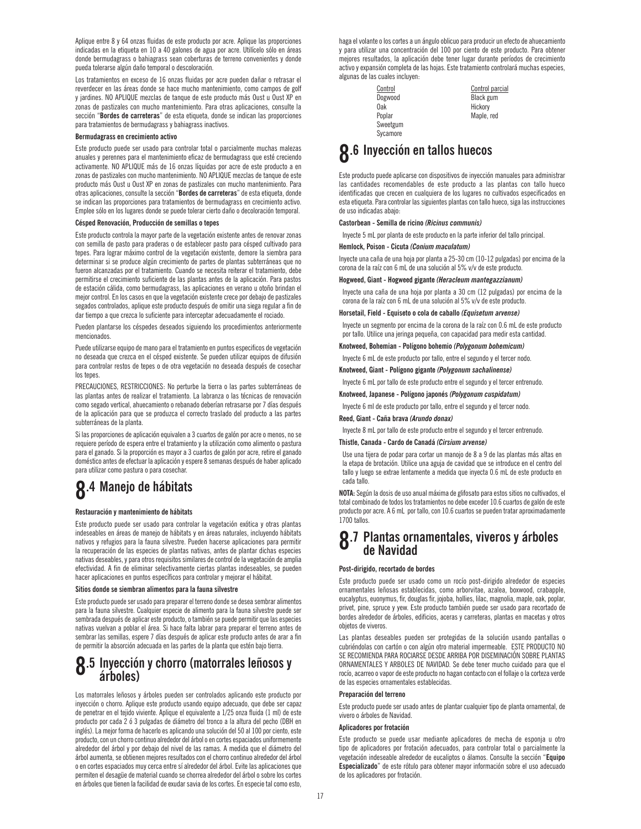Aplique entre 8 y 64 onzas fluidas de este producto por acre. Aplique las proporciones indicadas en la etiqueta en 10 a 40 galones de agua por acre. Utilícelo sólo en áreas donde bermudagrass o bahiagrass sean coberturas de terreno convenientes y donde pueda tolerarse algún daño temporal o descoloración.

Los tratamientos en exceso de 16 onzas fluidas por acre pueden dañar o retrasar el reverdecer en las áreas donde se hace mucho mantenimiento, como campos de golf y jardines. NO APLIQUE mezclas de tanque de este producto más Oust u Oust XP en zonas de pastizales con mucho mantenimiento. Para otras aplicaciones, consulte la sección "**Bordes de carreteras**" de esta etiqueta, donde se indican las proporciones para tratamientos de bermudagrass y bahiagrass inactivos.

#### **Bermudagrass en crecimiento activo**

Este producto puede ser usado para controlar total o parcialmente muchas malezas anuales y perennes para el mantenimiento eficaz de bermudagrass que esté creciendo activamente. NO APLIQUE más de 16 onzas líquidas por acre de este producto a en zonas de pastizales con mucho mantenimiento. NO APLIQUE mezclas de tanque de este producto más Oust u Oust XP en zonas de pastizales con mucho mantenimiento. Para otras aplicaciones, consulte la sección "**Bordes de carreteras**" de esta etiqueta, donde se indican las proporciones para tratamientos de bermudagrass en crecimiento activo. Emplee sólo en los lugares donde se puede tolerar cierto daño o decoloración temporal.

#### **Césped Renovación, Producción de semillas o tepes**

Este producto controla la mayor parte de la vegetación existente antes de renovar zonas con semilla de pasto para praderas o de establecer pasto para césped cultivado para tepes. Para lograr máximo control de la vegetación existente, demore la siembra para determinar si se produce algún crecimiento de partes de plantas subterráneas que no fueron alcanzadas por el tratamiento. Cuando se necesita reiterar el tratamiento, debe permitirse el crecimiento suficiente de las plantas antes de la aplicación. Para pastos de estación cálida, como bermudagrass, las aplicaciones en verano u otoño brindan el mejor control. En los casos en que la vegetación existente crece por debajo de pastizales segados controlados, aplique este producto después de omitir una siega regular a fin de dar tiempo a que crezca lo suficiente para interceptar adecuadamente el rociado.

Pueden plantarse los céspedes deseados siguiendo los procedimientos anteriormente mencionados.

Puede utilizarse equipo de mano para el tratamiento en puntos especificos de vegetación no deseada que crezca en el césped existente. Se pueden utilizar equipos de difusión para controlar restos de tepes o de otra vegetación no deseada después de cosechar los tepes.

PRECAUCIONES, RESTRICCIONES: No perturbe la tierra o las partes subterráneas de las plantas antes de realizar el tratamiento. La labranza o las técnicas de renovación como segado vertical, ahuecamiento o rebanado deberían retrasarse por 7 días después de la aplicación para que se produzca el correcto traslado del producto a las partes subterráneas de la planta.

Si las proporciones de aplicación equivalen a 3 cuartos de galón por acre o menos, no se requiere período de espera entre el tratamiento y la utilización como alimento o pastura para el ganado. Si la proporción es mayor a 3 cuartos de galón por acre, retire el ganado doméstico antes de efectuar la aplicación y espere 8 semanas después de haber aplicado para utilizar como pastura o para cosechar.

## **8.4 Manejo de hábitats**

#### **Restauración y mantenimiento de hábitats**

Este producto puede ser usado para controlar la vegetación exótica y otras plantas indeseables en áreas de manejo de hábitats y en áreas naturales, incluyendo hábitats nativos y refugios para la fauna silvestre. Pueden hacerse aplicaciones para permitir la recuperación de las especies de plantas nativas, antes de plantar dichas especies nativas deseables, y para otros requisitos similares de control de la vegetación de amplia efectividad. A fin de eliminar selectivamente ciertas plantas indeseables, se pueden hacer aplicaciones en puntos específicos para controlar y mejorar el hábitat.

#### **Sitios donde se siembran alimentos para la fauna silvestre**

Este producto puede ser usado para preparar el terreno donde se desea sembrar alimentos para la fauna silvestre. Cualquier especie de alimento para la fauna silvestre puede ser sembrada después de aplicar este producto, o también se puede permitir que las especies nativas vuelvan a poblar el área. Si hace falta labrar para preparar el terreno antes de sembrar las semillas, espere 7 días después de aplicar este producto antes de arar a fin de permitir la absorción adecuada en las partes de la planta que estén bajo tierra.

# **8.5** Inyección y chorro (matorrales leñosos y árboles)

Los matorrales leñosos y árboles pueden ser controlados aplicando este producto por inyección o chorro. Aplique este producto usando equipo adecuado, que debe ser capaz de penetrar en el tejido viviente. Aplique el equivalente a 1/25 onza fluida (1 ml) de este producto por cada 2 ó 3 pulgadas de diámetro del tronco a la altura del pecho (DBH en inglés). La mejor forma de hacerlo es aplicando una solución del 50 al 100 por ciento, este producto, con un chorro continuo alrededor del árbol o en cortes espaciados uniformemente alrededor del árbol y por debajo del nivel de las ramas. A medida que el diámetro del árbol aumenta, se obtienen mejores resultados con el chorro continuo alrededor del árbol o en cortes espaciados muy cerca entre sí alrededor del árbol. Evite las aplicaciones que permiten el desagüe de material cuando se chorrea alrededor del árbol o sobre los cortes en árboles que tienen la facilidad de exudar savia de los cortes. En especie tal como esto,

haga el volante o los cortes a un ángulo oblicuo para producir un efecto de ahuecamiento y para utilizar una concentración del 100 por ciento de este producto. Para obtener mejores resultados, la aplicación debe tener lugar durante períodos de crecimiento activo y expansión completa de las hojas. Este tratamiento controlará muchas especies, algunas de las cuales incluyen:

> Oak Hickory Sweetgum **Sycamore**

Control Control parcial Dogwood Black gum Maple, red

### **8.6 Inyección en tallos huecos**

Este producto puede aplicarse con dispositivos de inyección manuales para administrar las cantidades recomendables de este producto a las plantas con tallo hueco identificadas que crecen en cualquiera de los lugares no cultivados especificados en esta etiqueta. Para controlar las siguientes plantas con tallo hueco, siga las instrucciones de uso indicadas abajo:

#### **Castorbean - Semilla de ricino** *(Ricinus communis)*

Inyecte 5 mL por planta de este producto en la parte inferior del tallo principal.

#### **Hemlock, Poison - Cicuta** *(Conium maculatum)*

Inyecte una caña de una hoja por planta a 25-30 cm (10-12 pulgadas) por encima de la corona de la raíz con 6 mL de una solución al 5% v/v de este producto.

#### **Hogweed, Giant - Hogweed gigante** *(Heracleum mantegazzianum)*

Inyecte una caña de una hoja por planta a 30 cm (12 pulgadas) por encima de la corona de la raíz con 6 mL de una solución al 5% v/v de este producto.

#### **Horsetail, Field - Equiseto o cola de caballo** *(Equisetum arvense)*

Inyecte un segmento por encima de la corona de la raíz con 0.6 mL de este producto por tallo. Utilice una jeringa pequeña, con capacidad para medir esta cantidad.

#### **Knotweed, Bohemian - Polígono bohemio** *(Polygonum bohemicum)*

Inyecte 6 mL de este producto por tallo, entre el segundo y el tercer nodo.

**Knotweed, Giant - Polígono gigante** *(Polygonum sachalinense)*

Inyecte 6 mL por tallo de este producto entre el segundo y el tercer entrenudo.

#### **Knotweed, Japanese - Polígono japonés** *(Polygonum cuspidatum)*

Inyecte 6 ml de este producto por tallo, entre el segundo y el tercer nodo.

#### **Reed, Giant - Caña brava** *(Arundo donax)*

Inyecte 8 mL por tallo de este producto entre el segundo y el tercer entrenudo.

#### **Thistle, Canada - Cardo de Canadá** *(Cirsium arvense)*

Use una tijera de podar para cortar un manojo de 8 a 9 de las plantas más altas en la etapa de brotación. Utilice una aguja de cavidad que se introduce en el centro del tallo y luego se extrae lentamente a medida que inyecta 0.6 mL de este producto en cada tallo.

**NOTA:** Según la dosis de uso anual máxima de glifosato para estos sitios no cultivados, el total combinado de todos los tratamientos no debe exceder 10.6 cuartos de galón de este producto por acre. A 6 mL por tallo, con 10.6 cuartos se pueden tratar aproximadamente 1700 tallos.

# **8.7 Plantas ornamentales, viveros y árboles de Navidad**

#### **Post-dirigido, recortado de bordes**

Este producto puede ser usado como un rocío post-dirigido alrededor de especies ornamentales leñosas establecidas, como arborvitae, azalea, boxwood, crabapple, eucalyptus, euonymus, fir, douglas fir, jojoba, hollies, lilac, magnolia, maple, oak, poplar, privet, pine, spruce y yew. Este producto también puede ser usado para recortado de bordes alrededor de árboles, edificios, aceras y carreteras, plantas en macetas y otros objetos de viveros.

Las plantas deseables pueden ser protegidas de la solución usando pantallas o cubriéndolas con cartón o con algún otro material impermeable. ESTE PRODUCTO NO SE RECOMIENDA PARA ROCIARSE DESDE ARRIBA POR DISEMINACIÓN SOBRE PLANTAS ORNAMENTALES Y ARBOLES DE NAVIDAD. Se debe tener mucho cuidado para que el rocío, acarreo o vapor de este producto no hagan contacto con el follaje o la corteza verde de las especies ornamentales establecidas.

#### **Preparación del terreno**

Este producto puede ser usado antes de plantar cualquier tipo de planta ornamental, de vivero o árboles de Navidad.

#### **Aplicadores por frotación**

Este producto se puede usar mediante aplicadores de mecha de esponja u otro tipo de aplicadores por frotación adecuados, para controlar total o parcialmente la vegetación indeseable alrededor de eucaliptos o álamos. Consulte la sección "**Equipo Especializado**" de este rótulo para obtener mayor información sobre el uso adecuado de los aplicadores por frotación.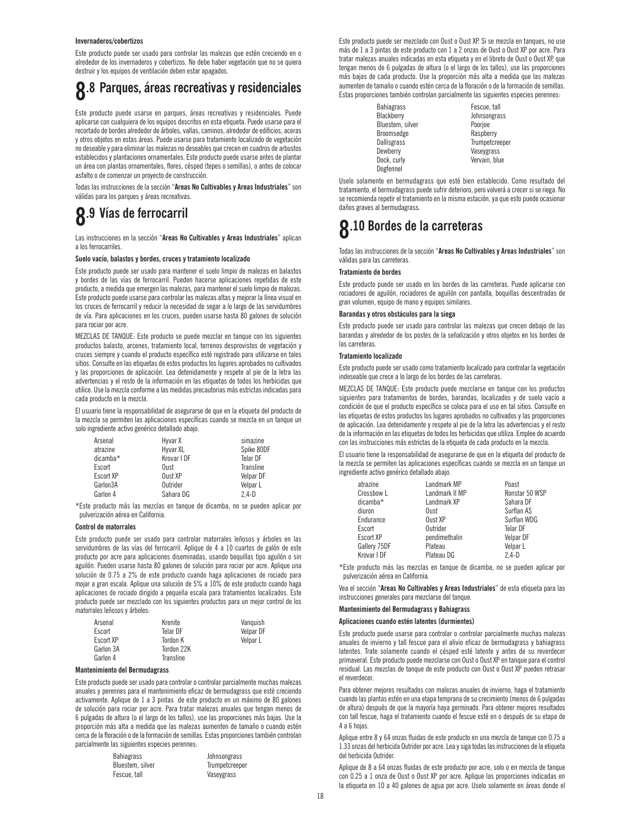#### **Invernaderos/cobertizos**

Este producto puede ser usado para controlar las malezas que estén creciendo en o alrededor de los invernaderos y cobertizos. No debe haber vegetación que no se quiera destruir y los equipos de ventilación deben estar apagados.

### **8.8 Parques, áreas recreativas y residenciales**

Este producto puede usarse en parques, áreas recreativas y residenciales. Puede aplicarse con cualquiera de los equipos descritos en esta etiqueta. Puede usarse para el recortado de bordes alrededor de árboles, vallas, caminos, alrededor de edificios, aceras y otros objetos en estas áreas. Puede usarse para tratamiento localizado de vegetación no deseable y para eliminar las malezas no deseables que crecen en cuadros de arbustos establecidos y plantaciones ornamentales. Este producto puede usarse antes de plantar un área con plantas ornamentales, flores, césped (tepes o semillas), o antes de colocar asfalto o de comenzar un proyecto de construcción.

Todas las instrucciones de la sección "**Areas No Cultivables y Areas Industriales**" son válidas para los parques y áreas recreativas.

### **8.9 Vías de ferrocarril**

Las instrucciones en la sección "**Areas No Cultivables y Areas Industriales**" aplican a los ferrocarriles.

#### **Suelo vacío, balastos y bordes, cruces y tratamiento localizado**

Este producto puede ser usado para mantener el suelo limpio de malezas en balastos y bordes de las vías de ferrocarril. Pueden hacerse aplicaciones repetidas de este producto, a medida que emergen las malezas, para mantener el suelo limpio de malezas. Este producto puede usarse para controlar las malezas altas y mejorar la línea visual en los cruces de ferrocarril y reducir la necesidad de segar a lo largo de las servidumbres de vía. Para aplicaciones en los cruces, pueden usarse hasta 80 galones de solución para rociar por acre.

MEZCLAS DE TANQUE: Este producto se puede mezclar en tanque con los siguientes productos balasto, arcenes, tratamiento local, terrenos desprovistos de vegetación y cruces siempre y cuando el producto específico esté registrado para utilizarse en tales sitios. Consulte en las etiquetas de estos productos los lugares aprobados no cultivados y las proporciones de aplicación. Lea detenidamente y respete al pie de la letra las advertencias y el resto de la información en las etiquetas de todos los herbicidas que utilice. Use la mezcla conforme a las medidas precautorias más estrictas indicadas para cada producto en la mezcla.

El usuario tiene la responsabilidad de asegurarse de que en la etiqueta del producto de la mezcla se permiten las aplicaciones específicas cuando se mezcla en un tanque un solo ingrediente activo genérico detallado abajo.

| Arsenal   | Hyvar X     | simazine   |
|-----------|-------------|------------|
| atrazine  | Hyvar XL    | Spike 80DF |
| dicamba*  | Krovar I DF | Telar DF   |
| Escort    | Oust        | Transline  |
| Escort XP | Oust XP     | Velpar DF  |
| Garlon3A  | Outrider    | Velpar L   |
| Garlon 4  | Sahara DG   | $2.4-D$    |

\*Este producto más las mezclas en tanque de dicamba, no se pueden aplicar por pulverización aérea en California.

#### **Control de matorrales**

Este producto puede ser usado para controlar matorrales leñosos y árboles en las servidumbres de las vías del ferrocarril. Aplique de 4 a 10 cuartos de galón de este producto por acre para aplicaciones diseminadas, usando boquillas tipo aguilón o sin aguilón. Pueden usarse hasta 80 galones de solución para rociar por acre. Aplique una solución de 0.75 a 2% de este producto cuando haga aplicaciones de rociado para mojar a gran escala. Aplique una solución de 5% a 10% de este producto cuando haga aplicaciones de rociado dirigido a pequeña escala para tratamientos localizados. Este producto puede ser mezclado con los siguientes productos para un mejor control de los matorrales leñosos y árboles:

| Arsenal   | Krenite    | Vanguish         |
|-----------|------------|------------------|
| Escort    | Telar DF   | <b>Velpar DF</b> |
| Escort XP | Tordon K   | Velpar L         |
| Garlon 3A | Tordon 22K |                  |
| Garlon 4  | Transline  |                  |

#### **Mantenimiento del Bermudagrass**

Este producto puede ser usado para controlar o controlar parcialmente muchas malezas anuales y perennes para el mantenimiento eficaz de bermudagrass que esté creciendo activamente. Aplique de 1 a 3 pintas de este producto en un máximo de 80 galones de solución para rociar por acre. Para tratar malezas anuales que tengan menos de 6 pulgadas de altura (o el largo de los tallos), use las proporciones más bajas. Use la proporción más alta a medida que las malezas aumenten de tamaño o cuando estén cerca de la floración o de la formación de semillas. Estas proporciones también controlan parcialmente las siguientes especies perennes:

| Bahiagrass       | Johnsongrass   |
|------------------|----------------|
| Bluestem, silver | Trumpetcreeper |
| Fescue, tall     | Vaseygrass     |

Este producto puede ser mezclado con Oust o Oust XP. Si se mezcla en tanques, no use más de 1 a 3 pintas de este producto con 1 a 2 onzas de Oust o Oust XP por acre. Para tratar malezas anuales indicadas en esta etiqueta y en el libreto de Oust o Oust XP, que tengan menos de 6 pulgadas de altura (o el largo de los tallos), use las proporciones más bajas de cada producto. Use la proporción más alta a medida que las malezas aumenten de tamaño o cuando estén cerca de la floración o de la formación de semillas. Estas proporciones también controlan parcialmente las siguientes especies perennes:

| <b>Bahiagrass</b> | Fescue, tall   |
|-------------------|----------------|
| Blackberry        | Johnsongrass   |
| Bluestem, silver  | Poorjoe        |
| Broomsedge        | Raspberry      |
| Dallisgrass       | Trumpetcreeper |
| Dewberry          | Vaseygrass     |
| Dock, curly       | Vervain, blue  |
| Dogfennel         |                |
|                   |                |

Uselo solamente en bermudagrass que esté bien establecido. Como resultado del tratamiento, el bermudagrass puede sufrir deterioro, pero volverá a crecer si se riega. No se recomienda repetir el tratamiento en la misma estación, ya que esto puede ocasionar daños graves al bermudagrass.

### **8.10 Bordes de la carreteras**

Todas las instrucciones de la sección "**Areas No Cultivables y Areas Industriales**" son válidas para las carreteras.

#### **Tratamiento de bordes**

Este producto puede ser usado en los bordes de las carreteras. Puede aplicarse con rociadores de aguilón, rociadores de aguilón con pantalla, boquillas descentradas de gran volumen, equipo de mano y equipos similares.

#### **Barandas y otros obstáculos para la siega**

Este producto puede ser usado para controlar las malezas que crecen debajo de las barandas y alrededor de los postes de la señalización y otros objetos en los bordes de las carreteras.

#### **Tratamiento localizado**

Este producto puede ser usado como tratamiento localizado para controlar la vegetación indeseable que crece a lo largo de los bordes de las carreteras.

MEZCLAS DE TANQUE: Este producto puede mezclarse en tanque con los productos siguientes para tratamientos de bordes, barandas, localizados y de suelo vacío a condición de que el producto específico se coloca para el uso en tal sitios. Consulte en las etiquetas de estos productos los lugares aprobados no cultivados y las proporciones de aplicación. Lea detenidamente y respete al pie de la letra las advertencias y el resto de la información en las etiquetas de todos los herbicidas que utiliza. Emplee de acuerdo con las instrucciones más estrictas de la etiqueta de cada producto en la mezcla.

El usuario tiene la responsabilidad de asegurarse de que en la etiqueta del producto de la mezcla se permiten las aplicaciones específicas cuando se mezcla en un tanque un ingrediente activo genérico detallado abajo.

| atrazine         | Landmark MP    | Poast          |
|------------------|----------------|----------------|
| Crossbow L       | Landmark II MP | Ronstar 50 WSP |
| dicamba*         | Landmark XP    | Sahara DF      |
| diuron           | Oust           | Surflan AS     |
| Endurance        | Oust XP        | Surflan WDG    |
| Escort           | Outrider       | Telar DF       |
| <b>Escort XP</b> | pendimethalin  | Velpar DF      |
| Gallery 75DF     | Plateau        | Velpar L       |
| Krovar I DF      | Plateau DG     | $2.4-D$        |

\*Este producto más las mezclas en tanque de dicamba, no se pueden aplicar por pulverización aérea en California.

Vea el sección "**Areas No Cultivables y Areas Industriales**" de esta etiqueta para las instrucciones generales para mezclarse del tanque.

#### **Mantenimiento del Bermudagrass y Bahiagrass**

#### **Aplicaciones cuando estén latentes (durmientes)**

Este producto puede usarse para controlar o controlar parcialmente muchas malezas anuales de invierno y tall fescue para el alivio eficaz de bermudagrass y bahiagrass latentes. Trate solamente cuando el césped esté latente y antes de su reverdecer primaveral. Este producto puede mezclarse con Oust o Oust XP en tanque para el control residual. Las mezclas de tanque de este producto con Oust o Oust XP pueden retrasar el reverdecer.

Para obtener mejores resultados con malezas anuales de invierno, haga el tratamiento cuando las plantas estén en una etapa temprana de su crecimiento (menos de 6 pulgadas de altura) después de que la mayoría haya germinado. Para obtener mejores resultados con tall fescue, haga el tratamiento cuando el fescue esté en o después de su etapa de 4 a 6 hojas.

Aplique entre 8 y 64 onzas fluidas de este producto en una mezcla de tanque con 0.75 a 1.33 onzas del herbicida Outrider por acre. Lea y siga todas las instrucciones de la etiqueta del herbicida Outrider.

Aplique de 8 a 64 onzas fluidas de este producto por acre, solo o en mezcla de tanque con 0.25 a 1 onza de Oust o Oust XP por acre. Aplique las proporciones indicadas en la etiqueta en 10 a 40 galones de agua por acre. Uselo solamente en áreas donde el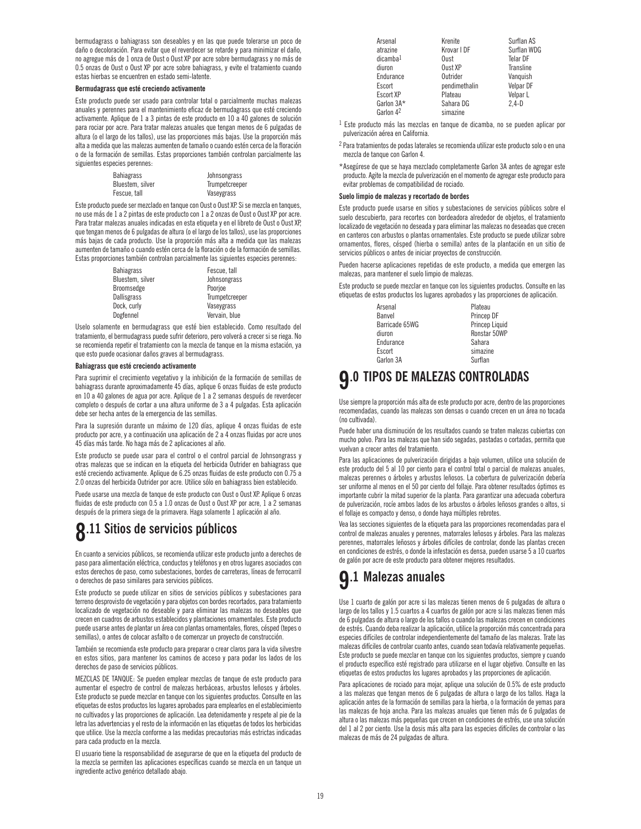bermudagrass o bahiagrass son deseables y en las que puede tolerarse un poco de daño o decoloración. Para evitar que el reverdecer se retarde y para minimizar el daño, no agregue más de 1 onza de Oust o Oust XP por acre sobre bermudagrass y no más de 0.5 onzas de Oust o Oust XP por acre sobre bahiagrass, y evite el tratamiento cuando estas hierbas se encuentren en estado semi-latente.

#### **Bermudagrass que esté creciendo activamente**

Este producto puede ser usado para controlar total o parcialmente muchas malezas anuales y perennes para el mantenimiento eficaz de bermudagrass que esté creciendo activamente. Aplique de 1 a 3 pintas de este producto en 10 a 40 galones de solución para rociar por acre. Para tratar malezas anuales que tengan menos de 6 pulgadas de altura (o el largo de los tallos), use las proporciones más bajas. Use la proporción más alta a medida que las malezas aumenten de tamaño o cuando estén cerca de la floración o de la formación de semillas. Estas proporciones también controlan parcialmente las siguientes especies perennes:

| <b>Bahiagrass</b> | Johnsongrass   |  |
|-------------------|----------------|--|
| Bluestem, silver  | Trumpetcreeper |  |
| Fescue, tall      | Vaseygrass     |  |

Este producto puede ser mezclado en tanque con Oust o Oust XP. Si se mezcla en tanques, no use más de 1 a 2 pintas de este producto con 1 a 2 onzas de Oust o Oust XP por acre. Para tratar malezas anuales indicadas en esta etiqueta y en el libreto de Oust o Oust XP, que tengan menos de 6 pulgadas de altura (o el largo de los tallos), use las proporciones más bajas de cada producto. Use la proporción más alta a medida que las malezas aumenten de tamaño o cuando estén cerca de la floración o de la formación de semillas. Estas proporciones también controlan parcialmente las siguientes especies perennes:

| <b>Bahiagrass</b> | Fescue, tall   |
|-------------------|----------------|
| Bluestem, silver  | Johnsongrass   |
| Broomsedge        | Poorioe        |
| Dallisgrass       | Trumpetcreeper |
| Dock. curly       | Vaseygrass     |
| Dogfennel         | Vervain, blue  |

Uselo solamente en bermudagrass que esté bien establecido. Como resultado del tratamiento, el bermudagrass puede sufrir deterioro, pero volverá a crecer si se riega. No se recomienda repetir el tratamiento con la mezcla de tanque en la misma estación, ya que esto puede ocasionar daños graves al bermudagrass.

#### **Bahiagrass que esté creciendo activamente**

Para suprimir el crecimiento vegetativo y la inhibición de la formación de semillas de bahiagrass durante aproximadamente 45 días, aplique 6 onzas fluidas de este producto en 10 a 40 galones de agua por acre. Aplique de 1 a 2 semanas después de reverdecer completo o después de cortar a una altura uniforme de 3 a 4 pulgadas. Esta aplicación debe ser hecha antes de la emergencia de las semillas.

Para la supresión durante un máximo de 120 días, aplique 4 onzas fluidas de este producto por acre, y a continuación una aplicación de 2 a 4 onzas fluidas por acre unos 45 días más tarde. No haga más de 2 aplicaciones al año.

Este producto se puede usar para el control o el control parcial de Johnsongrass y otras malezas que se indican en la etiqueta del herbicida Outrider en bahiagrass que esté creciendo activamente. Aplique de 6.25 onzas fluidas de este producto con 0.75 a 2.0 onzas del herbicida Outrider por acre. Utilice sólo en bahiagrass bien establecido.

Puede usarse una mezcla de tanque de este producto con Oust o Oust XP. Aplique 6 onzas fluidas de este producto con 0.5 a 1.0 onzas de Oust o Oust XP por acre, 1 a 2 semanas después de la primera siega de la primavera. Haga solamente 1 aplicación al año.

### **8.11 Sitios de servicios públicos**

En cuanto a servicios públicos, se recomienda utilizar este producto junto a derechos de paso para alimentación eléctrica, conductos y teléfonos y en otros lugares asociados con estos derechos de paso, como subestaciones, bordes de carreteras, líneas de ferrocarril o derechos de paso similares para servicios públicos.

Este producto se puede utilizar en sitios de servicios públicos y subestaciones para terreno desprovisto de vegetación y para objetos con bordes recortados, para tratamiento localizado de vegetación no deseable y para eliminar las malezas no deseables que crecen en cuadros de arbustos establecidos y plantaciones ornamentales. Este producto puede usarse antes de plantar un área con plantas ornamentales, flores, césped (tepes o semillas), o antes de colocar asfalto o de comenzar un proyecto de construcción.

También se recomienda este producto para preparar o crear claros para la vida silvestre en estos sitios, para mantener los caminos de acceso y para podar los lados de los derechos de paso de servicios públicos.

MEZCLAS DE TANQUE: Se pueden emplear mezclas de tanque de este producto para aumentar el espectro de control de malezas herbáceas, arbustos leñosos y árboles. Este producto se puede mezclar en tanque con los siguientes productos. Consulte en las etiquetas de estos productos los lugares aprobados para emplearlos en el establecimiento no cultivados y las proporciones de aplicación. Lea detenidamente y respete al pie de la letra las advertencias y el resto de la información en las etiquetas de todos los herbicidas que utilice. Use la mezcla conforme a las medidas precautorias más estrictas indicadas para cada producto en la mezcla.

El usuario tiene la responsabilidad de asegurarse de que en la etiqueta del producto de la mezcla se permiten las aplicaciones específicas cuando se mezcla en un tanque un ingrediente activo genérico detallado abajo.

| Arsenal               | Krenite       | Surflan AS  |
|-----------------------|---------------|-------------|
| atrazine              | Krovar I DF   | Surflan WDG |
| dicamba <sup>1</sup>  | Oust          | Telar DF    |
| diuron                | Oust XP       | Transline   |
| Endurance             | Outrider      | Vanquish    |
| Escort                | pendimethalin | Velpar DF   |
| Escort XP             | Plateau       | Velpar L    |
| Garlon 3A*            | Sahara DG     | $2.4-D$     |
| Garlon 4 <sup>2</sup> | simazine      |             |

<sup>1</sup> Este producto más las mezclas en tanque de dicamba, no se pueden aplicar por pulverización aérea en California.

 $^2$  Para tratamientos de podas laterales se recomienda utilizar este producto solo o en una mezcla de tanque con Garlon 4.

\*Asegúrese de que se haya mezclado completamente Garlon 3A antes de agregar este producto. Agite la mezcla de pulverización en el momento de agregar este producto para evitar problemas de compatibilidad de rociado.

#### **Suelo limpio de malezas y recortado de bordes**

Este producto puede usarse en sitios y subestaciones de servicios públicos sobre el suelo descubierto, para recortes con bordeadora alrededor de objetos, el tratamiento localizado de vegetación no deseada y para eliminar las malezas no deseadas que crecen en canteros con arbustos o plantas ornamentales. Este producto se puede utilizar sobre ornamentos, flores, césped (hierba o semilla) antes de la plantación en un sitio de servicios públicos o antes de iniciar proyectos de construcción.

Pueden hacerse aplicaciones repetidas de este producto, a medida que emergen las malezas, para mantener el suelo limpio de malezas.

Este producto se puede mezclar en tanque con los siguientes productos. Consulte en las etiquetas de estos productos los lugares aprobados y las proporciones de aplicación.

| Arsenal        |  | Plateau        |
|----------------|--|----------------|
| Banvel         |  | Princep DF     |
| Barricade 65WG |  | Princep Liquid |
| diuron         |  | Ronstar 50WP   |
| Endurance      |  | Sahara         |
| Escort         |  | simazine       |
| Garlon 3A      |  | Surflan        |

### **9.0 TIPOS DE MALEZAS CONTROLADAS**

Use siempre la proporción más alta de este producto por acre, dentro de las proporciones recomendadas, cuando las malezas son densas o cuando crecen en un área no tocada (no cultivada).

Puede haber una disminución de los resultados cuando se traten malezas cubiertas con mucho polvo. Para las malezas que han sido segadas, pastadas o cortadas, permita que vuelvan a crecer antes del tratamiento.

Para las aplicaciones de pulverización dirigidas a bajo volumen, utilice una solución de este producto del 5 al 10 por ciento para el control total o parcial de malezas anuales, malezas perennes o árboles y arbustos leñosos. La cobertura de pulverización debería ser uniforme al menos en el 50 por ciento del follaje. Para obtener resultados óptimos es importante cubrir la mitad superior de la planta. Para garantizar una adecuada cobertura de pulverización, rocíe ambos lados de los arbustos o árboles leñosos grandes o altos, si el follaje es compacto y denso, o donde haya múltiples rebrotes.

Vea las secciones siguientes de la etiqueta para las proporciones recomendadas para el control de malezas anuales y perennes, matorrales leñosos y árboles. Para las malezas perennes, matorrales leñosos y árboles difíciles de controlar, donde las plantas crecen en condiciones de estrés, o donde la infestación es densa, pueden usarse 5 a 10 cuartos de galón por acre de este producto para obtener mejores resultados.

### **9.1 Malezas anuales**

Use 1 cuarto de galón por acre si las malezas tienen menos de 6 pulgadas de altura o largo de los tallos y 1.5 cuartos a 4 cuartos de galón por acre si las malezas tienen más de 6 pulgadas de altura o largo de los tallos o cuando las malezas crecen en condiciones de estrés. Cuando deba realizar la aplicación, utilice la proporción más concentrada para especies difíciles de controlar independientemente del tamaño de las malezas. Trate las malezas difíciles de controlar cuanto antes, cuando sean todavía relativamente pequeñas. Este producto se puede mezclar en tanque con los siguientes productos, siempre y cuando el producto específico esté registrado para utilizarse en el lugar objetivo. Consulte en las etiquetas de estos productos los lugares aprobados y las proporciones de aplicación.

Para aplicaciones de rociado para mojar, aplique una solución de 0.5% de este producto a las malezas que tengan menos de 6 pulgadas de altura o largo de los tallos. Haga la aplicación antes de la formación de semillas para la hierba, o la formación de yemas para las malezas de hoja ancha. Para las malezas anuales que tienen más de 6 pulgadas de altura o las malezas más pequeñas que crecen en condiciones de estrés, use una solución del 1 al 2 por ciento. Use la dosis más alta para las especies difíciles de controlar o las malezas de más de 24 pulgadas de altura.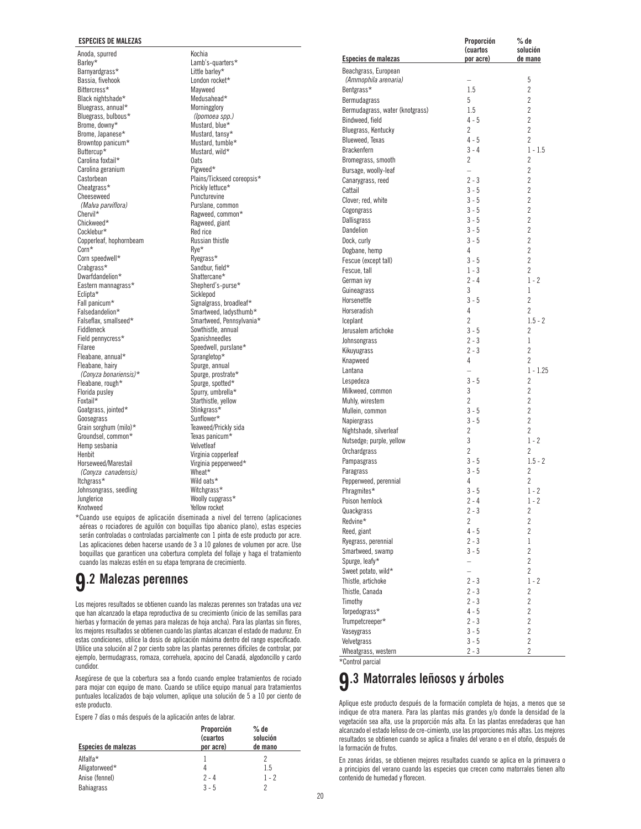#### **ESPECIES DE MALEZAS**

Anoda, spurred Barley\* Barnyardgrass\* Bassia, fivehook Bittercress\* Black nightshade\* Bluegrass, annual\* Bluegrass, bulbous\* Brome, downy\* Brome, Japanese\* Browntop panicum\* Buttercup\* Carolina foxtail\* Carolina geranium Castorbean Cheatgrass\* Cheeseweed *(Malva parviflora)* Chervil\* Chickweed\* Cocklebur\* Copperleaf, hophornbeam Corn\* Corn speedwell\* Crabgrass\* Dwarfdandelion\* Eastern mannagrass\* Eclipta\* Fall panicum\* Falsedandelion\* Falseflax, smallseed\* Fiddleneck Field pennycress\* Filaree Fleabane, annual\* Fleabane, hairy *(Conyza bonariensis)*\* Fleabane, rough\* Florida pusley Foxtail\* Goatgrass, jointed\* Goosegrass Grain sorghum (milo)\* Groundsel, common\* Hemp sesbania Henbit Horseweed/Marestail *(Conyza canadensis)* Itchgrass\* Johnsongrass, seedling Junglerice Knotweed

Kochia Lamb's-quarters\* Little barley\* London rocket\* Mayweed Medusahead\* Morningglory *(Ipomoea spp.)* Mustard, blue\* Mustard, tansy\* Mustard, tumble\* Mustard, wild\* **Oats** Pigweed\* Plains/Tickseed coreopsis\* Prickly lettuce\* Puncturevine Purslane, common Ragweed, common\* Ragweed, giant Red rice Russian thistle Rye\* Ryegrass\* Sandbur, field\* Shattercane\* Shepherd's-purse\* **Sicklepod** Signalgrass, broadleaf\* Smartweed, ladysthumb\* Smartweed, Pennsylvania\* Sowthistle, annual **Spanishneedles** Speedwell, purslane\* Sprangletop\* Spurge, annual Spurge, prostrate\* Spurge, spotted\* Spurry, umbrella\* Starthistle, yellow Stinkgrass\* Sunflower\* Teaweed/Prickly sida Texas panicum\* Velvetleaf Virginia copperleaf Virginia pepperweed\* Wheat\* Wild oats\* Witchgrass\* Woolly cupgrass\*

| Bluegrass, Kentucky      | $\overline{c}$           | $\overline{c}$ |
|--------------------------|--------------------------|----------------|
| Blueweed, Texas          | $4 - 5$                  | $\overline{2}$ |
| Brackenfern              | $3 - 4$                  | $1 - 1.5$      |
| Bromegrass, smooth       | $\overline{c}$           | 2              |
| Bursage, woolly-leaf     | $\overline{a}$           | $\overline{2}$ |
| Canarygrass, reed        | $2 - 3$                  | $\overline{2}$ |
| Cattail                  | $3 - 5$                  | 2              |
| Clover; red, white       | $3 - 5$                  | $\overline{2}$ |
| Cogongrass               | $3 - 5$                  | $\overline{2}$ |
| Dallisgrass              | $3 - 5$                  | $\overline{2}$ |
| Dandelion                | $3 - 5$                  | $\overline{2}$ |
| Dock, curly              | $3 - 5$                  | $\overline{2}$ |
| Dogbane, hemp            | 4                        | $\overline{2}$ |
| Fescue (except tall)     | $3 - 5$                  | $\overline{2}$ |
| Fescue, tall             | $1 - 3$                  | $\overline{2}$ |
| German ivy               | $2 - 4$                  | $1 - 2$        |
| Guineagrass              | 3                        | 1              |
| Horsenettle              | $3 - 5$                  | $\overline{2}$ |
| Horseradish              | 4                        | $\overline{2}$ |
| Iceplant                 | $\overline{c}$           | $1.5 - 2$      |
| Jerusalem artichoke      | $3 - 5$                  | 2              |
| Johnsongrass             | $2 - 3$                  | 1              |
| Kikuyugrass              | $2 - 3$                  | $\overline{2}$ |
| Knapweed                 | $\overline{4}$           | $\overline{2}$ |
| Lantana                  | $\overline{a}$           | $1 - 1.25$     |
| Lespedeza                | $3 - 5$                  | $\overline{2}$ |
| Milkweed, common         | 3                        | $\overline{2}$ |
| Muhly, wirestem          | $\overline{2}$           | $\overline{2}$ |
| Mullein, common          | $3 - 5$                  | $\overline{2}$ |
| Napiergrass              | $3 - 5$                  | $\overline{2}$ |
| Nightshade, silverleaf   | $\overline{c}$           | $\overline{2}$ |
| Nutsedge; purple, yellow | 3                        | $1 - 2$        |
| Orchardgrass             | $\overline{c}$           | 2              |
| Pampasgrass              | $3 - 5$                  | $1.5 - 2$      |
| Paragrass                | $3 - 5$                  | 2              |
| Pepperweed, perennial    | 4                        | 2              |
| Phragmites*              | $3 - 5$                  | $1 - 2$        |
| Poison hemlock           | $2 - 4$                  | $1 - 2$        |
| Quackgrass               | $2 - 3$                  | $\overline{c}$ |
| Redvine*                 | $\overline{2}$           | $\overline{2}$ |
| Reed, giant              | $4 - 5$                  | $\overline{2}$ |
| Ryegrass, perennial      | $2 - 3$                  | 1              |
| Smartweed, swamp         | $3 - 5$                  | $\overline{2}$ |
| Spurge, leafy*           | $\overline{\phantom{0}}$ | $\overline{2}$ |
| Sweet potato, wild*      | $\overline{a}$           | $\overline{2}$ |
| Thistle, artichoke       | $2 - 3$                  | $1 - 2$        |
| Thistle, Canada          | $2 - 3$                  | 2              |
| Timothy                  | $2 - 3$                  | 2              |
| Torpedograss*            | $4 - 5$                  | $\overline{2}$ |
| Trumpetcreeper*          | $2 - 3$                  | $\overline{2}$ |
| Vaseygrass               | $3 - 5$                  | $\overline{2}$ |
| Velvetgrass              | $3 - 5$                  | $\overline{2}$ |
| Wheatgrass, western      | $2 - 3$                  | $\overline{c}$ |
|                          |                          |                |

 **Proporción % de**

 **(cuartos solución Especies de malezas por acre) de mano**

 *(Ammophila arenaria)* – 5 Bentgrass\* 1.5 2 Bermudagrass 5 2 Bermudagrass, water (knotgrass) 1.5 2 Bindweed, field 4 - 5 2

Beachgrass, European

\*Control parcial

### **9.3 Matorrales leñosos y árboles**

Aplique este producto después de la formación completa de hojas, a menos que se indique de otra manera. Para las plantas más grandes y/o donde la densidad de la vegetación sea alta, use la proporción más alta. En las plantas enredaderas que han alcanzado el estado leñoso de cre-cimiento, use las proporciones más altas. Los mejores resultados se obtienen cuando se aplica a finales del verano o en el otoño, después de la formación de frutos.

En zonas áridas, se obtienen mejores resultados cuando se aplica en la primavera o a principios del verano cuando las especies que crecen como matorrales tienen alto contenido de humedad y florecen.

| serán controladas o controladas parcialmente con 1 pinta de este producto por acre.<br>Las aplicaciones deben hacerse usando de 3 a 10 galones de volumen por acre. Use<br>boquillas que garanticen una cobertura completa del follaje y haga el tratamiento<br>cuando las malezas estén en su etapa temprana de crecimiento. |
|-------------------------------------------------------------------------------------------------------------------------------------------------------------------------------------------------------------------------------------------------------------------------------------------------------------------------------|
| <b>9.2 Malezas perennes</b>                                                                                                                                                                                                                                                                                                   |

Los mejores resultados se obtienen cuando las malezas perennes son tratadas una vez que han alcanzado la etapa reproductiva de su crecimiento (inicio de las semillas para hierbas y formación de yemas para malezas de hoja ancha). Para las plantas sin flores, los mejores resultados se obtienen cuando las plantas alcanzan el estado de madurez. En estas condiciones, utilice la dosis de aplicación máxima dentro del rango especificado. Utilice una solución al 2 por ciento sobre las plantas perennes difíciles de controlar, por ejemplo, bermudagrass, romaza, correhuela, apocino del Canadá, algodoncillo y cardo cundidor.

Yellow rocket \*Cuando use equipos de aplicación diseminada a nivel del terreno (aplicaciones aéreas o rociadores de aguilón con boquillas tipo abanico plano), estas especies

Asegúrese de que la cobertura sea a fondo cuando emplee tratamientos de rociado para mojar con equipo de mano. Cuando se utilice equipo manual para tratamientos puntuales localizados de bajo volumen, aplique una solución de 5 a 10 por ciento de este producto.

Espere 7 días o más después de la aplicación antes de labrar.

|                     | Proporción<br><b>(cuartos)</b> | $%$ de<br>solución |  |
|---------------------|--------------------------------|--------------------|--|
| Especies de malezas | por acre)                      | de mano            |  |
| Alfalfa*            |                                |                    |  |
| Alligatorweed*      |                                | 1.5                |  |
| Anise (fennel)      | $2 - 4$                        | $1 - 2$            |  |
| <b>Bahiagrass</b>   | $3 - 5$                        | 2                  |  |